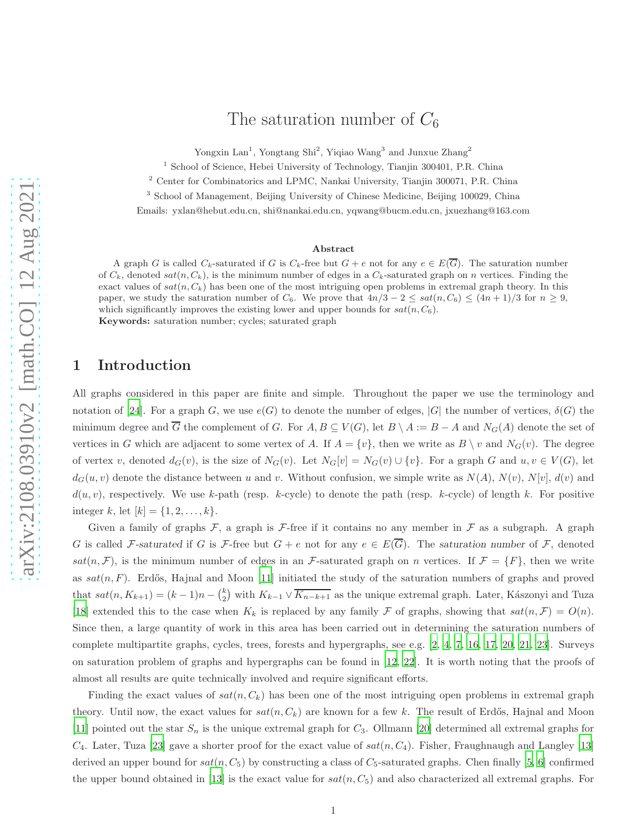# The saturation number of  $C_6$

Yongxin Lan<sup>1</sup>, Yongtang Shi<sup>2</sup>, Yiqiao Wang<sup>3</sup> and Junxue Zhang<sup>2</sup>

<sup>1</sup> School of Science, Hebei University of Technology, Tianjin 300401, P.R. China

<sup>2</sup> Center for Combinatorics and LPMC, Nankai University, Tianjin 300071, P.R. China

<sup>3</sup> School of Management, Beijing University of Chinese Medicine, Beijing 100029, China

Emails: yxlan@hebut.edu.cn, shi@nankai.edu.cn, yqwang@bucm.edu.cn, jxuezhang@163.com

#### Abstract

A graph G is called  $C_k$ -saturated if G is  $C_k$ -free but  $G + e$  not for any  $e \in E(\overline{G})$ . The saturation number of  $C_k$ , denoted sat $(n, C_k)$ , is the minimum number of edges in a  $C_k$ -saturated graph on n vertices. Finding the exact values of  $sat(n, C_k)$  has been one of the most intriguing open problems in extremal graph theory. In this paper, we study the saturation number of  $C_6$ . We prove that  $4n/3 - 2 \le sat(n, C_6) \le (4n + 1)/3$  for  $n \ge 9$ , which significantly improves the existing lower and upper bounds for  $sat(n, C_6)$ . Keywords: saturation number; cycles; saturated graph

### 1 Introduction

All graphs considered in this paper are finite and simple. Throughout the paper we use the terminology and notation of [\[24](#page-28-0)]. For a graph G, we use  $e(G)$  to denote the number of edges,  $|G|$  the number of vertices,  $\delta(G)$  the minimum degree and  $\overline{G}$  the complement of G. For  $A, B \subseteq V(G)$ , let  $B \setminus A := B - A$  and  $N_G(A)$  denote the set of vertices in G which are adjacent to some vertex of A. If  $A = \{v\}$ , then we write as  $B \setminus v$  and  $N_G(v)$ . The degree of vertex v, denoted  $d_G(v)$ , is the size of  $N_G(v)$ . Let  $N_G[v] = N_G(v) \cup \{v\}$ . For a graph G and  $u, v \in V(G)$ , let  $d_G(u, v)$  denote the distance between u and v. Without confusion, we simple write as  $N(A)$ ,  $N(v)$ ,  $N[v]$ ,  $d(v)$  and  $d(u, v)$ , respectively. We use k-path (resp. k-cycle) to denote the path (resp. k-cycle) of length k. For positive integer k, let  $[k] = \{1, 2, ..., k\}.$ 

Given a family of graphs  $\mathcal{F}$ , a graph is  $\mathcal{F}$ -free if it contains no any member in  $\mathcal{F}$  as a subgraph. A graph G is called F-saturated if G is F-free but  $G + e$  not for any  $e \in E(\overline{G})$ . The saturation number of F, denoted sat $(n, \mathcal{F})$ , is the minimum number of edges in an *F*-saturated graph on *n* vertices. If  $\mathcal{F} = \{F\}$ , then we write as  $sat(n, F)$ . Erdős, Hajnal and Moon [\[11](#page-28-1)] initiated the study of the saturation numbers of graphs and proved that  $sat(n, K_{k+1}) = (k-1)n - {k \choose 2}$  with  $K_{k-1} \vee \overline{K_{n-k+1}}$  as the unique extremal graph. Later, Kászonyi and Tuza [\[18\]](#page-28-2) extended this to the case when  $K_k$  is replaced by any family F of graphs, showing that  $sat(n,\mathcal{F})=O(n)$ . Since then, a large quantity of work in this area has been carried out in determining the saturation numbers of complete multipartite graphs, cycles, trees, forests and hypergraphs, see e.g. [\[2,](#page-28-3) [4](#page-28-4), [7,](#page-28-5) [16,](#page-28-6) [17](#page-28-7), [20,](#page-28-8) [21](#page-28-9), [23\]](#page-28-10). Surveys on saturation problem of graphs and hypergraphs can be found in [\[12,](#page-28-11) [22\]](#page-28-12). It is worth noting that the proofs of almost all results are quite technically involved and require significant efforts.

Finding the exact values of  $sat(n, C_k)$  has been one of the most intriguing open problems in extremal graph theory. Until now, the exact values for  $sat(n, C_k)$  are known for a few k. The result of Erdős, Hajnal and Moon [\[11\]](#page-28-1) pointed out the star  $S_n$  is the unique extremal graph for  $C_3$ . Ollmann [\[20](#page-28-8)] determined all extremal graphs for  $C_4$ . Later, Tuza [\[23\]](#page-28-10) gave a shorter proof for the exact value of  $sat(n, C_4)$ . Fisher, Fraughnaugh and Langley [\[13](#page-28-13)] derived an upper bound for  $sat(n, C_5)$  by constructing a class of  $C_5$ -saturated graphs. Chen finally [\[5](#page-28-14), [6\]](#page-28-15) confirmed the upper bound obtained in [\[13](#page-28-13)] is the exact value for  $sat(n, C_5)$  and also characterized all extremal graphs. For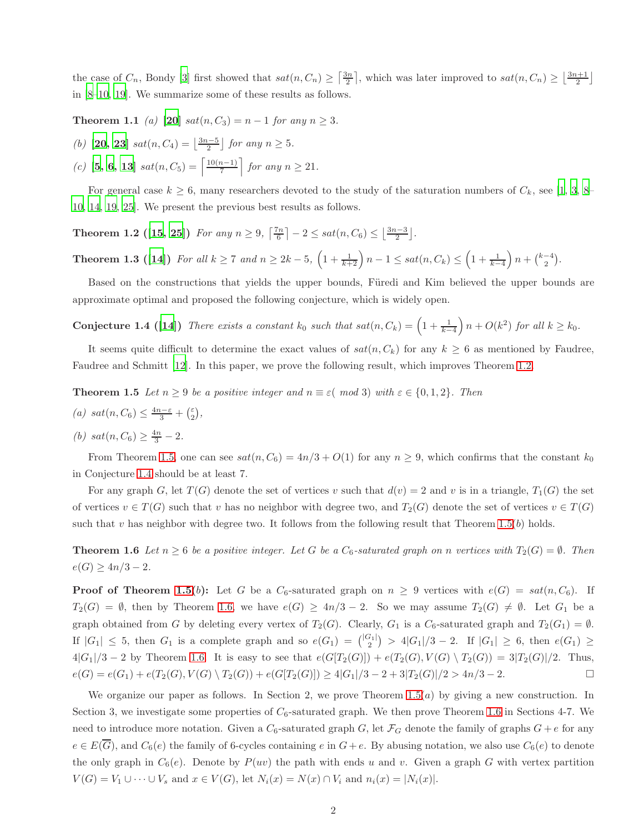the case of  $C_n$ , Bondy [\[3](#page-28-16)] first showed that  $sat(n, C_n) \geq \left\lceil \frac{3n}{2} \right\rceil$ , which was later improved to  $sat(n, C_n) \geq \left\lfloor \frac{3n+1}{2} \right\rfloor$ in [\[8](#page-28-17)[–10](#page-28-18), [19](#page-28-19)]. We summarize some of these results as follows.

**Theorem 1.1** *(a)* [\[20\]](#page-28-8)  $sat(n, C_3) = n - 1$  *for any*  $n \geq 3$ *.* 

(b) **[20, 23]** 
$$
sat(n, C_4) = \left\lfloor \frac{3n-5}{2} \right\rfloor
$$
 for any  $n \ge 5$ .

(c) **[5, 6, 13]** 
$$
sat(n, C_5) = \left\lceil \frac{10(n-1)}{7} \right\rceil
$$
 for any  $n \ge 21$ .

<span id="page-1-0"></span>For general case  $k \geq 6$ , many researchers devoted to the study of the saturation numbers of  $C_k$ , see [\[1](#page-27-0), [3,](#page-28-16) [8](#page-28-17)– [10,](#page-28-18) [14](#page-28-20), [19,](#page-28-19) [25](#page-28-21)]. We present the previous best results as follows.

**Theorem 1.2** ([\[15](#page-28-22), [25\]](#page-28-21)) *For any*  $n \ge 9$ ,  $\lceil \frac{7n}{6} \rceil - 2 \le sat(n, C_6) \le \lfloor \frac{3n-3}{2} \rfloor$ .

Theorem 1.3 ([\[14](#page-28-20)]) *For all*  $k \ge 7$  *and*  $n \ge 2k - 5$ ,  $\left(1 + \frac{1}{k+2}\right)n - 1 \le sat(n, C_k) \le \left(1 + \frac{1}{k-4}\right)n + \binom{k-4}{2}$ .

<span id="page-1-2"></span>Based on the constructions that yields the upper bounds, Füredi and Kim believed the upper bounds are approximate optimal and proposed the following conjecture, which is widely open.

Conjecture 1.4 ([\[14](#page-28-20)]) *There exists a constant*  $k_0$  such that  $sat(n, C_k) = \left(1 + \frac{1}{k-4}\right)n + O(k^2)$  for all  $k \geq k_0$ .

<span id="page-1-1"></span>It seems quite difficult to determine the exact values of  $sat(n, C_k)$  for any  $k \geq 6$  as mentioned by Faudree, Faudree and Schmitt [\[12](#page-28-11)]. In this paper, we prove the following result, which improves Theorem [1.2.](#page-1-0)

**Theorem 1.5** *Let*  $n \geq 9$  *be a positive integer and*  $n \equiv \varepsilon \pmod{3}$  *with*  $\varepsilon \in \{0, 1, 2\}$ *. Then* 

- (a)  $sat(n, C_6) \leq \frac{4n-\varepsilon}{3} + \binom{\varepsilon}{2}$  $_{2}^{\varepsilon}\big),$
- (*b*)  $sat(n, C_6) \geq \frac{4n}{3} 2$ *.*

From Theorem [1.5,](#page-1-1) one can see  $sat(n, C_6) = 4n/3 + O(1)$  for any  $n \ge 9$ , which confirms that the constant  $k_0$ in Conjecture [1.4](#page-1-2) should be at least 7.

For any graph G, let  $T(G)$  denote the set of vertices v such that  $d(v) = 2$  and v is in a triangle,  $T_1(G)$  the set of vertices  $v \in T(G)$  such that v has no neighbor with degree two, and  $T_2(G)$  denote the set of vertices  $v \in T(G)$ such that v has neighbor with degree two. It follows from the following result that Theorem [1.5\(](#page-1-1)b) holds.

<span id="page-1-3"></span>**Theorem 1.6** Let  $n \geq 6$  be a positive integer. Let G be a  $C_6$ -saturated graph on n vertices with  $T_2(G) = \emptyset$ . Then  $e(G) \geq 4n/3 - 2$ .

**Proof of Theorem [1.5\(](#page-1-1)b):** Let G be a  $C_6$ -saturated graph on  $n \geq 9$  vertices with  $e(G) = sat(n, C_6)$ . If  $T_2(G) = \emptyset$ , then by Theorem [1.6,](#page-1-3) we have  $e(G) \geq 4n/3 - 2$ . So we may assume  $T_2(G) \neq \emptyset$ . Let  $G_1$  be a graph obtained from G by deleting every vertex of  $T_2(G)$ . Clearly,  $G_1$  is a  $C_6$ -saturated graph and  $T_2(G_1) = \emptyset$ . If  $|G_1| \leq 5$ , then  $G_1$  is a complete graph and so  $e(G_1) = \binom{|G_1|}{2} > 4|G_1|/3 - 2$ . If  $|G_1| \geq 6$ , then  $e(G_1) \geq 6$  $4|G_1|/3 - 2$  by Theorem [1.6.](#page-1-3) It is easy to see that  $e(G[T_2(G)]) + e(T_2(G), V(G) \setminus T_2(G)) = 3|T_2(G)|/2$ . Thus,  $e(G) = e(G_1) + e(T_2(G), V(G) \setminus T_2(G)) + e(G[T_2(G)]) \geq 4|G_1|/3 - 2 + 3|T_2(G)|/2 > 4n/3 - 2.$ 

We organize our paper as follows. In Section 2, we prove Theorem  $1.5(a)$  by giving a new construction. In Section 3, we investigate some properties of  $C_6$ -saturated graph. We then prove Theorem [1.6](#page-1-3) in Sections 4-7. We need to introduce more notation. Given a  $C_6$ -saturated graph G, let  $\mathcal{F}_G$  denote the family of graphs  $G + e$  for any  $e \in E(\overline{G})$ , and  $C_6(e)$  the family of 6-cycles containing e in  $G+e$ . By abusing notation, we also use  $C_6(e)$  to denote the only graph in  $C_6(e)$ . Denote by  $P(uv)$  the path with ends u and v. Given a graph G with vertex partition  $V(G) = V_1 \cup \cdots \cup V_s$  and  $x \in V(G)$ , let  $N_i(x) = N(x) \cap V_i$  and  $n_i(x) = |N_i(x)|$ .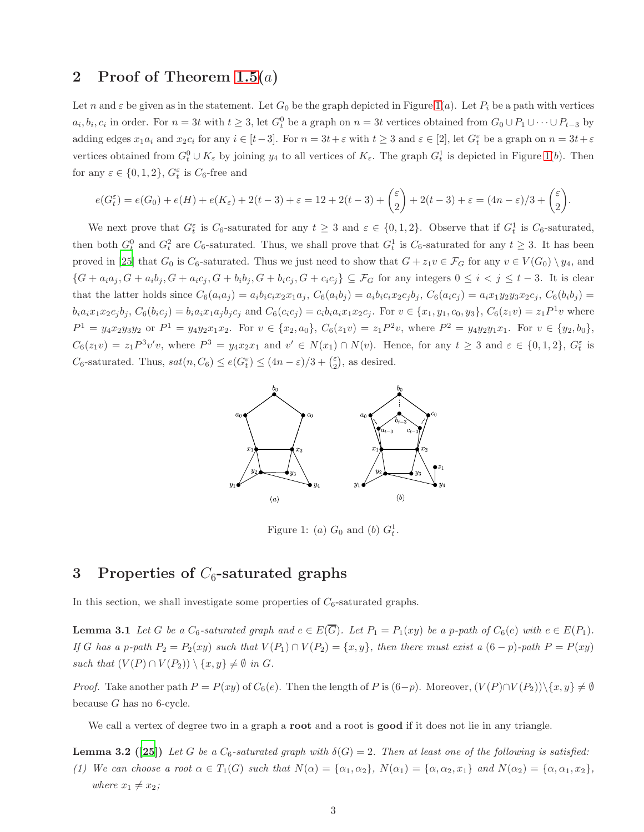# 2 Proof of Theorem  $1.5(a)$

Let n and  $\varepsilon$  be given as in the statement. Let  $G_0$  be the graph depicted in Figure [1\(](#page-2-0)a). Let  $P_i$  be a path with vertices  $a_i, b_i, c_i$  in order. For  $n = 3t$  with  $t \geq 3$ , let  $G_t^0$  be a graph on  $n = 3t$  vertices obtained from  $G_0 \cup P_1 \cup \cdots \cup P_{t-3}$  by adding edges  $x_1a_i$  and  $x_2c_i$  for any  $i \in [t-3]$ . For  $n = 3t + \varepsilon$  with  $t \geq 3$  and  $\varepsilon \in [2]$ , let  $G_t^{\varepsilon}$  be a graph on  $n = 3t + \varepsilon$ vertices obtained from  $G_t^0 \cup K_\varepsilon$  by joining  $y_4$  to all vertices of  $K_\varepsilon$ . The graph  $G_t^1$  is depicted in Figure [1\(](#page-2-0)b). Then for any  $\varepsilon \in \{0, 1, 2\}$ ,  $G_t^{\varepsilon}$  is  $C_6$ -free and

$$
e(G_t^{\varepsilon})=e(G_0)+e(H)+e(K_{\varepsilon})+2(t-3)+\varepsilon=12+2(t-3)+\binom{\varepsilon}{2}+2(t-3)+\varepsilon=(4n-\varepsilon)/3+\binom{\varepsilon}{2}.
$$

We next prove that  $G_t^{\varepsilon}$  is  $C_6$ -saturated for any  $t \geq 3$  and  $\varepsilon \in \{0,1,2\}$ . Observe that if  $G_t^1$  is  $C_6$ -saturated, then both  $G_t^0$  and  $G_t^2$  are  $C_6$ -saturated. Thus, we shall prove that  $G_t^1$  is  $C_6$ -saturated for any  $t \geq 3$ . It has been proved in [\[25\]](#page-28-21) that  $G_0$  is  $C_6$ -saturated. Thus we just need to show that  $G + z_1v \in \mathcal{F}_G$  for any  $v \in V(G_0) \setminus y_4$ , and  $\{G + a_i a_j, G + a_i b_j, G + a_i c_j, G + b_i b_j, G + b_i c_j, G + c_i c_j\} \subseteq \mathcal{F}_G$  for any integers  $0 \leq i \leq j \leq t-3$ . It is clear that the latter holds since  $C_6(a_ia_j) = a_ib_ic_ix_2x_1a_j$ ,  $C_6(a_ib_j) = a_ib_ic_ix_2c_ib_j$ ,  $C_6(a_ic_j) = a_ix_1y_2y_3x_2c_j$ ,  $C_6(b_ib_j)$  $b_i a_i x_1 x_2 c_j b_j$ ,  $C_6(b_i c_j) = b_i a_i x_1 a_j b_j c_j$  and  $C_6(c_i c_j) = c_i b_i a_i x_1 x_2 c_j$ . For  $v \in \{x_1, y_1, c_0, y_3\}$ ,  $C_6(z_1 v) = z_1 P^1 v$  where  $P^1 = y_4 x_2 y_3 y_2$  or  $P^1 = y_4 y_2 x_1 x_2$ . For  $v \in \{x_2, a_0\}$ ,  $C_6(z_1 v) = z_1 P^2 v$ , where  $P^2 = y_4 y_2 y_1 x_1$ . For  $v \in \{y_2, b_0\}$ ,  $C_6(z_1v) = z_1P^3v'v$ , where  $P^3 = y_4x_2x_1$  and  $v' \in N(x_1) \cap N(v)$ . Hence, for any  $t \geq 3$  and  $\varepsilon \in \{0,1,2\}$ ,  $G_t^{\varepsilon}$  is  $C_6$ -saturated. Thus,  $sat(n, C_6) \leq e(G_t^{\varepsilon}) \leq (4n - \varepsilon)/3 + \binom{\varepsilon}{2}$  $_{2}^{\varepsilon}$ , as desired.



<span id="page-2-0"></span>Figure 1: (a)  $G_0$  and (b)  $G_t^1$ .

# 3 Properties of  $C_6$ -saturated graphs

<span id="page-2-2"></span>In this section, we shall investigate some properties of  $C_6$ -saturated graphs.

**Lemma 3.1** Let G be a  $C_6$ -saturated graph and  $e \in E(\overline{G})$ . Let  $P_1 = P_1(xy)$  be a p-path of  $C_6(e)$  with  $e \in E(P_1)$ . *If* G has a p-path  $P_2 = P_2(xy)$  such that  $V(P_1) \cap V(P_2) = \{x, y\}$ , then there must exist a  $(6-p)$ -path  $P = P(xy)$ *such that*  $(V(P) \cap V(P_2)) \setminus \{x, y\} \neq \emptyset$  *in G*.

*Proof.* Take another path  $P = P(xy)$  of  $C_6(e)$ . Then the length of P is  $(6-p)$ . Moreover,  $(V(P) \cap V(P_2)) \setminus \{x, y\} \neq \emptyset$ because  $G$  has no 6-cycle.

<span id="page-2-1"></span>We call a vertex of degree two in a graph a **root** and a root is **good** if it does not lie in any triangle.

**Lemma 3.2** ([\[25](#page-28-21)]) Let G be a  $C_6$ -saturated graph with  $\delta(G) = 2$ . Then at least one of the following is satisfied: *(1) We can choose a root*  $\alpha \in T_1(G)$  *such that*  $N(\alpha) = {\alpha_1, \alpha_2}$ ,  $N(\alpha_1) = {\alpha, \alpha_2, x_1}$  *and*  $N(\alpha_2) = {\alpha, \alpha_1, x_2}$ , *where*  $x_1 \neq x_2$ *;*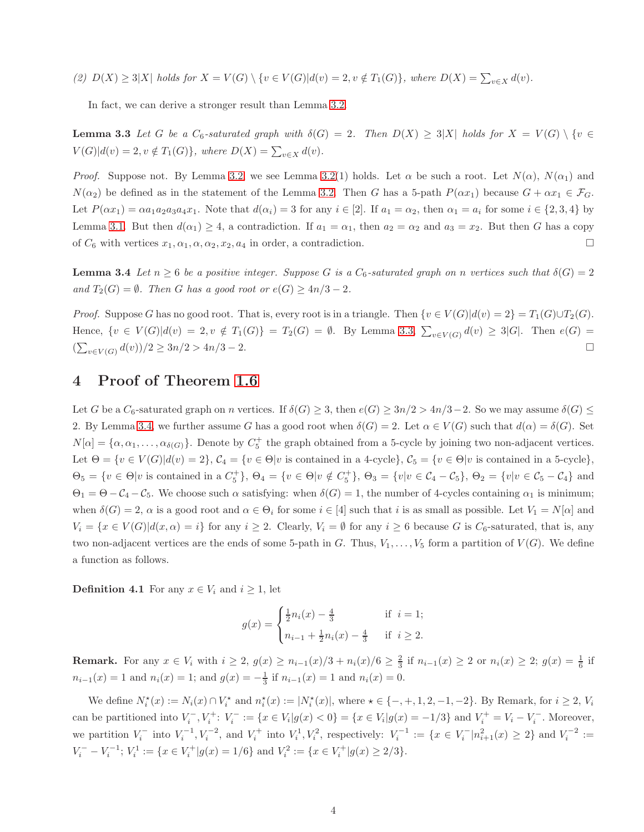*(2)*  $D(X) \ge 3|X|$  *holds for*  $X = V(G) \setminus \{v \in V(G)|d(v) = 2, v \notin T_1(G)\},$  where  $D(X) = \sum_{v \in X} d(v)$ *.* 

<span id="page-3-0"></span>In fact, we can derive a stronger result than Lemma [3.2.](#page-2-1)

**Lemma 3.3** Let G be a  $C_6$ -saturated graph with  $\delta(G) = 2$ . Then  $D(X) \geq 3|X|$  holds for  $X = V(G) \setminus \{v \in G\}$  $V(G)|d(v) = 2, v \notin T_1(G) \},$  where  $D(X) = \sum_{v \in X} d(v)$ .

*Proof.* Suppose not. By Lemma [3.2,](#page-2-1) we see Lemma [3.2\(](#page-2-1)1) holds. Let  $\alpha$  be such a root. Let  $N(\alpha)$ ,  $N(\alpha_1)$  and  $N(\alpha_2)$  be defined as in the statement of the Lemma [3.2.](#page-2-1) Then G has a 5-path  $P(\alpha x_1)$  because  $G + \alpha x_1 \in \mathcal{F}_G$ . Let  $P(\alpha x_1) = \alpha a_1 a_2 a_3 a_4 x_1$ . Note that  $d(\alpha_i) = 3$  for any  $i \in [2]$ . If  $a_1 = \alpha_2$ , then  $\alpha_1 = a_i$  for some  $i \in \{2, 3, 4\}$  by Lemma [3.1.](#page-2-2) But then  $d(\alpha_1) \geq 4$ , a contradiction. If  $a_1 = \alpha_1$ , then  $a_2 = \alpha_2$  and  $a_3 = x_2$ . But then G has a copy of  $C_6$  with vertices  $x_1, \alpha_1, \alpha, \alpha_2, x_2, a_4$  in order, a contradiction.

<span id="page-3-1"></span>**Lemma 3.4** *Let*  $n \geq 6$  *be a positive integer. Suppose* G *is a*  $C_6$ -saturated graph on n vertices such that  $\delta(G) = 2$ *and*  $T_2(G) = \emptyset$ *. Then* G *has a good root or*  $e(G) \geq 4n/3 - 2$ *.* 

*Proof.* Suppose G has no good root. That is, every root is in a triangle. Then  $\{v \in V(G)|d(v)=2\} = T_1(G) \cup T_2(G)$ . Hence,  $\{v \in V(G)|d(v) = 2, v \notin T_1(G)\} = T_2(G) = \emptyset$ . By Lemma [3.3,](#page-3-0)  $\sum_{v \in V(G)} d(v) \geq 3|G|$ . Then  $e(G) =$  $(\sum_{v \in V(G)} d(v))/2 \ge 3n/2 > 4n/3 - 2.$ 

# 4 Proof of Theorem [1.6](#page-1-3)

Let G be a  $C_6$ -saturated graph on n vertices. If  $\delta(G) \geq 3$ , then  $e(G) \geq 3n/2 > 4n/3-2$ . So we may assume  $\delta(G) \leq$ 2. By Lemma [3.4,](#page-3-1) we further assume G has a good root when  $\delta(G) = 2$ . Let  $\alpha \in V(G)$  such that  $d(\alpha) = \delta(G)$ . Set  $N[\alpha] = {\alpha, \alpha_1, \ldots, \alpha_{\delta(G)}}$ . Denote by  $C_5^+$  the graph obtained from a 5-cycle by joining two non-adjacent vertices. Let  $\Theta = \{v \in V(G)|d(v) = 2\}, \mathcal{C}_4 = \{v \in \Theta | v \text{ is contained in a 4-cycle}\}, \mathcal{C}_5 = \{v \in \Theta | v \text{ is contained in a 5-cycle}\},\$  $\Theta_5 = \{v \in \Theta | v \text{ is contained in a } C_5^+\}, \Theta_4 = \{v \in \Theta | v \notin C_5^+\}, \Theta_3 = \{v | v \in C_4 - C_5\}, \Theta_2 = \{v | v \in C_5 - C_4\}$  and  $\Theta_1 = \Theta - C_4 - C_5$ . We choose such  $\alpha$  satisfying: when  $\delta(G) = 1$ , the number of 4-cycles containing  $\alpha_1$  is minimum; when  $\delta(G) = 2$ ,  $\alpha$  is a good root and  $\alpha \in \Theta_i$  for some  $i \in [4]$  such that i is as small as possible. Let  $V_1 = N[\alpha]$  and  $V_i = \{x \in V(G)|d(x, \alpha) = i\}$  for any  $i \geq 2$ . Clearly,  $V_i = \emptyset$  for any  $i \geq 6$  because G is  $C_6$ -saturated, that is, any two non-adjacent vertices are the ends of some 5-path in G. Thus,  $V_1, \ldots, V_5$  form a partition of  $V(G)$ . We define a function as follows.

<span id="page-3-2"></span>**Definition 4.1** For any  $x \in V_i$  and  $i \geq 1$ , let

$$
g(x) = \begin{cases} \frac{1}{2}n_i(x) - \frac{4}{3} & \text{if } i = 1; \\ n_{i-1} + \frac{1}{2}n_i(x) - \frac{4}{3} & \text{if } i \ge 2. \end{cases}
$$

**Remark.** For any  $x \in V_i$  with  $i \geq 2$ ,  $g(x) \geq n_{i-1}(x)/3 + n_i(x)/6 \geq \frac{2}{3}$  if  $n_{i-1}(x) \geq 2$  or  $n_i(x) \geq 2$ ;  $g(x) = \frac{1}{6}$  if  $n_{i-1}(x) = 1$  and  $n_i(x) = 1$ ; and  $g(x) = -\frac{1}{3}$  if  $n_{i-1}(x) = 1$  and  $n_i(x) = 0$ .

We define  $N_i^*(x) := N_i(x) \cap V_i^*$  and  $n_i^*(x) := |N_i^*(x)|$ , where  $\star \in \{-, +, 1, 2, -1, -2\}$ . By Remark, for  $i \ge 2$ ,  $V_i$ can be partitioned into  $V_i^-, V_i^+$ :  $V_i^- := \{x \in V_i | g(x) < 0\} = \{x \in V_i | g(x) = -1/3\}$  and  $V_i^+ = V_i - V_i^-$ . Moreover, we partition  $V_i^-$  into  $V_i^{-1}$ ,  $V_i^{-2}$ , and  $V_i^+$  into  $V_i^1$ ,  $V_i^2$ , respectively:  $V_i^{-1} := \{x \in V_i^- | n_{i+1}^2(x) \ge 2\}$  and  $V_i^{-2} :=$  $V_i^- - V_i^{-1}$ ;  $V_i^1 := \{x \in V_i^+ | g(x) = 1/6\}$  and  $V_i^2 := \{x \in V_i^+ | g(x) \ge 2/3\}$ .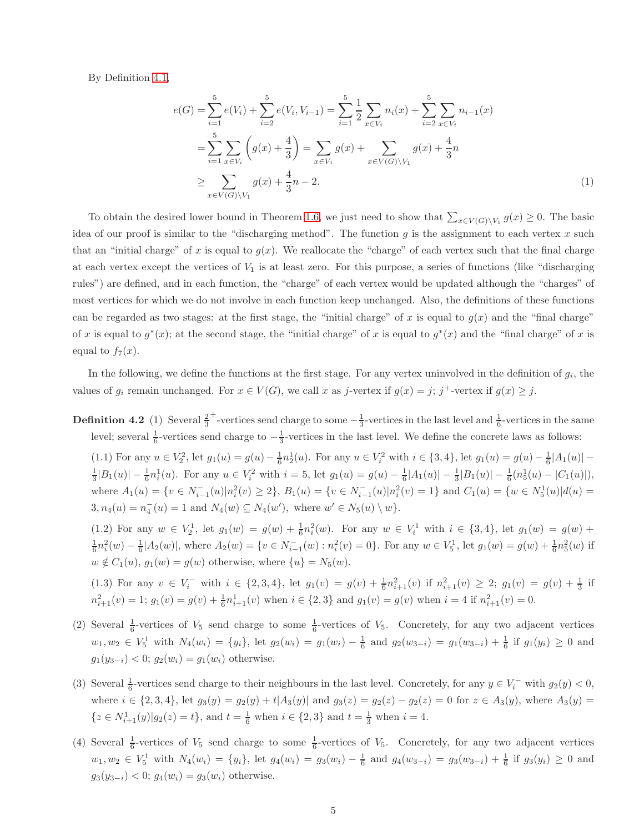By Definition [4.1,](#page-3-2)

$$
e(G) = \sum_{i=1}^{5} e(V_i) + \sum_{i=2}^{5} e(V_i, V_{i-1}) = \sum_{i=1}^{5} \frac{1}{2} \sum_{x \in V_i} n_i(x) + \sum_{i=2}^{5} \sum_{x \in V_i} n_{i-1}(x)
$$
  

$$
= \sum_{i=1}^{5} \sum_{x \in V_i} \left( g(x) + \frac{4}{3} \right) = \sum_{x \in V_1} g(x) + \sum_{x \in V(G) \setminus V_1} g(x) + \frac{4}{3}n
$$
  

$$
\geq \sum_{x \in V(G) \setminus V_1} g(x) + \frac{4}{3}n - 2.
$$
 (1)

To obtain the desired lower bound in Theorem [1.6,](#page-1-3) we just need to show that  $\sum_{x \in V(G) \setminus V_1} g(x) \geq 0$ . The basic idea of our proof is similar to the "discharging method". The function  $g$  is the assignment to each vertex  $x$  such that an "initial charge" of x is equal to  $g(x)$ . We reallocate the "charge" of each vertex such that the final charge at each vertex except the vertices of  $V_1$  is at least zero. For this purpose, a series of functions (like "discharging rules") are defined, and in each function, the "charge" of each vertex would be updated although the "charges" of most vertices for which we do not involve in each function keep unchanged. Also, the definitions of these functions can be regarded as two stages: at the first stage, the "initial charge" of x is equal to  $g(x)$  and the "final charge" of x is equal to  $g^*(x)$ ; at the second stage, the "initial charge" of x is equal to  $g^*(x)$  and the "final charge" of x is equal to  $f_7(x)$ .

In the following, we define the functions at the first stage. For any vertex uninvolved in the definition of  $g_i$ , the values of  $g_i$  remain unchanged. For  $x \in V(G)$ , we call x as j-vertex if  $g(x) = j$ ; j<sup>+</sup>-vertex if  $g(x) \geq j$ .

**Definition 4.2** (1) Several  $\frac{2}{3}$ <sup>+</sup>-vertices send charge to some  $-\frac{1}{3}$ -vertices in the last level and  $\frac{1}{6}$ -vertices in the same level; several  $\frac{1}{6}$ -vertices send charge to  $-\frac{1}{3}$ -vertices in the last level. We define the concrete laws as follows:

<span id="page-4-0"></span>(1.1) For any  $u \in V_2^2$ , let  $g_1(u) = g(u) - \frac{1}{6}n_2^1(u)$ . For any  $u \in V_i^2$  with  $i \in \{3, 4\}$ , let  $g_1(u) = g(u) - \frac{1}{6}|A_1(u)| \frac{1}{3}|B_1(u)| - \frac{1}{6}n_i^1(u)$ . For any  $u \in V_i^2$  with  $i = 5$ , let  $g_1(u) = g(u) - \frac{1}{6}|A_1(u)| - \frac{1}{3}|B_1(u)| - \frac{1}{6}(n_5^1(u) - |C_1(u)|)$ , where  $A_1(u) = \{v \in N_{i-1}^-(u)|n_i^2(v) \ge 2\}$ ,  $B_1(u) = \{v \in N_{i-1}^-(u)|n_i^2(v) = 1\}$  and  $C_1(u) = \{w \in N_5^1(u)|d(u) = 1\}$  $3, n_4(u) = n_4^{-}(u) = 1$  and  $N_4(w) \subseteq N_4(w')$ , where  $w' \in N_5(u) \setminus w$ .

(1.2) For any  $w \in V_2^1$ , let  $g_1(w) = g(w) + \frac{1}{6}n_i^2(w)$ . For any  $w \in V_i^1$  with  $i \in \{3, 4\}$ , let  $g_1(w) = g(w) +$  $\frac{1}{6}n_i^2(w) - \frac{1}{6} |A_2(w)|$ , where  $A_2(w) = \{v \in N_{i-1}^-(w) : n_i^2(v) = 0\}$ . For any  $w \in V_5^1$ , let  $g_1(w) = g(w) + \frac{1}{6}n_5^2(w)$  if  $w \notin C_1(u)$ ,  $g_1(w) = g(w)$  otherwise, where  $\{u\} = N_5(w)$ .

(1.3) For any  $v \in V_i^-$  with  $i \in \{2,3,4\}$ , let  $g_1(v) = g(v) + \frac{1}{6}n_{i+1}^2(v)$  if  $n_{i+1}^2(v) \geq 2$ ;  $g_1(v) = g(v) + \frac{1}{3}$  if  $n_{i+1}^2(v) = 1$ ;  $g_1(v) = g(v) + \frac{1}{6}n_{i+1}^1(v)$  when  $i \in \{2,3\}$  and  $g_1(v) = g(v)$  when  $i = 4$  if  $n_{i+1}^2(v) = 0$ .

- (2) Several  $\frac{1}{6}$ -vertices of  $V_5$  send charge to some  $\frac{1}{6}$ -vertices of  $V_5$ . Concretely, for any two adjacent vertices  $w_1, w_2 \in V_5^1$  with  $N_4(w_i) = \{y_i\}$ , let  $g_2(w_i) = g_1(w_i) - \frac{1}{6}$  and  $g_2(w_{3-i}) = g_1(w_{3-i}) + \frac{1}{6}$  if  $g_1(y_i) ≥ 0$  and  $g_1(y_{3-i}) < 0$ ;  $g_2(w_i) = g_1(w_i)$  otherwise.
- (3) Several  $\frac{1}{6}$ -vertices send charge to their neighbours in the last level. Concretely, for any  $y \in V_i^-$  with  $g_2(y) < 0$ , where  $i \in \{2,3,4\}$ , let  $g_3(y) = g_2(y) + t|A_3(y)|$  and  $g_3(z) = g_2(z) - g_2(z) = 0$  for  $z \in A_3(y)$ , where  $A_3(y) =$  $\{z \in N_{i+1}^1(y)|g_2(z) = t\}$ , and  $t = \frac{1}{6}$  when  $i \in \{2, 3\}$  and  $t = \frac{1}{3}$  when  $i = 4$ .
- (4) Several  $\frac{1}{6}$ -vertices of  $V_5$  send charge to some  $\frac{1}{6}$ -vertices of  $V_5$ . Concretely, for any two adjacent vertices  $w_1, w_2 \in V_5^1$  with  $N_4(w_i) = \{y_i\}$ , let  $g_4(w_i) = g_3(w_i) - \frac{1}{6}$  and  $g_4(w_{3-i}) = g_3(w_{3-i}) + \frac{1}{6}$  if  $g_3(y_i) \geq 0$  and  $g_3(y_{3-i}) < 0$ ;  $g_4(w_i) = g_3(w_i)$  otherwise.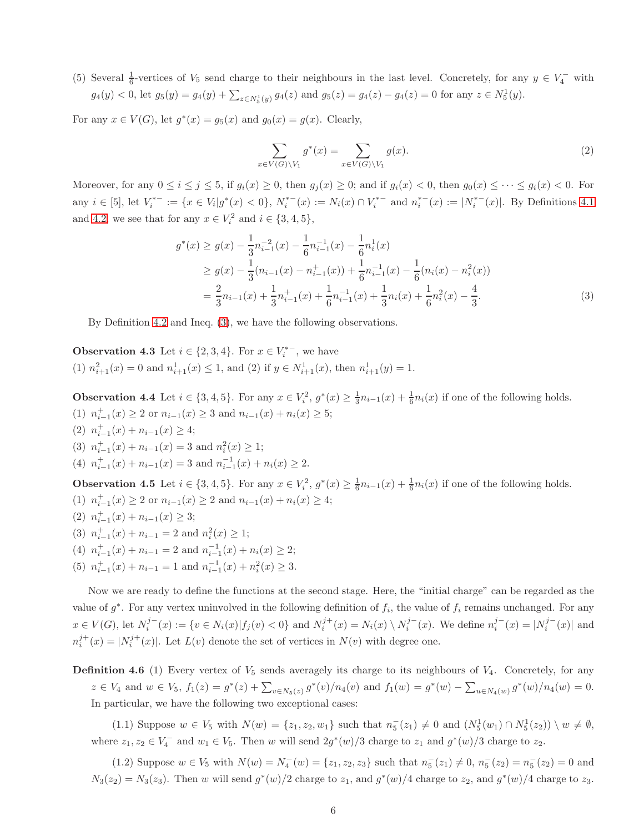(5) Several  $\frac{1}{6}$ -vertices of  $V_5$  send charge to their neighbours in the last level. Concretely, for any  $y \in V_4^-$  with  $g_4(y) < 0$ , let  $g_5(y) = g_4(y) + \sum_{z \in N_5^1(y)} g_4(z)$  and  $g_5(z) = g_4(z) - g_4(z) = 0$  for any  $z \in N_5^1(y)$ .

For any  $x \in V(G)$ , let  $g^*(x) = g_5(x)$  and  $g_0(x) = g(x)$ . Clearly,

<span id="page-5-0"></span>
$$
\sum_{x \in V(G) \backslash V_1} g^*(x) = \sum_{x \in V(G) \backslash V_1} g(x). \tag{2}
$$

Moreover, for any  $0 \le i \le j \le 5$ , if  $g_i(x) \ge 0$ , then  $g_j(x) \ge 0$ ; and if  $g_i(x) < 0$ , then  $g_0(x) \le \cdots \le g_i(x) < 0$ . For any  $i \in [5]$ , let  $V_i^{*-} := \{x \in V_i | g^*(x) < 0\}$ ,  $N_i^{*-}(x) := N_i(x) \cap V_i^{*-}$  and  $n_i^{*-}(x) := |N_i^{*-}(x)|$ . By Definitions [4.1](#page-3-2) and [4.2,](#page-4-0) we see that for any  $x \in V_i^2$  and  $i \in \{3, 4, 5\}$ ,

$$
g^*(x) \ge g(x) - \frac{1}{3}n_{i-1}^{-2}(x) - \frac{1}{6}n_{i-1}^{-1}(x) - \frac{1}{6}n_i^1(x)
$$
  
\n
$$
\ge g(x) - \frac{1}{3}(n_{i-1}(x) - n_{i-1}^+(x)) + \frac{1}{6}n_{i-1}^{-1}(x) - \frac{1}{6}(n_i(x) - n_i^2(x))
$$
  
\n
$$
= \frac{2}{3}n_{i-1}(x) + \frac{1}{3}n_{i-1}^+(x) + \frac{1}{6}n_{i-1}^{-1}(x) + \frac{1}{3}n_i(x) + \frac{1}{6}n_i^2(x) - \frac{4}{3}.
$$
 (3)

<span id="page-5-1"></span>By Definition [4.2](#page-4-0) and Ineq. [\(3\)](#page-5-0), we have the following observations.

**Observation 4.3** Let  $i \in \{2, 3, 4\}$ . For  $x \in V_i^{*-}$ , we have (1)  $n_{i+1}^2(x) = 0$  and  $n_{i+1}^1(x) \le 1$ , and (2) if  $y \in N_{i+1}^1(x)$ , then  $n_{i+1}^1(y) = 1$ .

<span id="page-5-4"></span>**Observation 4.4** Let  $i \in \{3, 4, 5\}$ . For any  $x \in V_i^2$ ,  $g^*(x) \ge \frac{1}{3}n_{i-1}(x) + \frac{1}{6}n_i(x)$  if one of the following holds. (1)  $n_{i-1}^+(x) \ge 2$  or  $n_{i-1}(x) \ge 3$  and  $n_{i-1}(x) + n_i(x) \ge 5$ ; (2)  $n_{i-1}^+(x) + n_{i-1}(x) \geq 4;$ 

- (3)  $n_{i-1}^+(x) + n_{i-1}(x) = 3$  and  $n_i^2(x) \ge 1$ ;
- <span id="page-5-3"></span>(4)  $n_{i-1}^+(x) + n_{i-1}(x) = 3$  and  $n_{i-1}^{-1}(x) + n_i(x) \ge 2$ .

**Observation 4.5** Let  $i \in \{3, 4, 5\}$ . For any  $x \in V_i^2$ ,  $g^*(x) \geq \frac{1}{6}n_{i-1}(x) + \frac{1}{6}n_i(x)$  if one of the following holds. (1)  $n_{i-1}^+(x) \ge 2$  or  $n_{i-1}(x) \ge 2$  and  $n_{i-1}(x) + n_i(x) \ge 4$ ;

(2)  $n_{i-1}^+(x) + n_{i-1}(x) \geq 3;$ (3)  $n_{i-1}^+(x) + n_{i-1} = 2$  and  $n_i^2(x) \ge 1$ ; (4)  $n_{i-1}^+(x) + n_{i-1} = 2$  and  $n_{i-1}^{-1}(x) + n_i(x) \ge 2$ ; (5)  $n_{i-1}^+(x) + n_{i-1} = 1$  and  $n_{i-1}^{-1}(x) + n_i^2(x) \ge 3$ .

Now we are ready to define the functions at the second stage. Here, the "initial charge" can be regarded as the value of  $g^*$ . For any vertex uninvolved in the following definition of  $f_i$ , the value of  $f_i$  remains unchanged. For any  $x \in V(G)$ , let  $N_i^{j-1}(x) := \{v \in N_i(x) | f_j(v) < 0\}$  and  $N_i^{j+1}(x) = N_i(x) \setminus N_i^{j-1}(x)$ . We define  $n_i^{j-1}(x) = |N_i^{j-1}(x)|$  and  $n_i^{j+}(x) = |N_i^{j+}(x)|$ . Let  $L(v)$  denote the set of vertices in  $N(v)$  with degree one.

**Definition 4.6** (1) Every vertex of  $V_5$  sends averagely its charge to its neighbours of  $V_4$ . Concretely, for any  $z \in V_4$  and  $w \in V_5$ ,  $f_1(z) = g^*(z) + \sum_{v \in N_5(z)} g^*(v) / n_4(v)$  and  $f_1(w) = g^*(w) - \sum_{u \in N_4(w)} g^*(w) / n_4(w) = 0$ . In particular, we have the following two exceptional cases:

<span id="page-5-2"></span>(1.1) Suppose  $w \in V_5$  with  $N(w) = \{z_1, z_2, w_1\}$  such that  $n_5^-(z_1) \neq 0$  and  $(N_5^1(w_1) \cap N_5^1(z_2)) \setminus w \neq \emptyset$ , where  $z_1, z_2 \in V_4^-$  and  $w_1 \in V_5$ . Then w will send  $2g^*(w)/3$  charge to  $z_1$  and  $g^*(w)/3$  charge to  $z_2$ .

(1.2) Suppose  $w \in V_5$  with  $N(w) = N_4^-(w) = \{z_1, z_2, z_3\}$  such that  $n_5^-(z_1) \neq 0$ ,  $n_5^-(z_2) = n_5^-(z_2) = 0$  and  $N_3(z_2) = N_3(z_3)$ . Then w will send  $g^*(w)/2$  charge to  $z_1$ , and  $g^*(w)/4$  charge to  $z_2$ , and  $g^*(w)/4$  charge to  $z_3$ .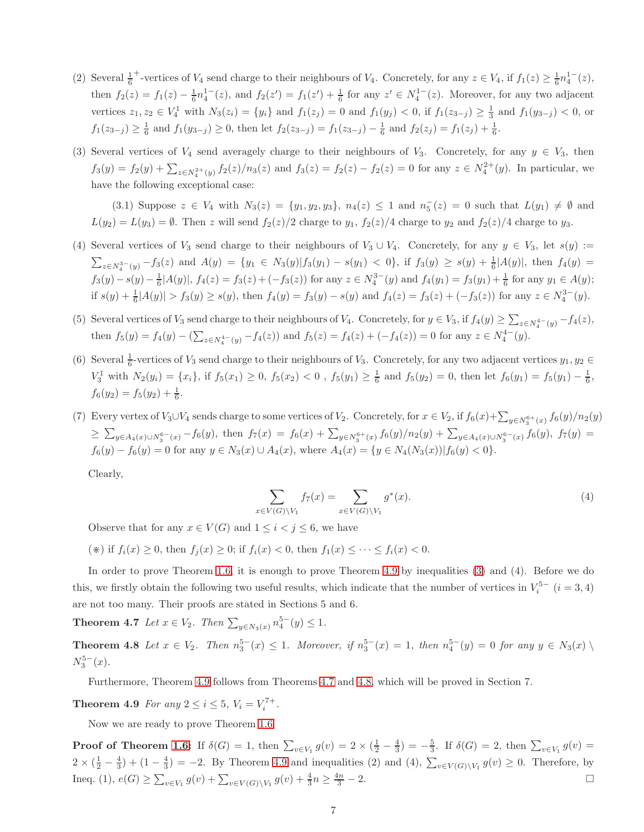- $(2)$  Several  $\frac{1}{6}$ +vertices of  $V_4$  send charge to their neighbours of  $V_4$ . Concretely, for any  $z \in V_4$ , if  $f_1(z) \geq \frac{1}{6} n_4^{1-}(z)$ , then  $f_2(z) = f_1(z) - \frac{1}{6}n_4^{1-}(z)$ , and  $f_2(z') = f_1(z') + \frac{1}{6}$  for any  $z' \in N_4^{1-}(z)$ . Moreover, for any two adjacent vertices  $z_1, z_2 \in V_4^1$  with  $N_3(z_i) = \{y_i\}$  and  $f_1(z_j) = 0$  and  $f_1(y_j) < 0$ , if  $f_1(z_{3-j}) \ge \frac{1}{3}$  and  $f_1(y_{3-j}) < 0$ , or  $f_1(z_{3-j}) \geq \frac{1}{6}$  and  $f_1(y_{3-j}) \geq 0$ , then let  $f_2(z_{3-j}) = f_1(z_{3-j}) - \frac{1}{6}$  and  $f_2(z_j) = f_1(z_j) + \frac{1}{6}$ .
- (3) Several vertices of  $V_4$  send averagely charge to their neighbours of  $V_3$ . Concretely, for any  $y \in V_3$ , then  $f_3(y) = f_2(y) + \sum_{z \in N_4^{2+}(y)} f_2(z)/n_3(z)$  and  $f_3(z) = f_2(z) - f_2(z) = 0$  for any  $z \in N_4^{2+}(y)$ . In particular, we have the following exceptional case:

(3.1) Suppose  $z \in V_4$  with  $N_3(z) = \{y_1, y_2, y_3\}, n_4(z) \leq 1$  and  $n_5(z) = 0$  such that  $L(y_1) \neq \emptyset$  and  $L(y_2) = L(y_3) = \emptyset$ . Then z will send  $f_2(z)/2$  charge to  $y_1$ ,  $f_2(z)/4$  charge to  $y_2$  and  $f_2(z)/4$  charge to  $y_3$ .

- (4) Several vertices of  $V_3$  send charge to their neighbours of  $V_3 \cup V_4$ . Concretely, for any  $y \in V_3$ , let  $s(y) :=$  $\sum_{z \in N_4^{3-}(y)} -f_3(z)$  and  $A(y) = \{y_1 \in N_3(y)|f_3(y_1) - s(y_1) < 0\}$ , if  $f_3(y) \ge s(y) + \frac{1}{6}|A(y)|$ , then  $f_4(y) =$  $f_3(y) - s(y) - \frac{1}{6}|A(y)|$ ,  $f_4(z) = f_3(z) + (-f_3(z))$  for any  $z \in N_4^{3-}(y)$  and  $f_4(y_1) = f_3(y_1) + \frac{1}{6}$  for any  $y_1 \in A(y)$ ; if  $s(y) + \frac{1}{6}|A(y)| > f_3(y) \geq s(y)$ , then  $f_4(y) = f_3(y) - s(y)$  and  $f_4(z) = f_3(z) + (-f_3(z))$  for any  $z \in N_4^{3-}(y)$ .
- (5) Several vertices of  $V_3$  send charge to their neighbours of  $V_4$ . Concretely, for  $y \in V_3$ , if  $f_4(y) \ge \sum_{z \in N_4^{4-}(y)} -f_4(z)$ , then  $f_5(y) = f_4(y) - \left(\sum_{z \in N_4^{4-}(y)} - f_4(z)\right)$  and  $f_5(z) = f_4(z) + (-f_4(z)) = 0$  for any  $z \in N_4^{4-}(y)$ .
- (6) Several  $\frac{1}{6}$ -vertices of  $V_3$  send charge to their neighbours of  $V_3$ . Concretely, for any two adjacent vertices  $y_1, y_2 \in$  $V_3^1$  with  $N_2(y_i) = \{x_i\}$ , if  $f_5(x_1) \geq 0$ ,  $f_5(x_2) < 0$ ,  $f_5(y_1) \geq \frac{1}{6}$  and  $f_5(y_2) = 0$ , then let  $f_6(y_1) = f_5(y_1) - \frac{1}{6}$ ,  $f_6(y_2) = f_5(y_2) + \frac{1}{6}.$
- (7) Every vertex of  $V_3\cup V_4$  sends charge to some vertices of  $V_2$ . Concretely, for  $x\in V_2$ , if  $f_6(x)+\sum_{y\in N_3^{6+}(x)}f_6(y)/n_2(y)$  $\geq \sum_{y \in A_4(x) \cup N_3^{6-}(x)} - f_6(y)$ , then  $f_7(x) = f_6(x) + \sum_{y \in N_3^{6+}(x)} f_6(y)/n_2(y) + \sum_{y \in A_4(x) \cup N_3^{6-}(x)} f_6(y)$ ,  $f_7(y) =$  $f_6(y) - f_6(y) = 0$  for any  $y \in N_3(x) \cup A_4(x)$ , where  $A_4(x) = \{y \in N_4(N_3(x)) | f_6(y) < 0\}.$

Clearly,

$$
\sum_{x \in V(G) \backslash V_1} f_7(x) = \sum_{x \in V(G) \backslash V_1} g^*(x). \tag{4}
$$

Observe that for any  $x \in V(G)$  and  $1 \leq i < j \leq 6$ , we have

(\*) if  $f_i(x) \geq 0$ , then  $f_i(x) \geq 0$ ; if  $f_i(x) < 0$ , then  $f_1(x) \leq \cdots \leq f_i(x) < 0$ .

<span id="page-6-1"></span>In order to prove Theorem [1.6,](#page-1-3) it is enough to prove Theorem [4.9](#page-6-0) by inequalities [\(3\)](#page-5-0) and (4). Before we do this, we firstly obtain the following two useful results, which indicate that the number of vertices in  $V_i^{5-}$   $(i = 3, 4)$ are not too many. Their proofs are stated in Sections 5 and 6.

<span id="page-6-2"></span>**Theorem 4.7** *Let*  $x \in V_2$ *. Then*  $\sum_{y \in N_3(x)} n_4^{5-}(y) \le 1$ *.* 

**Theorem 4.8** *Let*  $x \in V_2$ *. Then*  $n_3^{5-}(x) \le 1$ *. Moreover, if*  $n_3^{5-}(x) = 1$ *, then*  $n_4^{5-}(y) = 0$  *for any*  $y \in N_3(x) \setminus \mathbb{R}$  $N_3^{5-}(x)$ .

<span id="page-6-0"></span>Furthermore, Theorem [4.9](#page-6-0) follows from Theorems [4.7](#page-6-1) and [4.8,](#page-6-2) which will be proved in Section 7.

**Theorem 4.9** *For any*  $2 \le i \le 5$ ,  $V_i = V_i^{7+}$ .

Now we are ready to prove Theorem [1.6.](#page-1-3)

**Proof of Theorem [1.6:](#page-1-3)** If  $\delta(G) = 1$ , then  $\sum_{v \in V_1} g(v) = 2 \times (\frac{1}{2} - \frac{4}{3}) = -\frac{5}{3}$ . If  $\delta(G) = 2$ , then  $\sum_{v \in V_1} g(v) =$  $2 \times (\frac{1}{2} - \frac{4}{3}) + (1 - \frac{4}{3}) = -2$ . By Theorem [4.9](#page-6-0) and inequalities (2) and (4),  $\sum_{v \in V(G) \setminus V_1} g(v) \ge 0$ . Therefore, by Ineq. (1),  $e(G) \ge \sum_{v \in V_1} g(v) + \sum_{v \in V(G) \setminus V_1} g(v) + \frac{4}{3}n \ge \frac{4n}{3}$  $\frac{3n}{3} - 2.$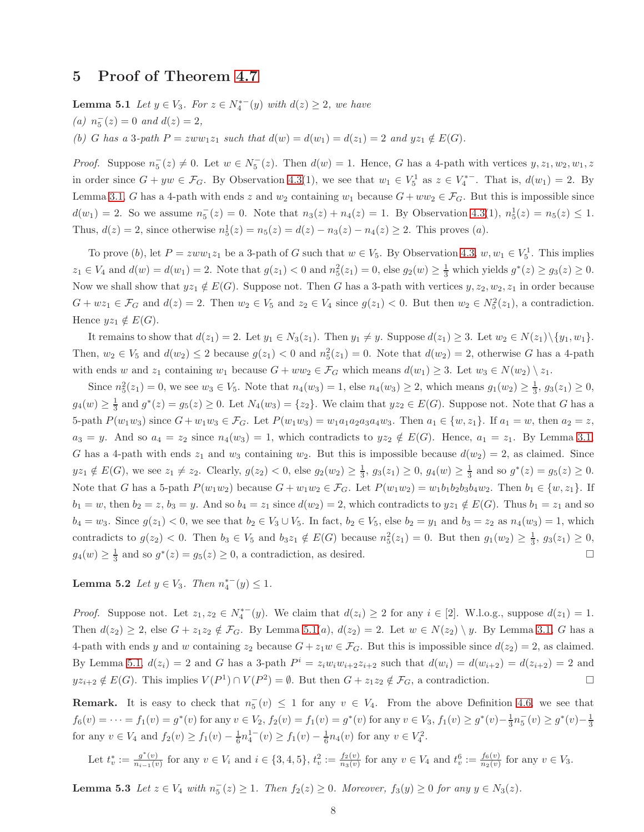### <span id="page-7-0"></span>5 Proof of Theorem [4.7](#page-6-1)

**Lemma 5.1** *Let*  $y \in V_3$ *. For*  $z \in N_4^{*-}(y)$  *with*  $d(z) ≥ 2$ *, we have* 

 $(n)$   $n_5^-(z) = 0$  *and*  $d(z) = 2$ *,* 

*(b) G has a* 3*-path*  $P = zww_1z_1$  *such that*  $d(w) = d(w_1) = d(z_1) = 2$  *and*  $yz_1 \notin E(G)$ *.* 

*Proof.* Suppose  $n_5^-(z) \neq 0$ . Let  $w \in N_5^-(z)$ . Then  $d(w) = 1$ . Hence, G has a 4-path with vertices  $y, z_1, w_2, w_1, z_2$ in order since  $G + yw \in \mathcal{F}_G$ . By Observation [4.3\(](#page-5-1)1), we see that  $w_1 \in V_5^1$  as  $z \in V_4^{*-}$ . That is,  $d(w_1) = 2$ . By Lemma [3.1,](#page-2-2) G has a 4-path with ends z and  $w_2$  containing  $w_1$  because  $G + ww_2 \in \mathcal{F}_G$ . But this is impossible since  $d(w_1) = 2$ . So we assume  $n_5^-(z) = 0$ . Note that  $n_3(z) + n_4(z) = 1$ . By Observation [4.3\(](#page-5-1)1),  $n_5^1(z) = n_5(z) \le 1$ . Thus,  $d(z) = 2$ , since otherwise  $n_5^1(z) = n_5(z) = d(z) - n_3(z) - n_4(z) \ge 2$ . This proves (*a*).

To prove (b), let  $P = zww_1z_1$  be a 3-path of G such that  $w \in V_5$ . By Observation [4.3,](#page-5-1)  $w, w_1 \in V_5^1$ . This implies  $z_1 \in V_4$  and  $d(w) = d(w_1) = 2$ . Note that  $g(z_1) < 0$  and  $n_5^2(z_1) = 0$ , else  $g_2(w) \ge \frac{1}{3}$  which yields  $g^*(z) \ge g_3(z) \ge 0$ . Now we shall show that  $yz_1 \notin E(G)$ . Suppose not. Then G has a 3-path with vertices  $y, z_2, w_2, z_1$  in order because  $G + wz_1 \in \mathcal{F}_G$  and  $d(z) = 2$ . Then  $w_2 \in V_5$  and  $z_2 \in V_4$  since  $g(z_1) < 0$ . But then  $w_2 \in N_5^2(z_1)$ , a contradiction. Hence  $yz_1 \notin E(G)$ .

It remains to show that  $d(z_1) = 2$ . Let  $y_1 \in N_3(z_1)$ . Then  $y_1 \neq y$ . Suppose  $d(z_1) \geq 3$ . Let  $w_2 \in N(z_1) \setminus \{y_1, w_1\}$ . Then,  $w_2 \in V_5$  and  $d(w_2) \leq 2$  because  $g(z_1) < 0$  and  $n_5^2(z_1) = 0$ . Note that  $d(w_2) = 2$ , otherwise G has a 4-path with ends w and  $z_1$  containing  $w_1$  because  $G + w w_2 \in \mathcal{F}_G$  which means  $d(w_1) \geq 3$ . Let  $w_3 \in N(w_2) \setminus z_1$ .

Since  $n_5^2(z_1) = 0$ , we see  $w_3 \in V_5$ . Note that  $n_4(w_3) = 1$ , else  $n_4(w_3) \ge 2$ , which means  $g_1(w_2) \ge \frac{1}{3}$ ,  $g_3(z_1) \ge 0$ ,  $g_4(w) \geq \frac{1}{3}$  and  $g^*(z) = g_5(z) \geq 0$ . Let  $N_4(w_3) = \{z_2\}$ . We claim that  $yz_2 \in E(G)$ . Suppose not. Note that G has a 5-path  $P(w_1w_3)$  since  $G + w_1w_3 \in \mathcal{F}_G$ . Let  $P(w_1w_3) = w_1a_1a_2a_3a_4w_3$ . Then  $a_1 \in \{w, z_1\}$ . If  $a_1 = w$ , then  $a_2 = z$ ,  $a_3 = y$ . And so  $a_4 = z_2$  since  $n_4(w_3) = 1$ , which contradicts to  $yz_2 \notin E(G)$ . Hence,  $a_1 = z_1$ . By Lemma [3.1,](#page-2-2) G has a 4-path with ends  $z_1$  and  $w_3$  containing  $w_2$ . But this is impossible because  $d(w_2) = 2$ , as claimed. Since  $yz_1 \notin E(G)$ , we see  $z_1 \neq z_2$ . Clearly,  $g(z_2) < 0$ , else  $g_2(w_2) \geq \frac{1}{3}$ ,  $g_3(z_1) \geq 0$ ,  $g_4(w) \geq \frac{1}{3}$  and so  $g^*(z) = g_5(z) \geq 0$ . Note that G has a 5-path  $P(w_1w_2)$  because  $G + w_1w_2 \in \mathcal{F}_G$ . Let  $P(w_1w_2) = w_1b_1b_2b_3b_4w_2$ . Then  $b_1 \in \{w, z_1\}$ . If  $b_1 = w$ , then  $b_2 = z$ ,  $b_3 = y$ . And so  $b_4 = z_1$  since  $d(w_2) = 2$ , which contradicts to  $yz_1 \notin E(G)$ . Thus  $b_1 = z_1$  and so  $b_4 = w_3$ . Since  $g(z_1) < 0$ , we see that  $b_2 \in V_3 \cup V_5$ . In fact,  $b_2 \in V_5$ , else  $b_2 = y_1$  and  $b_3 = z_2$  as  $n_4(w_3) = 1$ , which contradicts to  $g(z_2) < 0$ . Then  $b_3 \in V_5$  and  $b_3z_1 \notin E(G)$  because  $n_5^2(z_1) = 0$ . But then  $g_1(w_2) \geq \frac{1}{3}$ ,  $g_3(z_1) \geq 0$ ,  $g_4(w) \geq \frac{1}{3}$  and so  $g^*(z) = g_5(z) \geq 0$ , a contradiction, as desired.

<span id="page-7-1"></span>Lemma 5.2 *Let*  $y \in V_3$ *. Then*  $n_4^{*-}(y) \leq 1$ *.* 

*Proof.* Suppose not. Let  $z_1, z_2 \in N_4^{*-}(y)$ . We claim that  $d(z_i) \geq 2$  for any  $i \in [2]$ . W.l.o.g., suppose  $d(z_1) = 1$ . Then  $d(z_2) \geq 2$ , else  $G + z_1z_2 \notin \mathcal{F}_G$ . By Lemma [5.1\(](#page-7-0)a),  $d(z_2) = 2$ . Let  $w \in N(z_2) \setminus y$ . By Lemma [3.1,](#page-2-2) G has a 4-path with ends y and w containing  $z_2$  because  $G + z_1w \in \mathcal{F}_G$ . But this is impossible since  $d(z_2) = 2$ , as claimed. By Lemma [5.1,](#page-7-0)  $d(z_i) = 2$  and G has a 3-path  $P^i = z_i w_i w_{i+2} z_{i+2}$  such that  $d(w_i) = d(w_{i+2}) = d(z_{i+2}) = 2$  and  $yz_{i+2} \notin E(G)$ . This implies  $V(P^1) \cap V(P^2) = \emptyset$ . But then  $G + z_1z_2 \notin \mathcal{F}_G$ , a contradiction.

**Remark.** It is easy to check that  $n_5^-(v) \leq 1$  for any  $v \in V_4$ . From the above Definition [4.6,](#page-5-2) we see that  $f_6(v) = \cdots = f_1(v) = g^*(v)$  for any  $v \in V_2$ ,  $f_2(v) = f_1(v) = g^*(v)$  for any  $v \in V_3$ ,  $f_1(v) \ge g^*(v) - \frac{1}{3}n_5^-(v) \ge g^*(v) - \frac{1}{3}n_5^-(v)$ for any  $v \in V_4$  and  $f_2(v) \ge f_1(v) - \frac{1}{6}n_4^{1-}(v) \ge f_1(v) - \frac{1}{6}n_4(v)$  for any  $v \in V_4^2$ .

<span id="page-7-2"></span>Let 
$$
t_v^* := \frac{g^*(v)}{n_{i-1}(v)}
$$
 for any  $v \in V_i$  and  $i \in \{3, 4, 5\}$ ,  $t_v^2 := \frac{f_2(v)}{n_3(v)}$  for any  $v \in V_4$  and  $t_v^6 := \frac{f_6(v)}{n_2(v)}$  for any  $v \in V_3$ .

**Lemma 5.3** *Let*  $z \in V_4$  *with*  $n_5^-(z) \ge 1$ *. Then*  $f_2(z) \ge 0$ *. Moreover,*  $f_3(y) \ge 0$  *for any*  $y \in N_3(z)$ *.*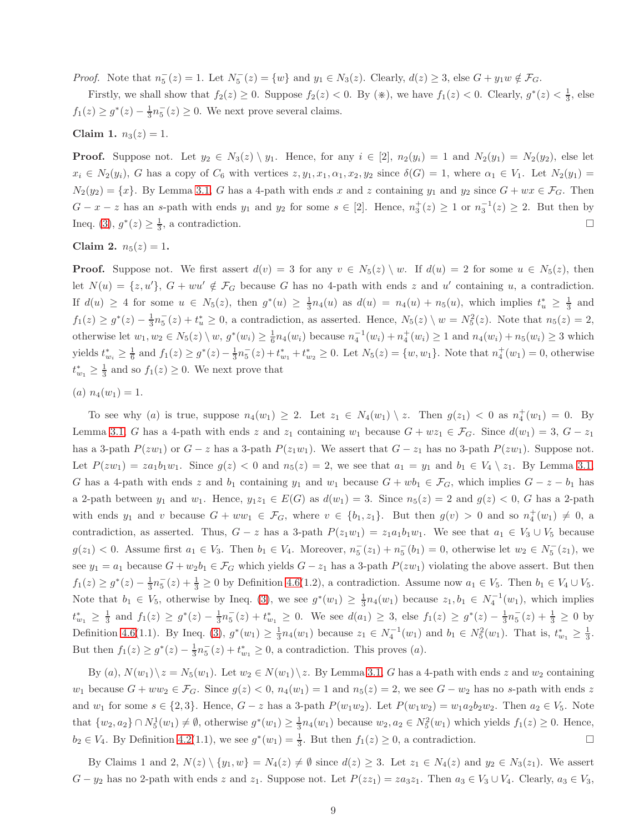*Proof.* Note that  $n_5^-(z) = 1$ . Let  $N_5^-(z) = \{w\}$  and  $y_1 \in N_3(z)$ . Clearly,  $d(z) \geq 3$ , else  $G + y_1 w \notin \mathcal{F}_G$ .

Firstly, we shall show that  $f_2(z) \ge 0$ . Suppose  $f_2(z) < 0$ . By  $(\divideontimes)$ , we have  $f_1(z) < 0$ . Clearly,  $g^*(z) < \frac{1}{3}$ , else  $f_1(z) \ge g^*(z) - \frac{1}{3}n_5^-(z) \ge 0$ . We next prove several claims.

Claim 1.  $n_3(z) = 1$ .

**Proof.** Suppose not. Let  $y_2 \in N_3(z) \setminus y_1$ . Hence, for any  $i \in [2]$ ,  $n_2(y_i) = 1$  and  $N_2(y_1) = N_2(y_2)$ , else let  $x_i \in N_2(y_i)$ , G has a copy of  $C_6$  with vertices  $z, y_1, x_1, \alpha_1, x_2, y_2$  since  $\delta(G) = 1$ , where  $\alpha_1 \in V_1$ . Let  $N_2(y_1) =$  $N_2(y_2) = \{x\}$ . By Lemma [3.1,](#page-2-2) G has a 4-path with ends x and z containing  $y_1$  and  $y_2$  since  $G + wx \in \mathcal{F}_G$ . Then  $G-x-z$  has an s-path with ends  $y_1$  and  $y_2$  for some  $s \in [2]$ . Hence,  $n_3^+(z) \geq 1$  or  $n_3^{-1}(z) \geq 2$ . But then by Ineq. [\(3\)](#page-5-0),  $g^*(z) \ge \frac{1}{3}$ , a contradiction.

Claim 2.  $n_5(z) = 1$ .

**Proof.** Suppose not. We first assert  $d(v) = 3$  for any  $v \in N_5(z) \setminus w$ . If  $d(u) = 2$  for some  $u \in N_5(z)$ , then let  $N(u) = \{z, u'\}, G + w u' \notin \mathcal{F}_G$  because G has no 4-path with ends z and u' containing u, a contradiction. If  $d(u) \geq 4$  for some  $u \in N_5(z)$ , then  $g^*(u) \geq \frac{1}{3}n_4(u)$  as  $d(u) = n_4(u) + n_5(u)$ , which implies  $t_u^* \geq \frac{1}{3}$  and  $f_1(z) \ge g^*(z) - \frac{1}{3}n_5(z) + t_u^* \ge 0$ , a contradiction, as asserted. Hence,  $N_5(z) \setminus w = N_5^2(z)$ . Note that  $n_5(z) = 2$ , otherwise let  $w_1, w_2 \in N_5(z) \setminus w$ ,  $g^*(w_i) \geq \frac{1}{6} n_4(w_i)$  because  $n_4^{-1}(w_i) + n_4^+(w_i) \geq 1$  and  $n_4(w_i) + n_5(w_i) \geq 3$  which yields  $t_{w_i}^* \geq \frac{1}{6}$  and  $f_1(z) \geq g^*(z) - \frac{1}{3}n_5^-(z) + t_{w_1}^* + t_{w_2}^* \geq 0$ . Let  $N_5(z) = \{w, w_1\}$ . Note that  $n_4^+(w_1) = 0$ , otherwise  $t_{w_1}^* \geq \frac{1}{3}$  and so  $f_1(z) \geq 0$ . We next prove that

(a)  $n_4(w_1) = 1$ .

To see why (a) is true, suppose  $n_4(w_1) \geq 2$ . Let  $z_1 \in N_4(w_1) \setminus z$ . Then  $g(z_1) < 0$  as  $n_4^+(w_1) = 0$ . By Lemma [3.1,](#page-2-2) G has a 4-path with ends z and  $z_1$  containing  $w_1$  because  $G + wz_1 \in \mathcal{F}_G$ . Since  $d(w_1) = 3$ ,  $G - z_1$ has a 3-path  $P(zw_1)$  or  $G - z$  has a 3-path  $P(z_1w_1)$ . We assert that  $G - z_1$  has no 3-path  $P(zw_1)$ . Suppose not. Let  $P(zw_1) = za_1b_1w_1$ . Since  $g(z) < 0$  and  $n_5(z) = 2$ , we see that  $a_1 = y_1$  and  $b_1 \in V_4 \setminus z_1$ . By Lemma [3.1,](#page-2-2) G has a 4-path with ends z and  $b_1$  containing  $y_1$  and  $w_1$  because  $G + wb_1 \in \mathcal{F}_G$ , which implies  $G - z - b_1$  has a 2-path between  $y_1$  and  $w_1$ . Hence,  $y_1z_1 \in E(G)$  as  $d(w_1) = 3$ . Since  $n_5(z) = 2$  and  $g(z) < 0$ , G has a 2-path with ends  $y_1$  and v because  $G + ww_1 \in \mathcal{F}_G$ , where  $v \in \{b_1, z_1\}$ . But then  $g(v) > 0$  and so  $n_4^+(w_1) \neq 0$ , a contradiction, as asserted. Thus,  $G - z$  has a 3-path  $P(z_1w_1) = z_1a_1b_1w_1$ . We see that  $a_1 \in V_3 \cup V_5$  because  $g(z_1) < 0$ . Assume first  $a_1 \in V_3$ . Then  $b_1 \in V_4$ . Moreover,  $n_5^-(z_1) + n_5^-(b_1) = 0$ , otherwise let  $w_2 \in N_5^-(z_1)$ , we see  $y_1 = a_1$  because  $G + w_2b_1 \in \mathcal{F}_G$  which yields  $G - z_1$  has a 3-path  $P(zw_1)$  violating the above assert. But then  $f_1(z) \ge g^*(z) - \frac{1}{3}n_5(z) + \frac{1}{3} \ge 0$  by Definition [4.6\(](#page-5-2)1.2), a contradiction. Assume now  $a_1 \in V_5$ . Then  $b_1 \in V_4 \cup V_5$ . Note that  $b_1 \in V_5$ , otherwise by Ineq. [\(3\)](#page-5-0), we see  $g^*(w_1) \geq \frac{1}{3}n_4(w_1)$  because  $z_1, b_1 \in N_4^{-1}(w_1)$ , which implies  $t_{w_1}^* \geq \frac{1}{3}$  and  $f_1(z) \geq g^*(z) - \frac{1}{3}n_5^-(z) + t_{w_1}^* \geq 0$ . We see  $d(a_1) \geq 3$ , else  $f_1(z) \geq g^*(z) - \frac{1}{3}n_5^-(z) + \frac{1}{3} \geq 0$  by Definition [4.6\(](#page-5-2)1.1). By Ineq. [\(3\)](#page-5-0),  $g^*(w_1) \geq \frac{1}{3}n_4(w_1)$  because  $z_1 \in N_4^{-1}(w_1)$  and  $b_1 \in N_5^2(w_1)$ . That is,  $t_{w_1}^* \geq \frac{1}{3}$ . But then  $f_1(z) \ge g^*(z) - \frac{1}{3}n_5^-(z) + t_{w_1}^* \ge 0$ , a contradiction. This proves (*a*).

By  $(a)$ ,  $N(w_1)\backslash z = N_5(w_1)$ . Let  $w_2 \in N(w_1)\backslash z$ . By Lemma [3.1,](#page-2-2) G has a 4-path with ends z and  $w_2$  containing  $w_1$  because  $G + ww_2 \in \mathcal{F}_G$ . Since  $g(z) < 0$ ,  $n_4(w_1) = 1$  and  $n_5(z) = 2$ , we see  $G - w_2$  has no s-path with ends z and  $w_1$  for some  $s \in \{2,3\}$ . Hence,  $G - z$  has a 3-path  $P(w_1w_2)$ . Let  $P(w_1w_2) = w_1a_2b_2w_2$ . Then  $a_2 \in V_5$ . Note that  $\{w_2, a_2\} \cap N_5^1(w_1) \neq \emptyset$ , otherwise  $g^*(w_1) \geq \frac{1}{3}n_4(w_1)$  because  $w_2, a_2 \in N_5^2(w_1)$  which yields  $f_1(z) \geq 0$ . Hence,  $b_2 \in V_4$ . By Definition [4.2\(](#page-4-0)1.1), we see  $g^*(w_1) = \frac{1}{3}$ . But then  $f_1(z) \ge 0$ , a contradiction.

By Claims 1 and 2,  $N(z) \setminus \{y_1, w\} = N_4(z) \neq \emptyset$  since  $d(z) \geq 3$ . Let  $z_1 \in N_4(z)$  and  $y_2 \in N_3(z_1)$ . We assert  $G - y_2$  has no 2-path with ends z and  $z_1$ . Suppose not. Let  $P(z_1) = za_3z_1$ . Then  $a_3 \in V_3 \cup V_4$ . Clearly,  $a_3 \in V_3$ ,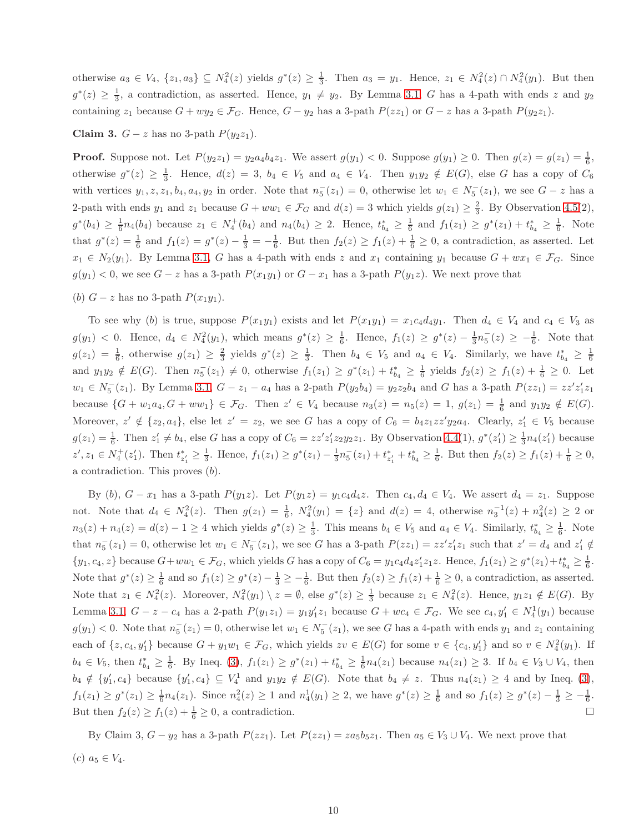otherwise  $a_3 \in V_4$ ,  $\{z_1, a_3\} \subseteq N_4^2(z)$  yields  $g^*(z) \ge \frac{1}{3}$ . Then  $a_3 = y_1$ . Hence,  $z_1 \in N_4^2(z) \cap N_4^2(y_1)$ . But then  $g^*(z) \geq \frac{1}{3}$ , a contradiction, as asserted. Hence,  $y_1 \neq y_2$ . By Lemma [3.1,](#page-2-2) G has a 4-path with ends z and  $y_2$ containing  $z_1$  because  $G + wy_2 \in \mathcal{F}_G$ . Hence,  $G - y_2$  has a 3-path  $P(z_1)$  or  $G - z$  has a 3-path  $P(y_2z_1)$ .

Claim 3.  $G - z$  has no 3-path  $P(y_2z_1)$ .

**Proof.** Suppose not. Let  $P(y_2z_1) = y_2a_4b_4z_1$ . We assert  $g(y_1) < 0$ . Suppose  $g(y_1) \ge 0$ . Then  $g(z) = g(z_1) = \frac{1}{6}$ , otherwise  $g^*(z) \geq \frac{1}{3}$ . Hence,  $d(z) = 3$ ,  $b_4 \in V_5$  and  $a_4 \in V_4$ . Then  $y_1y_2 \notin E(G)$ , else G has a copy of  $C_6$ with vertices  $y_1, z, z_1, b_4, a_4, y_2$  in order. Note that  $n_5^-(z_1) = 0$ , otherwise let  $w_1 \in N_5^-(z_1)$ , we see  $G - z$  has a 2-path with ends  $y_1$  and  $z_1$  because  $G + ww_1 \in \mathcal{F}_G$  and  $d(z) = 3$  which yields  $g(z_1) \geq \frac{2}{3}$ . By Observation [4.5\(](#page-5-3)2),  $g^*(b_4) \geq \frac{1}{6}n_4(b_4)$  because  $z_1 \in N_4^+(b_4)$  and  $n_4(b_4) \geq 2$ . Hence,  $t_{b_4}^* \geq \frac{1}{6}$  and  $f_1(z_1) \geq g^*(z_1) + t_{b_4}^* \geq \frac{1}{6}$ . Note that  $g^*(z) = \frac{1}{6}$  and  $f_1(z) = g^*(z) - \frac{1}{3} = -\frac{1}{6}$ . But then  $f_2(z) \ge f_1(z) + \frac{1}{6} \ge 0$ , a contradiction, as asserted. Let  $x_1 \in N_2(y_1)$ . By Lemma [3.1,](#page-2-2) G has a 4-path with ends z and  $x_1$  containing  $y_1$  because  $G + wx_1 \in \mathcal{F}_G$ . Since  $g(y_1) < 0$ , we see  $G - z$  has a 3-path  $P(x_1y_1)$  or  $G - x_1$  has a 3-path  $P(y_1z)$ . We next prove that

(b)  $G - z$  has no 3-path  $P(x_1y_1)$ .

To see why (b) is true, suppose  $P(x_1y_1)$  exists and let  $P(x_1y_1) = x_1c_4d_4y_1$ . Then  $d_4 \in V_4$  and  $c_4 \in V_3$  as  $g(y_1) < 0$ . Hence,  $d_4 \in N_4^2(y_1)$ , which means  $g^*(z) \geq \frac{1}{6}$ . Hence,  $f_1(z) \geq g^*(z) - \frac{1}{3}n_5^-(z) \geq -\frac{1}{6}$ . Note that  $g(z_1) = \frac{1}{6}$ , otherwise  $g(z_1) \geq \frac{2}{3}$  yields  $g^*(z) \geq \frac{1}{3}$ . Then  $b_4 \in V_5$  and  $a_4 \in V_4$ . Similarly, we have  $t_{b_4}^* \geq \frac{1}{6}$ and  $y_1y_2 \notin E(G)$ . Then  $n_5^-(z_1) \neq 0$ , otherwise  $f_1(z_1) \geq g^*(z_1) + t_{b_4}^* \geq \frac{1}{6}$  yields  $f_2(z) \geq f_1(z) + \frac{1}{6} \geq 0$ . Let  $w_1 \in N_5^-(z_1)$ . By Lemma [3.1,](#page-2-2)  $G - z_1 - a_4$  has a 2-path  $P(y_2b_4) = y_2z_2b_4$  and G has a 3-path  $P(zz_1) = zz'z_1'z_1$ because  $\{G + w_1a_4, G + ww_1\} \in \mathcal{F}_G$ . Then  $z' \in V_4$  because  $n_3(z) = n_5(z) = 1$ ,  $g(z_1) = \frac{1}{6}$  and  $y_1y_2 \notin E(G)$ . Moreover,  $z' \notin \{z_2, a_4\}$ , else let  $z' = z_2$ , we see G has a copy of  $C_6 = b_4 z_1 z z' y_2 a_4$ . Clearly,  $z'_1 \in V_5$  because  $g(z_1) = \frac{1}{6}$ . Then  $z'_1 \neq b_4$ , else G has a copy of  $C_6 = zz'z'_1z_2y_2z_1$ . By Observation [4.4\(](#page-5-4)1),  $g^*(z'_1) \geq \frac{1}{3}n_4(z'_1)$  because  $z', z_1 \in N_4^+(z_1')$ . Then  $t_{z_1'}^* \geq \frac{1}{3}$ . Hence,  $f_1(z_1) \geq g^*(z_1) - \frac{1}{3}n_5^-(z_1) + t_{z_1'}^* + t_{b_4}^* \geq \frac{1}{6}$ . But then  $f_2(z) \geq f_1(z) + \frac{1}{6} \geq 0$ , a contradiction. This proves (b).

By (b),  $G - x_1$  has a 3-path  $P(y_1z)$ . Let  $P(y_1z) = y_1c_4d_4z$ . Then  $c_4, d_4 \in V_4$ . We assert  $d_4 = z_1$ . Suppose not. Note that  $d_4 \in N_4^2(z)$ . Then  $g(z_1) = \frac{1}{6}$ ,  $N_4^2(y_1) = \{z\}$  and  $d(z) = 4$ , otherwise  $n_3^{-1}(z) + n_4^2(z) \ge 2$  or  $n_3(z) + n_4(z) = d(z) - 1 \ge 4$  which yields  $g^*(z) \ge \frac{1}{3}$ . This means  $b_4 \in V_5$  and  $a_4 \in V_4$ . Similarly,  $t_{b_4}^* \ge \frac{1}{6}$ . Note that  $n_5^-(z_1) = 0$ , otherwise let  $w_1 \in N_5^-(z_1)$ , we see G has a 3-path  $P(zz_1) = zz'z'_1z_1$  such that  $z' = d_4$  and  $z'_1 \notin$  $\{y_1, c_4, z\}$  because  $G + ww_1 \in \mathcal{F}_G$ , which yields G has a copy of  $C_6 = y_1c_4d_4z'_1z_1z$ . Hence,  $f_1(z_1) \geq g^*(z_1) + t_{b_4}^* \geq \frac{1}{6}$ . Note that  $g^*(z) \ge \frac{1}{6}$  and so  $f_1(z) \ge g^*(z) - \frac{1}{3} \ge -\frac{1}{6}$ . But then  $f_2(z) \ge f_1(z) + \frac{1}{6} \ge 0$ , a contradiction, as asserted. Note that  $z_1 \in N_4^2(z)$ . Moreover,  $N_4^2(y_1) \setminus z = \emptyset$ , else  $g^*(z) \ge \frac{1}{3}$  because  $z_1 \in N_4^2(z)$ . Hence,  $y_1z_1 \notin E(G)$ . By Lemma [3.1,](#page-2-2)  $G - z - c_4$  has a 2-path  $P(y_1z_1) = y_1y'_1z_1$  because  $G + wc_4 \in \mathcal{F}_G$ . We see  $c_4, y'_1 \in N_4^1(y_1)$  because  $g(y_1) < 0$ . Note that  $n_5^-(z_1) = 0$ , otherwise let  $w_1 \in N_5^-(z_1)$ , we see G has a 4-path with ends  $y_1$  and  $z_1$  containing each of  $\{z, c_4, y'_1\}$  because  $G + y_1w_1 \in \mathcal{F}_G$ , which yields  $zv \in E(G)$  for some  $v \in \{c_4, y'_1\}$  and so  $v \in N^2_4(y_1)$ . If  $b_4 \in V_5$ , then  $t_{b_4}^* \geq \frac{1}{6}$ . By Ineq. [\(3\)](#page-5-0),  $f_1(z_1) \geq g^*(z_1) + t_{b_4}^* \geq \frac{1}{6}n_4(z_1)$  because  $n_4(z_1) \geq 3$ . If  $b_4 \in V_3 \cup V_4$ , then  $b_4 \notin \{y'_1, c_4\}$  because  $\{y'_1, c_4\} \subseteq V_4^1$  and  $y_1y_2 \notin E(G)$ . Note that  $b_4 \neq z$ . Thus  $n_4(z_1) \geq 4$  and by Ineq. [\(3\)](#page-5-0),  $f_1(z_1) \ge g^*(z_1) \ge \frac{1}{6}n_4(z_1)$ . Since  $n_4^2(z) \ge 1$  and  $n_4^1(y_1) \ge 2$ , we have  $g^*(z) \ge \frac{1}{6}$  and so  $f_1(z) \ge g^*(z) - \frac{1}{3} \ge -\frac{1}{6}$ . But then  $f_2(z) \ge f_1(z) + \frac{1}{6} \ge 0$ , a contradiction.

By Claim 3,  $G - y_2$  has a 3-path  $P(zz_1)$ . Let  $P(zz_1) = za_5b_5z_1$ . Then  $a_5 \in V_3 \cup V_4$ . We next prove that (c)  $a_5 \in V_4$ .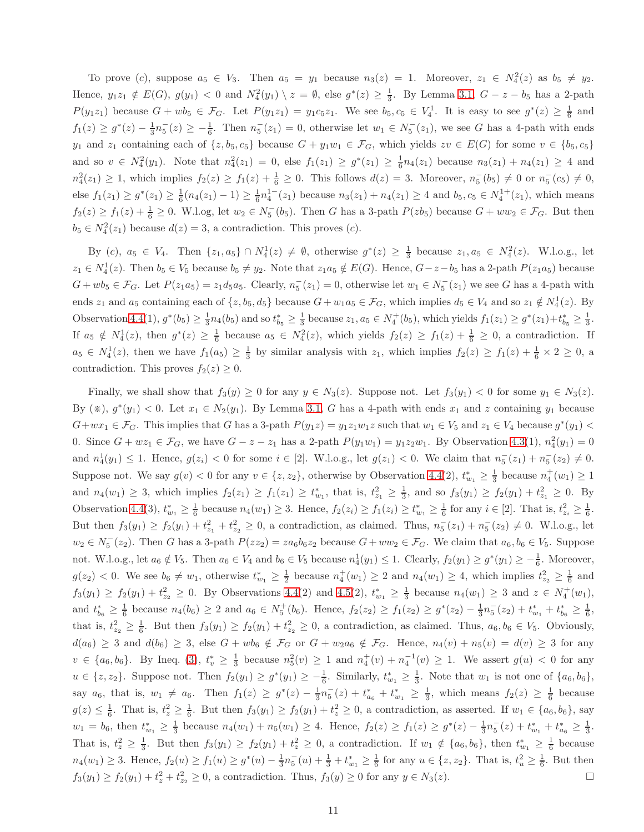To prove (c), suppose  $a_5 \in V_3$ . Then  $a_5 = y_1$  because  $n_3(z) = 1$ . Moreover,  $z_1 \in N_4^2(z)$  as  $b_5 \neq y_2$ . Hence,  $y_1z_1 \notin E(G)$ ,  $g(y_1) < 0$  and  $N_4^2(y_1) \setminus z = \emptyset$ , else  $g^*(z) \ge \frac{1}{3}$ . By Lemma [3.1,](#page-2-2)  $G - z - b_5$  has a 2-path  $P(y_1z_1)$  because  $G + wb_5 \in \mathcal{F}_G$ . Let  $P(y_1z_1) = y_1c_5z_1$ . We see  $b_5, c_5 \in V_4^1$ . It is easy to see  $g^*(z) \geq \frac{1}{6}$  and  $f_1(z) \ge g^*(z) - \frac{1}{3}n_5(z) \ge -\frac{1}{6}$ . Then  $n_5(z_1) = 0$ , otherwise let  $w_1 \in N_5(z_1)$ , we see G has a 4-path with ends y<sub>1</sub> and z<sub>1</sub> containing each of  $\{z, b_5, c_5\}$  because  $G + y_1w_1 \in \mathcal{F}_G$ , which yields  $zv \in E(G)$  for some  $v \in \{b_5, c_5\}$ and so  $v \in N_4^2(y_1)$ . Note that  $n_4^2(z_1) = 0$ , else  $f_1(z_1) \geq g^*(z_1) \geq \frac{1}{6}n_4(z_1)$  because  $n_3(z_1) + n_4(z_1) \geq 4$  and  $n_4^2(z_1) \ge 1$ , which implies  $f_2(z) \ge f_1(z) + \frac{1}{6} \ge 0$ . This follows  $d(z) = 3$ . Moreover,  $n_5^-(b_5) \ne 0$  or  $n_5^-(c_5) \ne 0$ , else  $f_1(z_1) \geq g^*(z_1) \geq \frac{1}{6}(n_4(z_1) - 1) \geq \frac{1}{6}n_4^{1-}(z_1)$  because  $n_3(z_1) + n_4(z_1) \geq 4$  and  $b_5, c_5 \in N_4^{1+}(z_1)$ , which means  $f_2(z) \ge f_1(z) + \frac{1}{6} \ge 0$ . W.l.og, let  $w_2 \in N_5^-(b_5)$ . Then G has a 3-path  $P(zb_5)$  because  $G + ww_2 \in \mathcal{F}_G$ . But then  $b_5 \in N_4^2(z_1)$  because  $d(z) = 3$ , a contradiction. This proves  $(c)$ .

By (c),  $a_5 \in V_4$ . Then  $\{z_1, a_5\} \cap N_4^1(z) \neq \emptyset$ , otherwise  $g^*(z) \geq \frac{1}{3}$  because  $z_1, a_5 \in N_4^2(z)$ . W.l.o.g., let  $z_1 \in N_4^1(z)$ . Then  $b_5 \in V_5$  because  $b_5 \neq y_2$ . Note that  $z_1a_5 \notin E(G)$ . Hence,  $G-z-b_5$  has a 2-path  $P(z_1a_5)$  because  $G + wb_5 \in \mathcal{F}_G$ . Let  $P(z_1a_5) = z_1d_5a_5$ . Clearly,  $n_5^-(z_1) = 0$ , otherwise let  $w_1 \in N_5^-(z_1)$  we see G has a 4-path with ends  $z_1$  and  $a_5$  containing each of  $\{z, b_5, d_5\}$  because  $G + w_1a_5 \in \mathcal{F}_G$ , which implies  $d_5 \in V_4$  and so  $z_1 \notin N_4^1(z)$ . By Observation [4.4\(](#page-5-4)1),  $g^*(b_5) \ge \frac{1}{3}n_4(b_5)$  and so  $t_{b_5}^* \ge \frac{1}{3}$  because  $z_1, a_5 \in N_4^+(b_5)$ , which yields  $f_1(z_1) \ge g^*(z_1) + t_{b_5}^* \ge \frac{1}{3}$ . If  $a_5 \notin N_4^1(z)$ , then  $g^*(z) \ge \frac{1}{6}$  because  $a_5 \in N_4^2(z)$ , which yields  $f_2(z) \ge f_1(z) + \frac{1}{6} \ge 0$ , a contradiction. If  $a_5 \in N_4^1(z)$ , then we have  $f_1(a_5) \geq \frac{1}{3}$  by similar analysis with  $z_1$ , which implies  $f_2(z) \geq f_1(z) + \frac{1}{6} \times 2 \geq 0$ , a contradiction. This proves  $f_2(z) \geq 0$ .

Finally, we shall show that  $f_3(y) \ge 0$  for any  $y \in N_3(z)$ . Suppose not. Let  $f_3(y_1) < 0$  for some  $y_1 \in N_3(z)$ . By  $(\divideontimes), g^*(y_1) < 0$ . Let  $x_1 \in N_2(y_1)$ . By Lemma [3.1,](#page-2-2) G has a 4-path with ends  $x_1$  and z containing  $y_1$  because  $G+wx_1 \in \mathcal{F}_G$ . This implies that G has a 3-path  $P(y_1z) = y_1z_1w_1z$  such that  $w_1 \in V_5$  and  $z_1 \in V_4$  because  $g^*(y_1)$ 0. Since  $G + wz_1 \in \mathcal{F}_G$ , we have  $G - z - z_1$  has a 2-path  $P(y_1w_1) = y_1z_2w_1$ . By Observation [4.3\(](#page-5-1)1),  $n_4^2(y_1) = 0$ and  $n_4^1(y_1) \le 1$ . Hence,  $g(z_i) < 0$  for some  $i \in [2]$ . W.l.o.g., let  $g(z_1) < 0$ . We claim that  $n_5^-(z_1) + n_5^-(z_2) \ne 0$ . Suppose not. We say  $g(v) < 0$  for any  $v \in \{z, z_2\}$ , otherwise by Observation [4.4\(](#page-5-4)2),  $t_{w_1}^* \geq \frac{1}{3}$  because  $n_4^+(w_1) \geq 1$ and  $n_4(w_1) \geq 3$ , which implies  $f_2(z_1) \geq f_1(z_1) \geq t_{w_1}^*$ , that is,  $t_{z_1}^2 \geq \frac{1}{3}$ , and so  $f_3(y_1) \geq f_2(y_1) + t_{z_1}^2 \geq 0$ . By Observation [4.4\(](#page-5-4)3),  $t_{w_1}^* \geq \frac{1}{6}$  because  $n_4(w_1) \geq 3$ . Hence,  $f_2(z_i) \geq f_1(z_i) \geq t_{w_1}^* \geq \frac{1}{6}$  for any  $i \in [2]$ . That is,  $t_{z_i}^2 \geq \frac{1}{6}$ . But then  $f_3(y_1) \ge f_2(y_1) + t_{z_1}^2 + t_{z_2}^2 \ge 0$ , a contradiction, as claimed. Thus,  $n_5^-(z_1) + n_5^-(z_2) \ne 0$ . W.l.o.g., let  $w_2 \in N_5^-(z_2)$ . Then G has a 3-path  $P(zz_2) = za_6b_6z_2$  because  $G + ww_2 \in \mathcal{F}_G$ . We claim that  $a_6, b_6 \in V_5$ . Suppose not. W.l.o.g., let  $a_6 \notin V_5$ . Then  $a_6 \in V_4$  and  $b_6 \in V_5$  because  $n_4^1(y_1) \leq 1$ . Clearly,  $f_2(y_1) \geq g^*(y_1) \geq -\frac{1}{6}$ . Moreover,  $g(z_2) < 0$ . We see  $b_6 \neq w_1$ , otherwise  $t_{w_1}^* \geq \frac{1}{2}$  because  $n_4^+(w_1) \geq 2$  and  $n_4(w_1) \geq 4$ , which implies  $t_{z_2}^2 \geq \frac{1}{6}$  and  $f_3(y_1) \ge f_2(y_1) + t_{z_2}^2 \ge 0$ . By Observations [4.4\(](#page-5-4)2) and [4.5\(](#page-5-3)2),  $t_{w_1}^* \ge \frac{1}{3}$  because  $n_4(w_1) \ge 3$  and  $z \in N_4^+(w_1)$ , and  $t_{b_6}^* \geq \frac{1}{6}$  because  $n_4(b_6) \geq 2$  and  $a_6 \in N_5^+(b_6)$ . Hence,  $f_2(z_2) \geq f_1(z_2) \geq g^*(z_2) - \frac{1}{3}n_5^-(z_2) + t_{w_1}^* + t_{b_6}^* \geq \frac{1}{6}$ , that is,  $t_{z_2}^2 \geq \frac{1}{6}$ . But then  $f_3(y_1) \geq f_2(y_1) + t_{z_2}^2 \geq 0$ , a contradiction, as claimed. Thus,  $a_6, b_6 \in V_5$ . Obviously,  $d(a_6) \geq 3$  and  $d(b_6) \geq 3$ , else  $G + wb_6 \notin \mathcal{F}_G$  or  $G + w_2a_6 \notin \mathcal{F}_G$ . Hence,  $n_4(v) + n_5(v) = d(v) \geq 3$  for any  $v \in \{a_6, b_6\}$ . By Ineq. [\(3\)](#page-5-0),  $t_v^* \geq \frac{1}{3}$  because  $n_5^2(v) \geq 1$  and  $n_4^+(v) + n_4^{-1}(v) \geq 1$ . We assert  $g(u) < 0$  for any  $u \in \{z, z_2\}$ . Suppose not. Then  $f_2(y_1) \ge g^*(y_1) \ge -\frac{1}{6}$ . Similarly,  $t_{w_1}^* \ge \frac{1}{3}$ . Note that  $w_1$  is not one of  $\{a_6, b_6\}$ , say  $a_6$ , that is,  $w_1 \neq a_6$ . Then  $f_1(z) \geq g^*(z) - \frac{1}{3}n_5^-(z) + t_{a_6}^* + t_{w_1}^* \geq \frac{1}{3}$ , which means  $f_2(z) \geq \frac{1}{6}$  because  $g(z) \leq \frac{1}{6}$ . That is,  $t_z^2 \geq \frac{1}{6}$ . But then  $f_3(y_1) \geq f_2(y_1) + t_z^2 \geq 0$ , a contradiction, as asserted. If  $w_1 \in \{a_6, b_6\}$ , say  $w_1 = b_6$ , then  $t_{w_1}^* \geq \frac{1}{3}$  because  $n_4(w_1) + n_5(w_1) \geq 4$ . Hence,  $f_2(z) \geq f_1(z) \geq g^*(z) - \frac{1}{3}n_5(z) + t_{w_1}^* + t_{a_6}^* \geq \frac{1}{3}$ . That is,  $t_z^2 \geq \frac{1}{3}$ . But then  $f_3(y_1) \geq f_2(y_1) + t_z^2 \geq 0$ , a contradiction. If  $w_1 \notin \{a_6, b_6\}$ , then  $t_{w_1}^* \geq \frac{1}{6}$  because  $n_4(w_1) \geq 3$ . Hence,  $f_2(u) \geq f_1(u) \geq g^*(u) - \frac{1}{3}n_5(u) + \frac{1}{3} + t_{w_1}^* \geq \frac{1}{6}$  for any  $u \in \{z, z_2\}$ . That is,  $t_u^2 \geq \frac{1}{6}$ . But then  $f_3(y_1) \ge f_2(y_1) + t_z^2 + t_{z_2}^2 \ge 0$ , a contradiction. Thus,  $f_3(y) \ge 0$  for any  $y \in N_3(z)$ .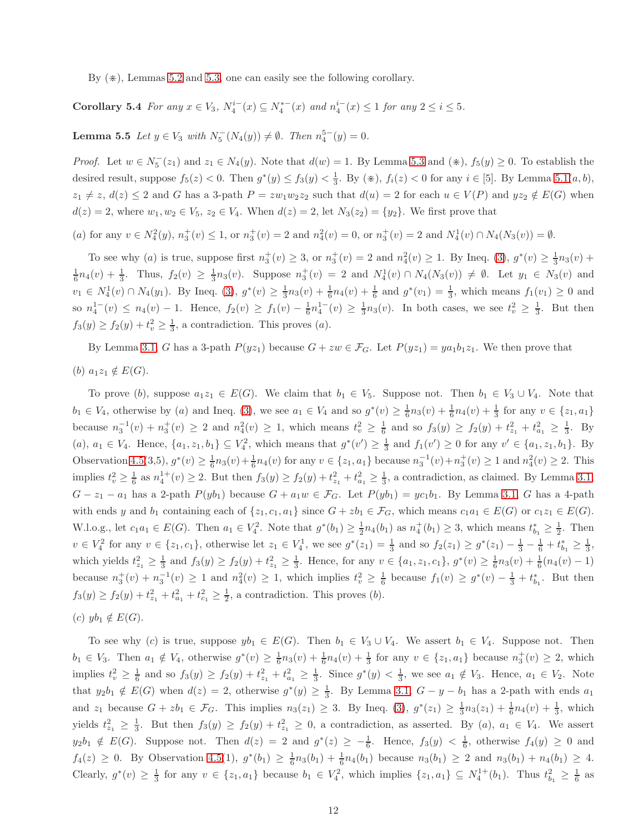<span id="page-11-0"></span>By  $(\ast)$ , Lemmas [5.2](#page-7-1) and [5.3,](#page-7-2) one can easily see the following corollary.

<span id="page-11-1"></span>Corollary 5.4 *For any*  $x \in V_3$ ,  $N_4^{i-}(x) \subseteq N_4^{*-}(x)$  and  $n_4^{i-}(x) \le 1$  *for any*  $2 \le i \le 5$ *.* 

**Lemma 5.5** *Let*  $y \in V_3$  *with*  $N_5^-(N_4(y)) \neq \emptyset$ *. Then*  $n_4^{5-}(y) = 0$ *.* 

*Proof.* Let  $w \in N_5^-(z_1)$  and  $z_1 \in N_4(y)$ . Note that  $d(w) = 1$ . By Lemma [5.3](#page-7-2) and  $(\divideontimes), f_5(y) \geq 0$ . To establish the desired result, suppose  $f_5(z) < 0$ . Then  $g^*(y) \le f_3(y) < \frac{1}{3}$ . By  $(\divideontimes)$ ,  $f_i(z) < 0$  for any  $i \in [5]$ . By Lemma 5.1 $(a, b)$ ,  $z_1 \neq z$ ,  $d(z) \leq 2$  and G has a 3-path  $P = zw_1w_2z_2$  such that  $d(u) = 2$  for each  $u \in V(P)$  and  $yz_2 \notin E(G)$  when  $d(z) = 2$ , where  $w_1, w_2 \in V_5$ ,  $z_2 \in V_4$ . When  $d(z) = 2$ , let  $N_3(z_2) = \{y_2\}$ . We first prove that

(a) for any  $v \in N_4^2(y)$ ,  $n_3^+(v) \le 1$ , or  $n_3^+(v) = 2$  and  $n_4^2(v) = 0$ , or  $n_3^+(v) = 2$  and  $N_4^1(v) \cap N_4(N_3(v)) = \emptyset$ .

To see why (a) is true, suppose first  $n_3^+(v) \ge 3$ , or  $n_3^+(v) = 2$  and  $n_4^2(v) \ge 1$ . By Ineq. [\(3\)](#page-5-0),  $g^*(v) \ge \frac{1}{3}n_3(v) +$  $\frac{1}{6}n_4(v) + \frac{1}{3}$ . Thus,  $f_2(v) \geq \frac{1}{3}n_3(v)$ . Suppose  $n_3^+(v) = 2$  and  $N_4^1(v) \cap N_4(N_3(v)) \neq \emptyset$ . Let  $y_1 \in N_3(v)$  and  $v_1 \in N_4^1(v) \cap N_4(y_1)$ . By Ineq. [\(3\)](#page-5-0),  $g^*(v) \ge \frac{1}{3}n_3(v) + \frac{1}{6}n_4(v) + \frac{1}{6}$  and  $g^*(v_1) = \frac{1}{3}$ , which means  $f_1(v_1) \ge 0$  and so  $n_4^{1-}(v) \le n_4(v) - 1$ . Hence,  $f_2(v) \ge f_1(v) - \frac{1}{6}n_4^{1-}(v) \ge \frac{1}{3}n_3(v)$ . In both cases, we see  $t_v^2 \ge \frac{1}{3}$ . But then  $f_3(y) \ge f_2(y) + t_v^2 \ge \frac{1}{3}$ , a contradiction. This proves (*a*).

By Lemma [3.1,](#page-2-2) G has a 3-path  $P(yz_1)$  because  $G + zw \in \mathcal{F}_G$ . Let  $P(yz_1) = ya_1b_1z_1$ . We then prove that

(b)  $a_1z_1 \notin E(G)$ .

To prove (b), suppose  $a_1z_1 \in E(G)$ . We claim that  $b_1 \in V_5$ . Suppose not. Then  $b_1 \in V_3 \cup V_4$ . Note that  $b_1 \in V_4$ , otherwise by (a) and Ineq. [\(3\)](#page-5-0), we see  $a_1 \in V_4$  and so  $g^*(v) \geq \frac{1}{6}n_3(v) + \frac{1}{6}n_4(v) + \frac{1}{3}$  for any  $v \in \{z_1, a_1\}$ because  $n_3^{-1}(v) + n_3^{+}(v) \ge 2$  and  $n_4^{2}(v) \ge 1$ , which means  $t_v^2 \ge \frac{1}{6}$  and so  $f_3(y) \ge f_2(y) + t_{z_1}^2 + t_{a_1}^2 \ge \frac{1}{3}$ . By  $(a)$ ,  $a_1 \in V_4$ . Hence,  $\{a_1, z_1, b_1\} \subseteq V_4^2$ , which means that  $g^*(v') \geq \frac{1}{3}$  and  $f_1(v') \geq 0$  for any  $v' \in \{a_1, z_1, b_1\}$ . By Observation [4.5\(](#page-5-3)3,5),  $g^*(v) \ge \frac{1}{6}n_3(v) + \frac{1}{6}n_4(v)$  for any  $v \in \{z_1, a_1\}$  because  $n_3^{-1}(v) + n_3^+(v) \ge 1$  and  $n_4^2(v) \ge 2$ . This implies  $t_v^2 \geq \frac{1}{6}$  as  $n_4^{1+}(v) \geq 2$ . But then  $f_3(y) \geq f_2(y) + t_{z_1}^2 + t_{a_1}^2 \geq \frac{1}{3}$ , a contradiction, as claimed. By Lemma [3.1,](#page-2-2)  $G-z_1-a_1$  has a 2-path  $P(yb_1)$  because  $G + a_1w \in \mathcal{F}_G$ . Let  $P(yb_1) = yc_1b_1$ . By Lemma [3.1,](#page-2-2) G has a 4-path with ends y and b<sub>1</sub> containing each of  $\{z_1, c_1, a_1\}$  since  $G + zb_1 \in \mathcal{F}_G$ , which means  $c_1a_1 \in E(G)$  or  $c_1z_1 \in E(G)$ . W.l.o.g., let  $c_1a_1 \in E(G)$ . Then  $a_1 \in V_4^2$ . Note that  $g^*(b_1) \geq \frac{1}{2}n_4(b_1)$  as  $n_4^+(b_1) \geq 3$ , which means  $t_{b_1}^* \geq \frac{1}{2}$ . Then  $v \in V_4^2$  for any  $v \in \{z_1, c_1\}$ , otherwise let  $z_1 \in V_4^1$ , we see  $g^*(z_1) = \frac{1}{3}$  and so  $f_2(z_1) \ge g^*(z_1) - \frac{1}{3} - \frac{1}{6} + t_{b_1}^* \ge \frac{1}{3}$ , which yields  $t_{z_1}^2 \geq \frac{1}{3}$  and  $f_3(y) \geq f_2(y) + t_{z_1}^2 \geq \frac{1}{3}$ . Hence, for any  $v \in \{a_1, z_1, c_1\}$ ,  $g^*(v) \geq \frac{1}{6}n_3(v) + \frac{1}{6}(n_4(v) - 1)$ because  $n_3^+(v) + n_3^{-1}(v) \ge 1$  and  $n_4^2(v) \ge 1$ , which implies  $t_v^2 \ge \frac{1}{6}$  because  $f_1(v) \ge g^*(v) - \frac{1}{3} + t_{b_1}^*$ . But then  $f_3(y) \ge f_2(y) + t_{z_1}^2 + t_{a_1}^2 + t_{c_1}^2 \ge \frac{1}{2}$ , a contradiction. This proves (b).

(c)  $yb_1 \notin E(G)$ .

To see why (c) is true, suppose  $yb_1 \in E(G)$ . Then  $b_1 \in V_3 \cup V_4$ . We assert  $b_1 \in V_4$ . Suppose not. Then  $b_1 \in V_3$ . Then  $a_1 \notin V_4$ , otherwise  $g^*(v) \geq \frac{1}{6}n_3(v) + \frac{1}{6}n_4(v) + \frac{1}{3}$  for any  $v \in \{z_1, a_1\}$  because  $n_3^+(v) \geq 2$ , which implies  $t_v^2 \ge \frac{1}{6}$  and so  $f_3(y) \ge f_2(y) + t_{z_1}^2 + t_{a_1}^2 \ge \frac{1}{3}$ . Since  $g^*(y) < \frac{1}{3}$ , we see  $a_1 \notin V_3$ . Hence,  $a_1 \in V_2$ . Note that  $y_2b_1 \notin E(G)$  when  $d(z) = 2$ , otherwise  $g^*(y) \geq \frac{1}{3}$ . By Lemma [3.1,](#page-2-2)  $G - y - b_1$  has a 2-path with ends  $a_1$ and  $z_1$  because  $G + zb_1 \in \mathcal{F}_G$ . This implies  $n_3(z_1) \geq 3$ . By Ineq. [\(3\)](#page-5-0),  $g^*(z_1) \geq \frac{1}{3}n_3(z_1) + \frac{1}{6}n_4(v) + \frac{1}{3}$ , which yields  $t_{z_1}^2 \geq \frac{1}{3}$ . But then  $f_3(y) \geq f_2(y) + t_{z_1}^2 \geq 0$ , a contradiction, as asserted. By  $(a)$ ,  $a_1 \in V_4$ . We assert  $y_2b_1 \notin E(G)$ . Suppose not. Then  $d(z) = 2$  and  $g^*(z) \geq -\frac{1}{6}$ . Hence,  $f_3(y) < \frac{1}{6}$ , otherwise  $f_4(y) \geq 0$  and  $f_4(z) \geq 0$ . By Observation [4.5\(](#page-5-3)1),  $g^*(b_1) \geq \frac{1}{6}n_3(b_1) + \frac{1}{6}n_4(b_1)$  because  $n_3(b_1) \geq 2$  and  $n_3(b_1) + n_4(b_1) \geq 4$ . Clearly,  $g^*(v) \geq \frac{1}{3}$  for any  $v \in \{z_1, a_1\}$  because  $b_1 \in V_4^2$ , which implies  $\{z_1, a_1\} \subseteq N_4^{1+}(b_1)$ . Thus  $t_{b_1}^2 \geq \frac{1}{6}$  as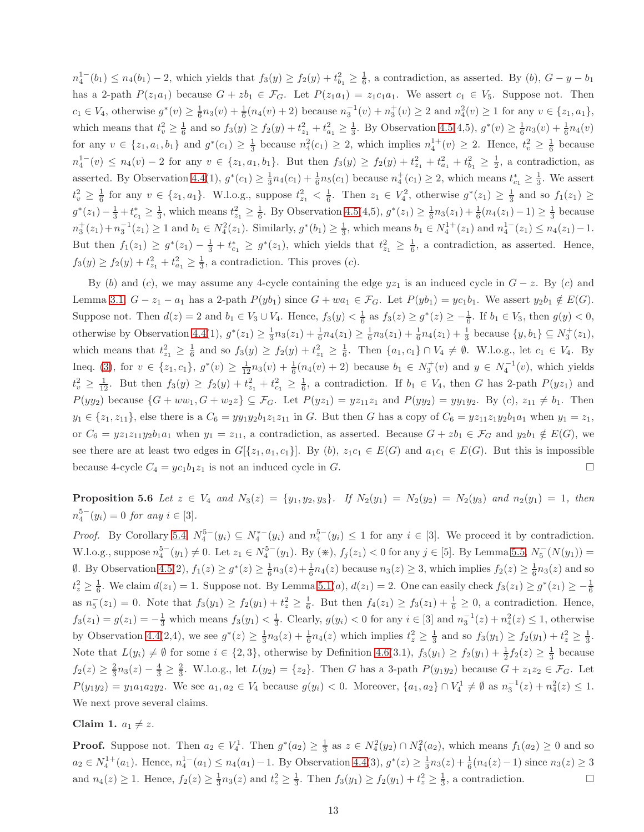$n_4^{1-}(b_1) \leq n_4(b_1) - 2$ , which yields that  $f_3(y) \geq f_2(y) + t_{b_1}^2 \geq \frac{1}{6}$ , a contradiction, as asserted. By (b),  $G - y - b_1$ has a 2-path  $P(z_1a_1)$  because  $G + zb_1 \in \mathcal{F}_G$ . Let  $P(z_1a_1) = z_1c_1a_1$ . We assert  $c_1 \in V_5$ . Suppose not. Then  $c_1 \in V_4$ , otherwise  $g^*(v) \ge \frac{1}{6}n_3(v) + \frac{1}{6}(n_4(v) + 2)$  because  $n_3^{-1}(v) + n_3^+(v) \ge 2$  and  $n_4^2(v) \ge 1$  for any  $v \in \{z_1, a_1\}$ , which means that  $t_v^2 \ge \frac{1}{6}$  and so  $f_3(y) \ge f_2(y) + t_{z_1}^2 + t_{a_1}^2 \ge \frac{1}{3}$ . By Observation [4.5\(](#page-5-3)4,5),  $g^*(v) \ge \frac{1}{6}n_3(v) + \frac{1}{6}n_4(v)$ for any  $v \in \{z_1, a_1, b_1\}$  and  $g^*(c_1) \geq \frac{1}{3}$  because  $n_4^2(c_1) \geq 2$ , which implies  $n_4^{1+}(v) \geq 2$ . Hence,  $t_v^2 \geq \frac{1}{6}$  because  $n_4^{-1}(v) \leq n_4(v) - 2$  for any  $v \in \{z_1, a_1, b_1\}$ . But then  $f_3(y) \geq f_2(y) + t_{z_1}^2 + t_{a_1}^2 + t_{b_1}^2 \geq \frac{1}{2}$ , a contradiction, as asserted. By Observation [4.4\(](#page-5-4)1),  $g^*(c_1) \geq \frac{1}{3}n_4(c_1) + \frac{1}{6}n_5(c_1)$  because  $n_4^+(c_1) \geq 2$ , which means  $t_{c_1}^* \geq \frac{1}{3}$ . We assert  $t_v^2 \geq \frac{1}{6}$  for any  $v \in \{z_1, a_1\}$ . W.l.o.g., suppose  $t_{z_1}^2 < \frac{1}{6}$ . Then  $z_1 \in V_4^2$ , otherwise  $g^*(z_1) \geq \frac{1}{3}$  and so  $f_1(z_1) \geq$  $g^*(z_1) - \frac{1}{3} + t_{c_1}^* \geq \frac{1}{3}$ , which means  $t_{z_1}^2 \geq \frac{1}{6}$ . By Observation [4.5\(](#page-5-3)4,5),  $g^*(z_1) \geq \frac{1}{6}n_3(z_1) + \frac{1}{6}(n_4(z_1) - 1) \geq \frac{1}{3}$  because  $n_3^+(z_1)+n_3^{-1}(z_1) \geq 1$  and  $b_1 \in N_4^2(z_1)$ . Similarly,  $g^*(b_1) \geq \frac{1}{3}$ , which means  $b_1 \in N_4^{1+}(z_1)$  and  $n_4^{1-}(z_1) \leq n_4(z_1)-1$ . But then  $f_1(z_1) \geq g^*(z_1) - \frac{1}{3} + t_{c_1}^* \geq g^*(z_1)$ , which yields that  $t_{z_1}^2 \geq \frac{1}{6}$ , a contradiction, as asserted. Hence,  $f_3(y) \ge f_2(y) + t_{z_1}^2 + t_{a_1}^2 \ge \frac{1}{3}$ , a contradiction. This proves (*c*).

By (b) and (c), we may assume any 4-cycle containing the edge  $yz_1$  is an induced cycle in  $G - z$ . By (c) and Lemma [3.1,](#page-2-2)  $G - z_1 - a_1$  has a 2-path  $P(yb_1)$  since  $G + wa_1 \in \mathcal{F}_G$ . Let  $P(yb_1) = yc_1b_1$ . We assert  $y_2b_1 \notin E(G)$ . Suppose not. Then  $d(z) = 2$  and  $b_1 \in V_3 \cup V_4$ . Hence,  $f_3(y) < \frac{1}{6}$  as  $f_3(z) \ge g^*(z) \ge -\frac{1}{6}$ . If  $b_1 \in V_3$ , then  $g(y) < 0$ , otherwise by Observation [4.4\(](#page-5-4)1),  $g^*(z_1) \ge \frac{1}{3}n_3(z_1) + \frac{1}{6}n_4(z_1) \ge \frac{1}{6}n_3(z_1) + \frac{1}{6}n_4(z_1) + \frac{1}{3}$  because  $\{y, b_1\} \subseteq N_3^+(z_1)$ , which means that  $t_{z_1}^2 \geq \frac{1}{6}$  and so  $f_3(y) \geq f_2(y) + t_{z_1}^2 \geq \frac{1}{6}$ . Then  $\{a_1, c_1\} \cap V_4 \neq \emptyset$ . W.l.o.g., let  $c_1 \in V_4$ . By Ineq. [\(3\)](#page-5-0), for  $v \in \{z_1, c_1\}$ ,  $g^*(v) \geq \frac{1}{12}n_3(v) + \frac{1}{6}(n_4(v) + 2)$  because  $b_1 \in N_3^+(v)$  and  $y \in N_4^{-1}(v)$ , which yields  $t_v^2 \geq \frac{1}{12}$ . But then  $f_3(y) \geq f_2(y) + t_{z_1}^2 + t_{z_1}^2 \geq \frac{1}{6}$ , a contradiction. If  $b_1 \in V_4$ , then G has 2-path  $P(yz_1)$  and  $P(yy_2)$  because  $\{G + ww_1, G + w_2z\} \subseteq \mathcal{F}_G$ . Let  $P(yz_1) = yz_{11}z_1$  and  $P(yy_2) = yy_1y_2$ . By (c),  $z_{11} \neq b_1$ . Then  $y_1 \in \{z_1, z_{11}\},\$ else there is a  $C_6 = yy_1y_2b_1z_1z_{11}$  in G. But then G has a copy of  $C_6 = yz_{11}z_1y_2b_1a_1$  when  $y_1 = z_1$ , or  $C_6 = yz_1z_{11}y_2b_1a_1$  when  $y_1 = z_{11}$ , a contradiction, as asserted. Because  $G + zb_1 \in \mathcal{F}_G$  and  $y_2b_1 \notin E(G)$ , we see there are at least two edges in  $G[{z_1, a_1, c_1}]$ . By (b),  $z_1c_1 \in E(G)$  and  $a_1c_1 \in E(G)$ . But this is impossible because 4-cycle  $C_4 = y c_1 b_1 z_1$  is not an induced cycle in G.

<span id="page-12-0"></span>**Proposition 5.6** Let  $z \in V_4$  and  $N_3(z) = \{y_1, y_2, y_3\}$ . If  $N_2(y_1) = N_2(y_2) = N_2(y_3)$  and  $n_2(y_1) = 1$ , then  $n_4^{5-}(y_i) = 0$  *for any*  $i \in [3]$ *.* 

*Proof.* By Corollary [5.4,](#page-11-0)  $N_4^{5-}(y_i) \subseteq N_4^{*-}(y_i)$  and  $n_4^{5-}(y_i) \le 1$  for any  $i \in [3]$ . We proceed it by contradiction. W.l.o.g., suppose  $n_4^{5-}(y_1) \neq 0$ . Let  $z_1 \in N_4^{5-}(y_1)$ . By  $(*), f_j(z_1) < 0$  for any  $j \in [5]$ . By Lemma [5.5,](#page-11-1)  $N_5^{-}(N(y_1)) =$  $\emptyset$ . By Observation [4.5\(](#page-5-3)2),  $f_1(z) \ge g^*(z) \ge \frac{1}{6}n_3(z) + \frac{1}{6}n_4(z)$  because  $n_3(z) \ge 3$ , which implies  $f_2(z) \ge \frac{1}{6}n_3(z)$  and so  $t_z^2 \geq \frac{1}{6}$ . We claim  $d(z_1) = 1$ . Suppose not. By Lemma [5.1\(](#page-7-0)*a*),  $d(z_1) = 2$ . One can easily check  $f_3(z_1) \geq g^*(z_1) \geq -\frac{1}{6}$ as  $n_5^-(z_1) = 0$ . Note that  $f_3(y_1) \ge f_2(y_1) + t_z^2 \ge \frac{1}{6}$ . But then  $f_4(z_1) \ge f_3(z_1) + \frac{1}{6} \ge 0$ , a contradiction. Hence,  $f_3(z_1) = g(z_1) = -\frac{1}{3}$  which means  $f_3(y_1) < \frac{1}{3}$ . Clearly,  $g(y_i) < 0$  for any  $i \in [3]$  and  $n_3^{-1}(z) + n_4^2(z) \le 1$ , otherwise by Observation [4.4\(](#page-5-4)2,4), we see  $g^*(z) \ge \frac{1}{3}n_3(z) + \frac{1}{6}n_4(z)$  which implies  $t_z^2 \ge \frac{1}{3}$  and so  $f_3(y_1) \ge f_2(y_1) + t_z^2 \ge \frac{1}{3}$ . Note that  $L(y_i) \neq \emptyset$  for some  $i \in \{2,3\}$ , otherwise by Definition [4.6\(](#page-5-2)3.1),  $f_3(y_1) \geq f_2(y_1) + \frac{1}{2}f_2(z) \geq \frac{1}{3}$  because  $f_2(z) \geq \frac{2}{3}n_3(z) - \frac{4}{3} \geq \frac{2}{3}$ . W.l.o.g., let  $L(y_2) = \{z_2\}$ . Then G has a 3-path  $P(y_1y_2)$  because  $G + z_1z_2 \in \mathcal{F}_G$ . Let  $P(y_1y_2) = y_1a_1a_2y_2$ . We see  $a_1, a_2 \in V_4$  because  $g(y_i) < 0$ . Moreover,  $\{a_1, a_2\} \cap V_4^1 \neq \emptyset$  as  $n_3^{-1}(z) + n_4^2(z) \leq 1$ . We next prove several claims.

#### Claim 1.  $a_1 \neq z$ .

**Proof.** Suppose not. Then  $a_2 \in V_4^1$ . Then  $g^*(a_2) \geq \frac{1}{3}$  as  $z \in N_4^2(y_2) \cap N_4^2(a_2)$ , which means  $f_1(a_2) \geq 0$  and so  $a_2 \in N_4^{1+}(a_1)$ . Hence,  $n_4^{1-}(a_1) \le n_4(a_1) - 1$ . By Observation [4.4\(](#page-5-4)3),  $g^*(z) \ge \frac{1}{3}n_3(z) + \frac{1}{6}(n_4(z) - 1)$  since  $n_3(z) \ge 3$ and  $n_4(z) \geq 1$ . Hence,  $f_2(z) \geq \frac{1}{3}n_3(z)$  and  $t_z^2 \geq \frac{1}{3}$ . Then  $f_3(y_1) \geq f_2(y_1) + t_z^2 \geq \frac{1}{3}$ , a contradiction.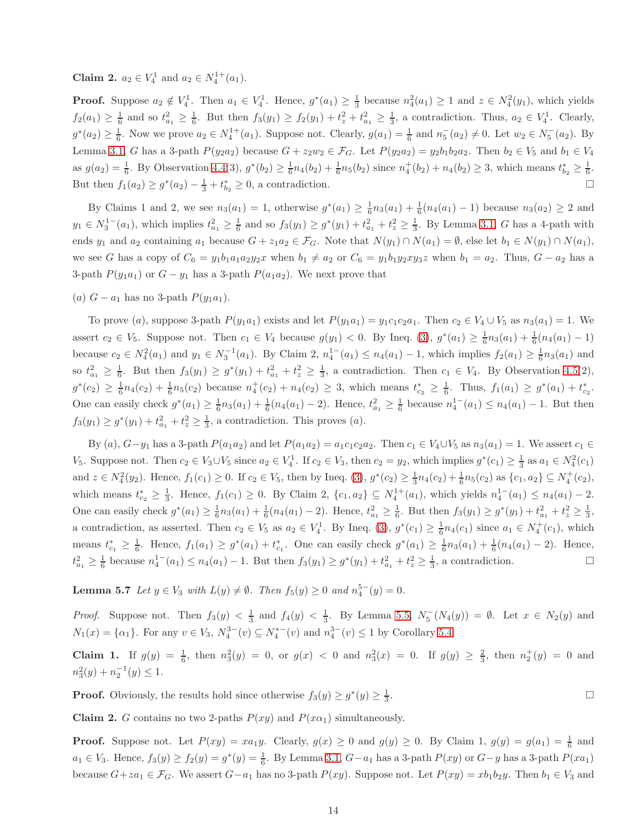**Claim 2.**  $a_2 \in V_4^1$  and  $a_2 \in N_4^{1+}(a_1)$ .

**Proof.** Suppose  $a_2 \notin V_4^1$ . Then  $a_1 \in V_4^1$ . Hence,  $g^*(a_1) \geq \frac{1}{3}$  because  $n_4^2(a_1) \geq 1$  and  $z \in N_4^2(y_1)$ , which yields  $f_2(a_1) \ge \frac{1}{6}$  and so  $t_{a_1}^2 \ge \frac{1}{6}$ . But then  $f_3(y_1) \ge f_2(y_1) + t_z^2 + t_{a_1}^2 \ge \frac{1}{3}$ , a contradiction. Thus,  $a_2 \in V_4^1$ . Clearly,  $g^*(a_2) \ge \frac{1}{6}$ . Now we prove  $a_2 \in N_4^{1+}(a_1)$ . Suppose not. Clearly,  $g(a_1) = \frac{1}{6}$  and  $n_5^-(a_2) \ne 0$ . Let  $w_2 \in N_5^-(a_2)$ . By Lemma [3.1,](#page-2-2) G has a 3-path  $P(y_2a_2)$  because  $G + z_2w_2 \in \mathcal{F}_G$ . Let  $P(y_2a_2) = y_2b_1b_2a_2$ . Then  $b_2 \in V_5$  and  $b_1 \in V_4$ as  $g(a_2) = \frac{1}{6}$ . By Observation [4.4\(](#page-5-4)3),  $g^*(b_2) \ge \frac{1}{6}n_4(b_2) + \frac{1}{6}n_5(b_2)$  since  $n_4^+(b_2) + n_4(b_2) \ge 3$ , which means  $t_{b_2}^* \ge \frac{1}{6}$ . But then  $f_1(a_2) \ge g^*(a_2) - \frac{1}{3} + t_{b_2}^* \ge 0$ , a contradiction.

By Claims 1 and 2, we see  $n_3(a_1) = 1$ , otherwise  $g^*(a_1) \ge \frac{1}{6}n_3(a_1) + \frac{1}{6}(n_4(a_1) - 1)$  because  $n_3(a_2) \ge 2$  and  $y_1 \in N_3^{1-}(a_1)$ , which implies  $t_{a_1}^2 \geq \frac{1}{6}$  and so  $f_3(y_1) \geq g^*(y_1) + t_{a_1}^2 + t_z^2 \geq \frac{1}{3}$ . By Lemma [3.1,](#page-2-2) G has a 4-path with ends  $y_1$  and  $a_2$  containing  $a_1$  because  $G + z_1a_2 \in \mathcal{F}_G$ . Note that  $N(y_1) \cap N(a_1) = \emptyset$ , else let  $b_1 \in N(y_1) \cap N(a_1)$ , we see G has a copy of  $C_6 = y_1b_1a_1a_2y_2x$  when  $b_1 \neq a_2$  or  $C_6 = y_1b_1y_2xy_3z$  when  $b_1 = a_2$ . Thus,  $G - a_2$  has a 3-path  $P(y_1a_1)$  or  $G - y_1$  has a 3-path  $P(a_1a_2)$ . We next prove that

(a)  $G - a_1$  has no 3-path  $P(y_1a_1)$ .

To prove (a), suppose 3-path  $P(y_1a_1)$  exists and let  $P(y_1a_1) = y_1c_1c_2a_1$ . Then  $c_2 \in V_4 \cup V_5$  as  $n_3(a_1) = 1$ . We assert  $c_2 \in V_5$ . Suppose not. Then  $c_1 \in V_4$  because  $g(y_1) < 0$ . By Ineq. [\(3\)](#page-5-0),  $g^*(a_1) \ge \frac{1}{6}n_3(a_1) + \frac{1}{6}(n_4(a_1) - 1)$ because  $c_2 \in N_4^2(a_1)$  and  $y_1 \in N_3^{-1}(a_1)$ . By Claim 2,  $n_4^{-1}(a_1) \le n_4(a_1) - 1$ , which implies  $f_2(a_1) \ge \frac{1}{6}n_3(a_1)$  and so  $t_{a_1}^2 \geq \frac{1}{6}$ . But then  $f_3(y_1) \geq g^*(y_1) + t_{a_1}^2 + t_{z}^2 \geq \frac{1}{3}$ , a contradiction. Then  $c_1 \in V_4$ . By Observation [4.5\(](#page-5-3)2),  $g^*(c_2) \geq \frac{1}{6}n_4(c_2) + \frac{1}{6}n_5(c_2)$  because  $n_4^+(c_2) + n_4(c_2) \geq 3$ , which means  $t_{c_2}^* \geq \frac{1}{6}$ . Thus,  $f_1(a_1) \geq g^*(a_1) + t_{c_2}^*$ . One can easily check  $g^*(a_1) \geq \frac{1}{6}n_3(a_1) + \frac{1}{6}(n_4(a_1) - 2)$ . Hence,  $t_{a_1}^2 \geq \frac{1}{6}$  because  $n_4^{1-}(a_1) \leq n_4(a_1) - 1$ . But then  $f_3(y_1) \ge g^*(y_1) + t_{a_1}^2 + t_{z}^2 \ge \frac{1}{3}$ , a contradiction. This proves (*a*).

By (a),  $G-y_1$  has a 3-path  $P(a_1a_2)$  and let  $P(a_1a_2) = a_1c_1c_2a_2$ . Then  $c_1 \in V_4 \cup V_5$  as  $n_3(a_1) = 1$ . We assert  $c_1 \in V_4$  $V_5$ . Suppose not. Then  $c_2 \in V_3 \cup V_5$  since  $a_2 \in V_4^1$ . If  $c_2 \in V_3$ , then  $c_2 = y_2$ , which implies  $g^*(c_1) \geq \frac{1}{3}$  as  $a_1 \in N_4^2(c_1)$ and  $z \in N_4^2(y_2)$ . Hence,  $f_1(c_1) \ge 0$ . If  $c_2 \in V_5$ , then by Ineq. [\(3\)](#page-5-0),  $g^*(c_2) \ge \frac{1}{3}n_4(c_2) + \frac{1}{6}n_5(c_2)$  as  $\{c_1, a_2\} \subseteq N_4^+(c_2)$ , which means  $t_{c_2}^* \geq \frac{1}{3}$ . Hence,  $f_1(c_1) \geq 0$ . By Claim 2,  $\{c_1, a_2\} \subseteq N_4^{1+}(a_1)$ , which yields  $n_4^{1-}(a_1) \leq n_4(a_1) - 2$ . One can easily check  $g^*(a_1) \geq \frac{1}{6}n_3(a_1) + \frac{1}{6}(n_4(a_1) - 2)$ . Hence,  $t_{a_1}^2 \geq \frac{1}{6}$ . But then  $f_3(y_1) \geq g^*(y_1) + t_{a_1}^2 + t_z^2 \geq \frac{1}{3}$ , a contradiction, as asserted. Then  $c_2 \in V_5$  as  $a_2 \in V_4^1$ . By Ineq. [\(3\)](#page-5-0),  $g^*(c_1) \geq \frac{1}{6}n_4(c_1)$  since  $a_1 \in N_4^+(c_1)$ , which means  $t_{c_1}^* \geq \frac{1}{6}$ . Hence,  $f_1(a_1) \geq g^*(a_1) + t_{c_1}^*$ . One can easily check  $g^*(a_1) \geq \frac{1}{6}n_3(a_1) + \frac{1}{6}(n_4(a_1) - 2)$ . Hence,  $t_{a_1}^2 \geq \frac{1}{6}$  because  $n_4^{1-}(a_1) \leq n_4(a_1) - 1$ . But then  $f_3(y_1) \geq g^*(y_1) + t_{a_1}^2 + t_z^2 \geq \frac{1}{3}$ , a contradiction. □

<span id="page-13-0"></span>**Lemma 5.7** *Let*  $y \in V_3$  *with*  $L(y) \neq \emptyset$ *. Then*  $f_5(y) \geq 0$  *and*  $n_4^{5-}(y) = 0$ *.* 

*Proof.* Suppose not. Then  $f_3(y) < \frac{1}{3}$  and  $f_4(y) < \frac{1}{3}$ . By Lemma [5.5,](#page-11-1)  $N_5^-(N_4(y)) = \emptyset$ . Let  $x \in N_2(y)$  and  $N_1(x) = {\alpha_1}.$  For any  $v \in V_3$ ,  $N_4^{3-}(v) \subseteq N_4^{*-}(v)$  and  $n_4^{3-}(v) \le 1$  by Corollary [5.4.](#page-11-0)

Claim 1. If  $g(y) = \frac{1}{6}$ , then  $n_3^2(y) = 0$ , or  $g(x) < 0$  and  $n_3^2(x) = 0$ . If  $g(y) \ge \frac{2}{3}$ , then  $n_2^+(y) = 0$  and  $n_3^2(y) + n_2^{-1}(y) \leq 1.$ 

**Proof.** Obviously, the results hold since otherwise  $f_3(y) \ge g^*(y) \ge \frac{1}{3}$ . В последните последните под се при последните и се при последните и се при последните и се при последните и<br>В село в село в село в село в село в село в село в село в село в село в село в село в село в село в село в сел

**Claim 2.** G contains no two 2-paths  $P(xy)$  and  $P(x\alpha_1)$  simultaneously.

**Proof.** Suppose not. Let  $P(xy) = xa_1y$ . Clearly,  $g(x) \ge 0$  and  $g(y) \ge 0$ . By Claim 1,  $g(y) = g(a_1) = \frac{1}{6}$  and  $a_1 \in V_3$ . Hence,  $f_3(y) \ge f_2(y) = g^*(y) = \frac{1}{6}$ . By Lemma [3.1,](#page-2-2)  $G - a_1$  has a 3-path  $P(xy)$  or  $G - y$  has a 3-path  $P(xa_1)$ because  $G + za_1 \in \mathcal{F}_G$ . We assert  $G-a_1$  has no 3-path  $P(xy)$ . Suppose not. Let  $P(xy) = xb_1b_2y$ . Then  $b_1 \in V_3$  and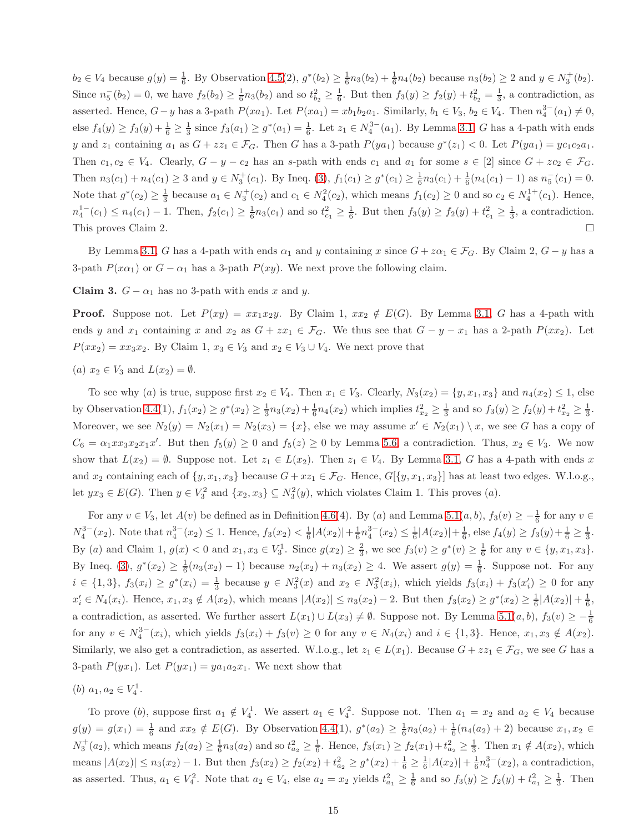$b_2 \in V_4$  because  $g(y) = \frac{1}{6}$ . By Observation [4.5\(](#page-5-3)2),  $g^*(b_2) \ge \frac{1}{6}n_3(b_2) + \frac{1}{6}n_4(b_2)$  because  $n_3(b_2) \ge 2$  and  $y \in N_3^+(b_2)$ . Since  $n_5^{-}(b_2) = 0$ , we have  $f_2(b_2) \ge \frac{1}{6}n_3(b_2)$  and so  $t_{b_2}^2 \ge \frac{1}{6}$ . But then  $f_3(y) \ge f_2(y) + t_{b_2}^2 = \frac{1}{3}$ , a contradiction, as asserted. Hence,  $G-y$  has a 3-path  $P(xa_1)$ . Let  $P(xa_1) = xb_1b_2a_1$ . Similarly,  $b_1 \in V_3$ ,  $b_2 \in V_4$ . Then  $n_4^{3-}(a_1) \neq 0$ , else  $f_4(y) \ge f_3(y) + \frac{1}{6} \ge \frac{1}{3}$  since  $f_3(a_1) \ge g^*(a_1) = \frac{1}{6}$ . Let  $z_1 \in N_4^{3-}(a_1)$ . By Lemma [3.1,](#page-2-2) G has a 4-path with ends y and  $z_1$  containing  $a_1$  as  $G + zz_1 \in \mathcal{F}_G$ . Then G has a 3-path  $P(ya_1)$  because  $g^*(z_1) < 0$ . Let  $P(ya_1) = yc_1c_2a_1$ . Then  $c_1, c_2 \in V_4$ . Clearly,  $G - y - c_2$  has an s-path with ends  $c_1$  and  $a_1$  for some  $s \in [2]$  since  $G + zc_2 \in \mathcal{F}_G$ . Then  $n_3(c_1) + n_4(c_1) \ge 3$  and  $y \in N_3^+(c_1)$ . By Ineq. [\(3\)](#page-5-0),  $f_1(c_1) \ge g^*(c_1) \ge \frac{1}{6}n_3(c_1) + \frac{1}{6}(n_4(c_1) - 1)$  as  $n_5^-(c_1) = 0$ . Note that  $g^*(c_2) \geq \frac{1}{3}$  because  $a_1 \in N_3^+(c_2)$  and  $c_1 \in N_4^2(c_2)$ , which means  $f_1(c_2) \geq 0$  and so  $c_2 \in N_4^{1+}(c_1)$ . Hence,  $n_4^{-1}$   $(c_1) \le n_4(c_1) - 1$ . Then,  $f_2(c_1) \ge \frac{1}{6}n_3(c_1)$  and so  $t_{c_1}^2 \ge \frac{1}{6}$ . But then  $f_3(y) \ge f_2(y) + t_{c_1}^2 \ge \frac{1}{3}$ , a contradiction. This proves Claim 2.

By Lemma [3.1,](#page-2-2) G has a 4-path with ends  $\alpha_1$  and y containing x since  $G + z\alpha_1 \in \mathcal{F}_G$ . By Claim 2,  $G - y$  has a 3-path  $P(x\alpha_1)$  or  $G - \alpha_1$  has a 3-path  $P(xy)$ . We next prove the following claim.

Claim 3.  $G - \alpha_1$  has no 3-path with ends x and y.

**Proof.** Suppose not. Let  $P(xy) = xx_1x_2y$ . By Claim 1,  $xx_2 \notin E(G)$ . By Lemma [3.1,](#page-2-2) G has a 4-path with ends y and  $x_1$  containing x and  $x_2$  as  $G + zx_1 \in \mathcal{F}_G$ . We thus see that  $G - y - x_1$  has a 2-path  $P(xx_2)$ . Let  $P(xx_2) = xx_3x_2$ . By Claim 1,  $x_3 \in V_3$  and  $x_2 \in V_3 \cup V_4$ . We next prove that

(a)  $x_2 \in V_3$  and  $L(x_2) = \emptyset$ .

To see why (a) is true, suppose first  $x_2 \in V_4$ . Then  $x_1 \in V_3$ . Clearly,  $N_3(x_2) = \{y, x_1, x_3\}$  and  $n_4(x_2) \leq 1$ , else by Observation [4.4\(](#page-5-4)1),  $f_1(x_2) \ge g^*(x_2) \ge \frac{1}{3}n_3(x_2) + \frac{1}{6}n_4(x_2)$  which implies  $t_{x_2}^2 \ge \frac{1}{3}$  and so  $f_3(y) \ge f_2(y) + t_{x_2}^2 \ge \frac{1}{3}$ . Moreover, we see  $N_2(y) = N_2(x_1) = N_2(x_3) = \{x\}$ , else we may assume  $x' \in N_2(x_1) \setminus x$ , we see G has a copy of  $C_6 = \alpha_1 x x_3 x_2 x_1 x'$ . But then  $f_5(y) \ge 0$  and  $f_5(z) \ge 0$  by Lemma [5.6,](#page-12-0) a contradiction. Thus,  $x_2 \in V_3$ . We now show that  $L(x_2) = \emptyset$ . Suppose not. Let  $z_1 \in L(x_2)$ . Then  $z_1 \in V_4$ . By Lemma [3.1,](#page-2-2) G has a 4-path with ends x and  $x_2$  containing each of  $\{y, x_1, x_3\}$  because  $G + xz_1 \in \mathcal{F}_G$ . Hence,  $G[\{y, x_1, x_3\}]$  has at least two edges. W.l.o.g., let  $yx_3 \in E(G)$ . Then  $y \in V_3^2$  and  $\{x_2, x_3\} \subseteq N_3^2(y)$ , which violates Claim 1. This proves  $(a)$ .

For any  $v \in V_3$ , let  $A(v)$  be defined as in Definition [4.6\(](#page-5-2)4). By (a) and Lemma [5.1\(](#page-7-0)a, b),  $f_3(v) \ge -\frac{1}{6}$  for any  $v \in$  $N_4^{3-}(x_2)$ . Note that  $n_4^{3-}(x_2) \leq 1$ . Hence,  $f_3(x_2) < \frac{1}{6}|A(x_2)| + \frac{1}{6}n_4^{3-}(x_2) \leq \frac{1}{6}|A(x_2)| + \frac{1}{6}$ , else  $f_4(y) \geq f_3(y) + \frac{1}{6} \geq \frac{1}{3}$ . By (a) and Claim 1,  $g(x) < 0$  and  $x_1, x_3 \in V_3^1$ . Since  $g(x_2) \ge \frac{2}{3}$ , we see  $f_3(v) \ge g^*(v) \ge \frac{1}{6}$  for any  $v \in \{y, x_1, x_3\}$ . By Ineq. [\(3\)](#page-5-0),  $g^*(x_2) \ge \frac{1}{6}(n_3(x_2) - 1)$  because  $n_2(x_2) + n_3(x_2) \ge 4$ . We assert  $g(y) = \frac{1}{6}$ . Suppose not. For any  $i \in \{1,3\}, f_3(x_i) \geq g^*(x_i) = \frac{1}{3}$  because  $y \in N_3^2(x)$  and  $x_2 \in N_3^2(x_i)$ , which yields  $f_3(x_i) + f_3(x_i') \geq 0$  for any  $x'_i \in N_4(x_i)$ . Hence,  $x_1, x_3 \notin A(x_2)$ , which means  $|A(x_2)| \le n_3(x_2) - 2$ . But then  $f_3(x_2) \ge g^*(x_2) \ge \frac{1}{6}|A(x_2)| + \frac{1}{6}$ , a contradiction, as asserted. We further assert  $L(x_1) \cup L(x_3) \neq \emptyset$ . Suppose not. By Lemma 5.1 $(a, b)$ ,  $f_3(v) \geq -\frac{1}{6}$ for any  $v \in N_4^{3-}(x_i)$ , which yields  $f_3(x_i) + f_3(v) \ge 0$  for any  $v \in N_4(x_i)$  and  $i \in \{1,3\}$ . Hence,  $x_1, x_3 \notin A(x_2)$ . Similarly, we also get a contradiction, as asserted. W.l.o.g., let  $z_1 \in L(x_1)$ . Because  $G + zz_1 \in \mathcal{F}_G$ , we see G has a 3-path  $P(yx_1)$ . Let  $P(yx_1) = ya_1a_2x_1$ . We next show that

(b)  $a_1, a_2 \in V_4^1$ .

To prove (b), suppose first  $a_1 \notin V_4^1$ . We assert  $a_1 \in V_4^2$ . Suppose not. Then  $a_1 = x_2$  and  $a_2 \in V_4$  because  $g(y) = g(x_1) = \frac{1}{6}$  and  $xx_2 \notin E(G)$ . By Observation [4.4\(](#page-5-4)1),  $g^*(a_2) \geq \frac{1}{6}n_3(a_2) + \frac{1}{6}(n_4(a_2) + 2)$  because  $x_1, x_2 \in E(G)$ .  $N_3^+(a_2)$ , which means  $f_2(a_2) \geq \frac{1}{6}n_3(a_2)$  and so  $t_{a_2}^2 \geq \frac{1}{6}$ . Hence,  $f_3(x_1) \geq f_2(x_1) + t_{a_2}^2 \geq \frac{1}{3}$ . Then  $x_1 \notin A(x_2)$ , which means  $|A(x_2)| \le n_3(x_2) - 1$ . But then  $f_3(x_2) \ge f_2(x_2) + t_{a_2}^2 \ge g^*(x_2) + \frac{1}{6} \ge \frac{1}{6} |A(x_2)| + \frac{1}{6} n_4^{3-}(x_2)$ , a contradiction, as asserted. Thus,  $a_1 \in V_4^2$ . Note that  $a_2 \in V_4$ , else  $a_2 = x_2$  yields  $t_{a_1}^2 \geq \frac{1}{6}$  and so  $f_3(y) \geq f_2(y) + t_{a_1}^2 \geq \frac{1}{3}$ . Then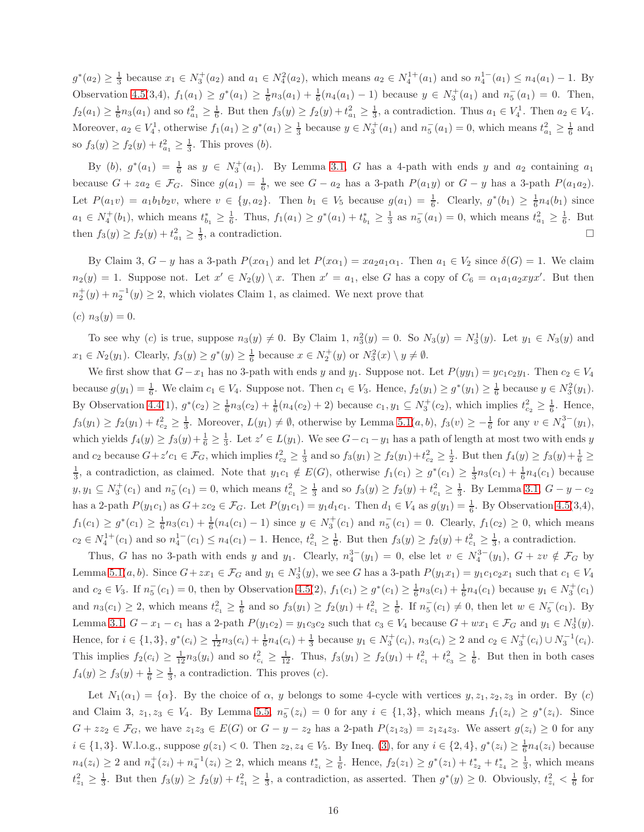$g^*(a_2) \geq \frac{1}{3}$  because  $x_1 \in N_3^+(a_2)$  and  $a_1 \in N_4^2(a_2)$ , which means  $a_2 \in N_4^{1+}(a_1)$  and so  $n_4^{1-}(a_1) \leq n_4(a_1) - 1$ . By Observation [4.5\(](#page-5-3)3,4),  $f_1(a_1) \geq g^*(a_1) \geq \frac{1}{6}n_3(a_1) + \frac{1}{6}(n_4(a_1) - 1)$  because  $y \in N_3^+(a_1)$  and  $n_5^-(a_1) = 0$ . Then,  $f_2(a_1) \ge \frac{1}{6}n_3(a_1)$  and so  $t_{a_1}^2 \ge \frac{1}{6}$ . But then  $f_3(y) \ge f_2(y) + t_{a_1}^2 \ge \frac{1}{3}$ , a contradiction. Thus  $a_1 \in V_4^1$ . Then  $a_2 \in V_4$ . Moreover,  $a_2 \in V_4^1$ , otherwise  $f_1(a_1) \ge g^*(a_1) \ge \frac{1}{3}$  because  $y \in N_3^+(a_1)$  and  $n_5^-(a_1) = 0$ , which means  $t_{a_1}^2 \ge \frac{1}{6}$  and so  $f_3(y) \ge f_2(y) + t_{a_1}^2 \ge \frac{1}{3}$ . This proves (b).

By (b),  $g^*(a_1) = \frac{1}{6}$  as  $y \in N_3^+(a_1)$ . By Lemma [3.1,](#page-2-2) G has a 4-path with ends y and  $a_2$  containing  $a_1$ because  $G + za_2 \in \mathcal{F}_G$ . Since  $g(a_1) = \frac{1}{6}$ , we see  $G - a_2$  has a 3-path  $P(a_1y)$  or  $G - y$  has a 3-path  $P(a_1a_2)$ . Let  $P(a_1v) = a_1b_1b_2v$ , where  $v \in \{y, a_2\}$ . Then  $b_1 \in V_5$  because  $g(a_1) = \frac{1}{6}$ . Clearly,  $g^*(b_1) \geq \frac{1}{6}n_4(b_1)$  since  $a_1 \in N_4^+(b_1)$ , which means  $t_{b_1}^* \geq \frac{1}{6}$ . Thus,  $f_1(a_1) \geq g^*(a_1) + t_{b_1}^* \geq \frac{1}{3}$  as  $n_5^-(a_1) = 0$ , which means  $t_{a_1}^2 \geq \frac{1}{6}$ . But then  $f_3(y) \ge f_2(y) + t_{a_1}^2 \ge \frac{1}{3}$ , a contradiction.

By Claim 3,  $G - y$  has a 3-path  $P(x\alpha_1)$  and let  $P(x\alpha_1) = x a_2 a_1 \alpha_1$ . Then  $a_1 \in V_2$  since  $\delta(G) = 1$ . We claim  $n_2(y) = 1$ . Suppose not. Let  $x' \in N_2(y) \setminus x$ . Then  $x' = a_1$ , else G has a copy of  $C_6 = \alpha_1 a_1 a_2 xy x'$ . But then  $n_2^+(y) + n_2^{-1}(y) \ge 2$ , which violates Claim 1, as claimed. We next prove that

(c)  $n_3(y) = 0$ .

To see why (c) is true, suppose  $n_3(y) \neq 0$ . By Claim 1,  $n_3^2(y) = 0$ . So  $N_3(y) = N_3^1(y)$ . Let  $y_1 \in N_3(y)$  and  $x_1 \in N_2(y_1)$ . Clearly,  $f_3(y) \ge g^*(y) \ge \frac{1}{6}$  because  $x \in N_2^+(y)$  or  $N_3^2(x) \setminus y \neq \emptyset$ .

We first show that  $G-x_1$  has no 3-path with ends y and y<sub>1</sub>. Suppose not. Let  $P(yy_1) = yc_1c_2y_1$ . Then  $c_2 \in V_4$ because  $g(y_1) = \frac{1}{6}$ . We claim  $c_1 \in V_4$ . Suppose not. Then  $c_1 \in V_3$ . Hence,  $f_2(y_1) \geq g^*(y_1) \geq \frac{1}{6}$  because  $y \in N_3^2(y_1)$ . By Observation [4.4\(](#page-5-4)1),  $g^*(c_2) \ge \frac{1}{6}n_3(c_2) + \frac{1}{6}(n_4(c_2) + 2)$  because  $c_1, y_1 \subseteq N_3^+(c_2)$ , which implies  $t_{c_2}^2 \ge \frac{1}{6}$ . Hence,  $f_3(y_1) \ge f_2(y_1) + t_{c_2}^2 \ge \frac{1}{3}$ . Moreover,  $L(y_1) \neq \emptyset$ , otherwise by Lemma  $5.1(a, b)$ ,  $f_3(v) \ge -\frac{1}{6}$  for any  $v \in N_4^{3-}(y_1)$ , which yields  $f_4(y) \ge f_3(y) + \frac{1}{6} \ge \frac{1}{3}$ . Let  $z' \in L(y_1)$ . We see  $G - c_1 - y_1$  has a path of length at most two with ends y and  $c_2$  because  $G + z'c_1 \in \mathcal{F}_G$ , which implies  $t_{c_2}^2 \geq \frac{1}{3}$  and so  $f_3(y_1) \geq f_2(y_1) + t_{c_2}^2 \geq \frac{1}{2}$ . But then  $f_4(y) \geq f_3(y) + \frac{1}{6} \geq$  $\frac{1}{3}$ , a contradiction, as claimed. Note that  $y_1c_1 \notin E(G)$ , otherwise  $f_1(c_1) \geq g^*(c_1) \geq \frac{1}{3}n_3(c_1) + \frac{1}{6}n_4(c_1)$  because  $y, y_1 \subseteq N_3^+(c_1)$  and  $n_5^-(c_1) = 0$ , which means  $t_{c_1}^2 \ge \frac{1}{3}$  and so  $f_3(y) \ge f_2(y) + t_{c_1}^2 \ge \frac{1}{3}$ . By Lemma [3.1,](#page-2-2)  $G - y - c_2$ has a 2-path  $P(y_1c_1)$  as  $G + zc_2 \in \mathcal{F}_G$ . Let  $P(y_1c_1) = y_1d_1c_1$ . Then  $d_1 \in V_4$  as  $g(y_1) = \frac{1}{6}$ . By Observation [4.5\(](#page-5-3)3,4),  $f_1(c_1) \geq g^*(c_1) \geq \frac{1}{6}n_3(c_1) + \frac{1}{6}(n_4(c_1) - 1)$  since  $y \in N_3^+(c_1)$  and  $n_5^-(c_1) = 0$ . Clearly,  $f_1(c_2) \geq 0$ , which means  $c_2 \in N_4^{1+}(c_1)$  and so  $n_4^{1-}(c_1) \le n_4(c_1) - 1$ . Hence,  $t_{c_1}^2 \ge \frac{1}{6}$ . But then  $f_3(y) \ge f_2(y) + t_{c_1}^2 \ge \frac{1}{3}$ , a contradiction.

Thus, G has no 3-path with ends y and y<sub>1</sub>. Clearly,  $n_4^{3-}(y_1) = 0$ , else let  $v \in N_4^{3-}(y_1)$ ,  $G + zv \notin \mathcal{F}_G$  by Lemma 5.1 $(a, b)$ . Since  $G + zx_1 \in \mathcal{F}_G$  and  $y_1 \in N_3^1(y)$ , we see G has a 3-path  $P(y_1x_1) = y_1c_1c_2x_1$  such that  $c_1 \in V_4$ and  $c_2 \in V_3$ . If  $n_5^-(c_1) = 0$ , then by Observation [4.5\(](#page-5-3)2),  $f_1(c_1) \ge g^*(c_1) \ge \frac{1}{6}n_3(c_1) + \frac{1}{6}n_4(c_1)$  because  $y_1 \in N_3^+(c_1)$ and  $n_3(c_1) \geq 2$ , which means  $t_{c_1}^2 \geq \frac{1}{6}$  and so  $f_3(y_1) \geq f_2(y_1) + t_{c_1}^2 \geq \frac{1}{6}$ . If  $n_5^-(c_1) \neq 0$ , then let  $w \in N_5^-(c_1)$ . By Lemma [3.1,](#page-2-2)  $G - x_1 - c_1$  has a 2-path  $P(y_1c_2) = y_1c_3c_2$  such that  $c_3 \in V_4$  because  $G + wx_1 \in \mathcal{F}_G$  and  $y_1 \in N_3^1(y)$ . Hence, for  $i \in \{1,3\}$ ,  $g^*(c_i) \geq \frac{1}{12} n_3(c_i) + \frac{1}{6} n_4(c_i) + \frac{1}{3}$  because  $y_1 \in N_3^+(c_i)$ ,  $n_3(c_i) \geq 2$  and  $c_2 \in N_3^+(c_i) \cup N_3^{-1}(c_i)$ . This implies  $f_2(c_i) \ge \frac{1}{12} n_3(y_i)$  and so  $t_{c_i}^2 \ge \frac{1}{12}$ . Thus,  $f_3(y_1) \ge f_2(y_1) + t_{c_1}^2 + t_{c_3}^2 \ge \frac{1}{6}$ . But then in both cases  $f_4(y) \ge f_3(y) + \frac{1}{6} \ge \frac{1}{3}$ , a contradiction. This proves (*c*).

Let  $N_1(\alpha_1) = {\alpha}$ . By the choice of  $\alpha$ , y belongs to some 4-cycle with vertices  $y, z_1, z_2, z_3$  in order. By (c) and Claim 3,  $z_1, z_3 \in V_4$ . By Lemma [5.5,](#page-11-1)  $n_5^-(z_i) = 0$  for any  $i \in \{1,3\}$ , which means  $f_1(z_i) \geq g^*(z_i)$ . Since  $G + zz_2 \in \mathcal{F}_G$ , we have  $z_1z_3 \in E(G)$  or  $G - y - z_2$  has a 2-path  $P(z_1z_3) = z_1z_4z_3$ . We assert  $g(z_i) \geq 0$  for any  $i \in \{1,3\}$ . W.l.o.g., suppose  $g(z_1) < 0$ . Then  $z_2, z_4 \in V_5$ . By Ineq. [\(3\)](#page-5-0), for any  $i \in \{2,4\}$ ,  $g^*(z_i) \geq \frac{1}{6}n_4(z_i)$  because  $n_4(z_i) \geq 2$  and  $n_4^+(z_i) + n_4^{-1}(z_i) \geq 2$ , which means  $t_{z_i}^* \geq \frac{1}{6}$ . Hence,  $f_2(z_1) \geq g^*(z_1) + t_{z_2}^* + t_{z_4}^* \geq \frac{1}{3}$ , which means  $t_{z_1}^2 \geq \frac{1}{3}$ . But then  $f_3(y) \geq f_2(y) + t_{z_1}^2 \geq \frac{1}{3}$ , a contradiction, as asserted. Then  $g^*(y) \geq 0$ . Obviously,  $t_{z_i}^2 < \frac{1}{6}$  for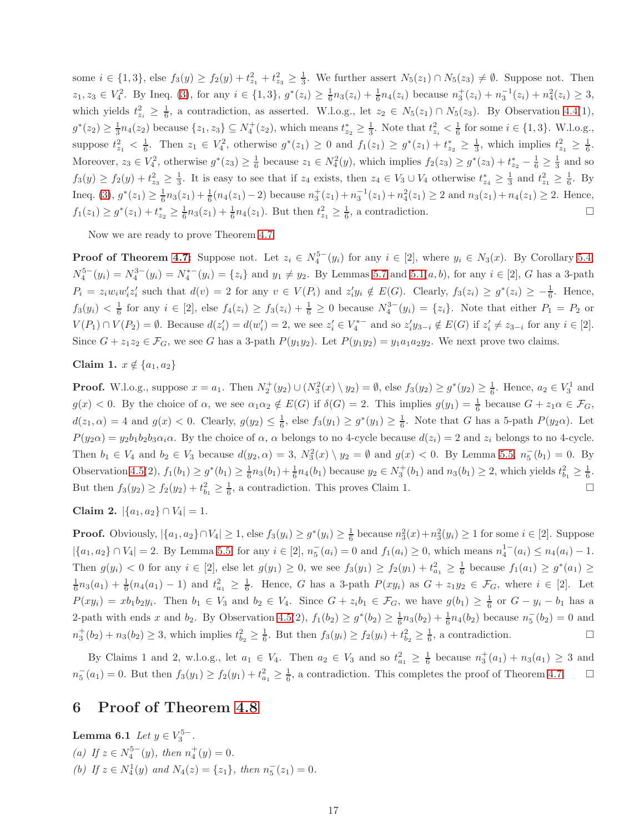some  $i \in \{1,3\}$ , else  $f_3(y) \ge f_2(y) + t_{z_1}^2 + t_{z_3}^2 \ge \frac{1}{3}$ . We further assert  $N_5(z_1) \cap N_5(z_3) \ne \emptyset$ . Suppose not. Then  $z_1, z_3 \in V_4^2$ . By Ineq. [\(3\)](#page-5-0), for any  $i \in \{1,3\}$ ,  $g^*(z_i) \geq \frac{1}{6}n_3(z_i) + \frac{1}{6}n_4(z_i)$  because  $n_3^+(z_i) + n_3^{-1}(z_i) + n_4^2(z_i) \geq 3$ , which yields  $t_{z_i}^2 \geq \frac{1}{6}$ , a contradiction, as asserted. W.l.o.g., let  $z_2 \in N_5(z_1) \cap N_5(z_3)$ . By Observation [4.4\(](#page-5-4)1),  $g^*(z_2) \geq \frac{1}{3}n_4(z_2)$  because  $\{z_1, z_3\} \subseteq N_4^+(z_2)$ , which means  $t_{z_2}^* \geq \frac{1}{3}$ . Note that  $t_{z_i}^2 < \frac{1}{6}$  for some  $i \in \{1, 3\}$ . W.l.o.g., suppose  $t_{z_1}^2 < \frac{1}{6}$ . Then  $z_1 \in V_4^2$ , otherwise  $g^*(z_1) \ge 0$  and  $f_1(z_1) \ge g^*(z_1) + t_{z_2}^* \ge \frac{1}{3}$ , which implies  $t_{z_1}^2 \ge \frac{1}{6}$ . Moreover,  $z_3 \in V_4^2$ , otherwise  $g^*(z_3) \ge \frac{1}{6}$  because  $z_1 \in N_4^2(y)$ , which implies  $f_2(z_3) \ge g^*(z_3) + t_{z_2}^* - \frac{1}{6} \ge \frac{1}{3}$  and so  $f_3(y) \ge f_2(y) + t_{z_3}^2 \ge \frac{1}{3}$ . It is easy to see that if  $z_4$  exists, then  $z_4 \in V_3 \cup V_4$  otherwise  $t_{z_4}^* \ge \frac{1}{3}$  and  $t_{z_1}^2 \ge \frac{1}{6}$ . By Ineq. [\(3\)](#page-5-0),  $g^*(z_1) \ge \frac{1}{6}n_3(z_1) + \frac{1}{6}(n_4(z_1) - 2)$  because  $n_3^+(z_1) + n_3^-(z_1) + n_4^2(z_1) \ge 2$  and  $n_3(z_1) + n_4(z_1) \ge 2$ . Hence,  $f_1(z_1) \geq g^*(z_1) + t_{z_2}^* \geq \frac{1}{6}n_3(z_1) + \frac{1}{6}n_4(z_1)$ . But then  $t_{z_1}^2 \geq \frac{1}{6}$ , a contradiction.

Now we are ready to prove Theorem [4.7.](#page-6-1)

**Proof of Theorem [4.7:](#page-6-1)** Suppose not. Let  $z_i \in N_4^{5-}(y_i)$  for any  $i \in [2]$ , where  $y_i \in N_3(x)$ . By Corollary [5.4,](#page-11-0)  $N_4^{5-}(y_i) = N_4^{3-}(y_i) = N_4^{*-}(y_i) = \{z_i\}$  and  $y_1 \neq y_2$ . By Lemmas [5.7](#page-13-0) and [5.1\(](#page-7-0)*a*, *b*), for any  $i \in [2]$ , *G* has a 3-path  $P_i = z_i w_i w_i' z_i'$  such that  $d(v) = 2$  for any  $v \in V(P_i)$  and  $z_i' y_i \notin E(G)$ . Clearly,  $f_3(z_i) \geq g^*(z_i) \geq -\frac{1}{6}$ . Hence,  $f_3(y_i) < \frac{1}{6}$  for any  $i \in [2]$ , else  $f_4(z_i) \ge f_3(z_i) + \frac{1}{6} \ge 0$  because  $N_4^{3-}(y_i) = \{z_i\}$ . Note that either  $P_1 = P_2$  or  $V(P_1) \cap V(P_2) = \emptyset$ . Because  $d(z'_i) = d(w'_i) = 2$ , we see  $z'_i \in V_4^{*-}$  and so  $z'_i y_{3-i} \notin E(G)$  if  $z'_i \neq z_{3-i}$  for any  $i \in [2]$ . Since  $G + z_1z_2 \in \mathcal{F}_G$ , we see G has a 3-path  $P(y_1y_2)$ . Let  $P(y_1y_2) = y_1a_1a_2y_2$ . We next prove two claims.

Claim 1.  $x \notin \{a_1, a_2\}$ 

**Proof.** W.l.o.g., suppose  $x = a_1$ . Then  $N_2^+(y_2) \cup (N_3^2(x) \setminus y_2) = \emptyset$ , else  $f_3(y_2) \ge g^*(y_2) \ge \frac{1}{6}$ . Hence,  $a_2 \in V_3^1$  and  $g(x) < 0$ . By the choice of  $\alpha$ , we see  $\alpha_1 \alpha_2 \notin E(G)$  if  $\delta(G) = 2$ . This implies  $g(y_1) = \frac{1}{6}$  because  $G + z_1 \alpha \in \mathcal{F}_G$ ,  $d(z_1, \alpha) = 4$  and  $g(x) < 0$ . Clearly,  $g(y_2) \leq \frac{1}{6}$ , else  $f_3(y_1) \geq g^*(y_1) \geq \frac{1}{6}$ . Note that G has a 5-path  $P(y_2\alpha)$ . Let  $P(y_2\alpha) = y_2b_1b_2b_3\alpha_i\alpha$ . By the choice of  $\alpha$ ,  $\alpha$  belongs to no 4-cycle because  $d(z_i) = 2$  and  $z_i$  belongs to no 4-cycle. Then  $b_1 \in V_4$  and  $b_2 \in V_3$  because  $d(y_2, \alpha) = 3$ ,  $N_3^2(x) \setminus y_2 = \emptyset$  and  $g(x) < 0$ . By Lemma [5.5,](#page-11-1)  $n_5^{-}(b_1) = 0$ . By Observation [4.5\(](#page-5-3)2),  $f_1(b_1) \geq g^*(b_1) \geq \frac{1}{6}n_3(b_1) + \frac{1}{6}n_4(b_1)$  because  $y_2 \in N_3^+(b_1)$  and  $n_3(b_1) \geq 2$ , which yields  $t_{b_1}^2 \geq \frac{1}{6}$ . But then  $f_3(y_2) \ge f_2(y_2) + t_{b_1}^2 \ge \frac{1}{6}$ , a contradiction. This proves Claim 1.

Claim 2.  $|\{a_1, a_2\} \cap V_4| = 1$ .

**Proof.** Obviously,  $|\{a_1, a_2\} \cap V_4| \ge 1$ , else  $f_3(y_i) \ge g^*(y_i) \ge \frac{1}{6}$  because  $n_3^2(x) + n_3^2(y_i) \ge 1$  for some  $i \in [2]$ . Suppose  $|\{a_1, a_2\} \cap V_4| = 2$ . By Lemma [5.5,](#page-11-1) for any  $i \in [2]$ ,  $n_5(a_i) = 0$  and  $f_1(a_i) \ge 0$ , which means  $n_4^{1-}(a_i) \le n_4(a_i) - 1$ . Then  $g(y_i) < 0$  for any  $i \in [2]$ , else let  $g(y_1) \ge 0$ , we see  $f_3(y_1) \ge f_2(y_1) + t_{a_1}^2 \ge \frac{1}{6}$  because  $f_1(a_1) \ge g^*(a_1) \ge$  $\frac{1}{6}n_3(a_1)+\frac{1}{6}(n_4(a_1)-1)$  and  $t_{a_1}^2\geq \frac{1}{6}$ . Hence, G has a 3-path  $P(xy_i)$  as  $G+z_1y_2\in \mathcal{F}_G$ , where  $i\in [2]$ . Let  $P(xy_i) = xb_1b_2y_i$ . Then  $b_1 \in V_3$  and  $b_2 \in V_4$ . Since  $G + z_ib_1 \in \mathcal{F}_G$ , we have  $g(b_1) \geq \frac{1}{6}$  or  $G - y_i - b_1$  has a 2-path with ends x and  $b_2$ . By Observation [4.5\(](#page-5-3)2),  $f_1(b_2) \ge g^*(b_2) \ge \frac{1}{6}n_3(b_2) + \frac{1}{6}n_4(b_2)$  because  $n_5^{-}(b_2) = 0$  and  $n_3^+(b_2) + n_3(b_2) \ge 3$ , which implies  $t_{b_2}^2 \ge \frac{1}{6}$ . But then  $f_3(y_i) \ge f_2(y_i) + t_{b_2}^2 \ge \frac{1}{6}$ , a contradiction.

By Claims 1 and 2, w.l.o.g., let  $a_1 \in V_4$ . Then  $a_2 \in V_3$  and so  $t_{a_1}^2 \geq \frac{1}{6}$  because  $n_3^+(a_1) + n_3(a_1) \geq 3$  and  $n_5^-(a_1) = 0$ . But then  $f_3(y_1) \ge f_2(y_1) + t_{a_1}^2 \ge \frac{1}{6}$ , a contradiction. This completes the proof of Theorem [4.7.](#page-6-1)  $\Box$ 

### <span id="page-16-0"></span>6 Proof of Theorem [4.8](#page-6-2)

**Lemma 6.1** *Let*  $y \in V_3^{5-}$ . (a) If  $z \in N_4^{5-}(y)$ , then  $n_4^+(y) = 0$ . (b) If  $z \in N_4^1(y)$  and  $N_4(z) = \{z_1\}$ , then  $n_5^-(z_1) = 0$ .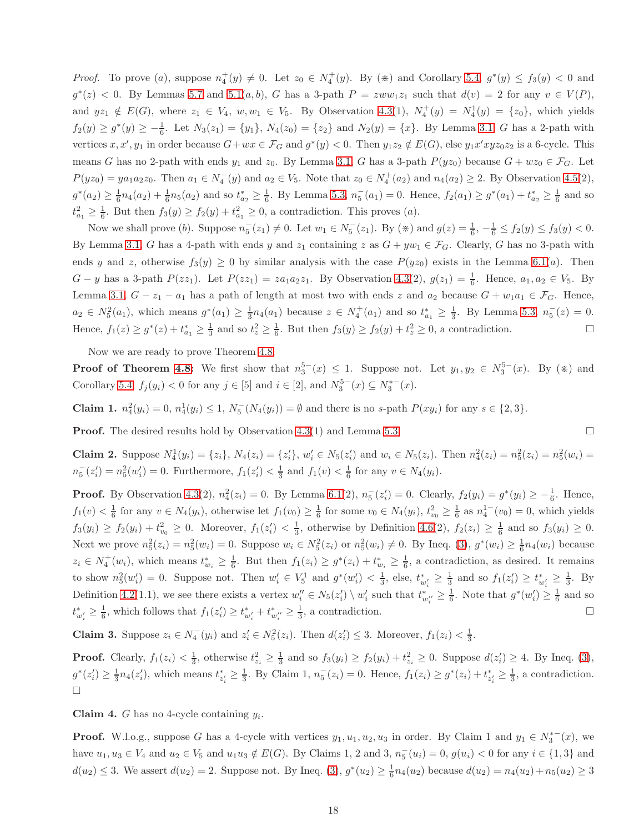*Proof.* To prove (a), suppose  $n_4^+(y) \neq 0$ . Let  $z_0 \in N_4^+(y)$ . By (\*) and Corollary [5.4,](#page-11-0)  $g^*(y) \le f_3(y) < 0$  and  $g^*(z)$  < 0. By Lemmas [5.7](#page-13-0) and 5.1 $(a, b)$ , G has a 3-path  $P = zww_1z_1$  such that  $d(v) = 2$  for any  $v \in V(P)$ , and  $yz_1 \notin E(G)$ , where  $z_1 \in V_4$ ,  $w, w_1 \in V_5$ . By Observation [4.3\(](#page-5-1)1),  $N_4^+(y) = N_4^1(y) = \{z_0\}$ , which yields  $f_2(y) \ge g^*(y) \ge -\frac{1}{6}$ . Let  $N_3(z_1) = \{y_1\}$ ,  $N_4(z_0) = \{z_2\}$  and  $N_2(y) = \{x\}$ . By Lemma [3.1,](#page-2-2) G has a 2-path with vertices  $x, x', y_1$  in order because  $G + wx \in \mathcal{F}_G$  and  $g^*(y) < 0$ . Then  $y_1z_2 \notin E(G)$ , else  $y_1x'xyz_0z_2$  is a 6-cycle. This means G has no 2-path with ends  $y_1$  and  $z_0$ . By Lemma [3.1,](#page-2-2) G has a 3-path  $P(yz_0)$  because  $G + wz_0 \in \mathcal{F}_G$ . Let  $P(yz_0) = ya_1a_2z_0$ . Then  $a_1 \in N_4^-(y)$  and  $a_2 \in V_5$ . Note that  $z_0 \in N_4^+(a_2)$  and  $n_4(a_2) \geq 2$ . By Observation [4.5\(](#page-5-3)2),  $g^*(a_2) \geq \frac{1}{6}n_4(a_2) + \frac{1}{6}n_5(a_2)$  and so  $t_{a_2}^* \geq \frac{1}{6}$ . By Lemma [5.3,](#page-7-2)  $n_5^-(a_1) = 0$ . Hence,  $f_2(a_1) \geq g^*(a_1) + t_{a_2}^* \geq \frac{1}{6}$  and so  $t_{a_1}^2 \geq \frac{1}{6}$ . But then  $f_3(y) \geq f_2(y) + t_{a_1}^2 \geq 0$ , a contradiction. This proves  $(a)$ .

Now we shall prove (b). Suppose  $n_5^-(z_1) \neq 0$ . Let  $w_1 \in N_5^-(z_1)$ . By  $(\divideontimes)$  and  $g(z) = \frac{1}{6}, -\frac{1}{6} \le f_2(y) \le f_3(y) < 0$ . By Lemma [3.1,](#page-2-2) G has a 4-path with ends y and  $z_1$  containing z as  $G + yw_1 \in \mathcal{F}_G$ . Clearly, G has no 3-path with ends y and z, otherwise  $f_3(y) \ge 0$  by similar analysis with the case  $P(yz_0)$  exists in the Lemma [6.1\(](#page-16-0)a). Then  $G - y$  has a 3-path  $P(zz_1)$ . Let  $P(zz_1) = za_1a_2z_1$ . By Observation [4.3\(](#page-5-1)2),  $g(z_1) = \frac{1}{6}$ . Hence,  $a_1, a_2 \in V_5$ . By Lemma [3.1,](#page-2-2)  $G - z_1 - a_1$  has a path of length at most two with ends z and  $a_2$  because  $G + w_1a_1 \in \mathcal{F}_G$ . Hence,  $a_2 \in N_5^2(a_1)$ , which means  $g^*(a_1) \ge \frac{1}{3}n_4(a_1)$  because  $z \in N_4^+(a_1)$  and so  $t_{a_1}^* \ge \frac{1}{3}$ . By Lemma [5.3,](#page-7-2)  $n_5^-(z) = 0$ . Hence,  $f_1(z) \ge g^*(z) + t_{a_1}^* \ge \frac{1}{3}$  and so  $t_z^2 \ge \frac{1}{6}$ . But then  $f_3(y) \ge f_2(y) + t_z^2 \ge 0$ , a contradiction.

Now we are ready to prove Theorem [4.8.](#page-6-2)

**Proof of Theorem [4.8:](#page-6-2)** We first show that  $n_3^{5-}(x) \leq 1$ . Suppose not. Let  $y_1, y_2 \in N_3^{5-}(x)$ . By  $(\divideontimes)$  and Corollary [5.4,](#page-11-0)  $f_j(y_i) < 0$  for any  $j \in [5]$  and  $i \in [2]$ , and  $N_3^{5-}(x) \subseteq N_3^{*-}(x)$ .

**Claim 1.**  $n_4^2(y_i) = 0$ ,  $n_4^1(y_i) \le 1$ ,  $N_5^-(N_4(y_i)) = \emptyset$  and there is no s-path  $P(xy_i)$  for any  $s \in \{2,3\}$ .

**Proof.** The desired results hold by Observation [4.3\(](#page-5-1)1) and Lemma [5.3.](#page-7-2)

**Claim 2.** Suppose  $N_4^1(y_i) = \{z_i\}, N_4(z_i) = \{z'_i\}, w'_i \in N_5(z'_i)$  and  $w_i \in N_5(z_i)$ . Then  $n_4^2(z_i) = n_5^2(z_i) = n_5^2(w_i) = n_5^2(w_i)$  $n_5^-(z'_i) = n_5^2(w'_i) = 0$ . Furthermore,  $f_1(z'_i) < \frac{1}{3}$  and  $f_1(v) < \frac{1}{6}$  for any  $v \in N_4(y_i)$ .

**Proof.** By Observation [4.3\(](#page-5-1)2),  $n_4^2(z_i) = 0$ . By Lemma [6.1\(](#page-16-0)2),  $n_5^-(z_i') = 0$ . Clearly,  $f_2(y_i) = g^*(y_i) \ge -\frac{1}{6}$ . Hence,  $f_1(v) < \frac{1}{6}$  for any  $v \in N_4(y_i)$ , otherwise let  $f_1(v_0) \geq \frac{1}{6}$  for some  $v_0 \in N_4(y_i)$ ,  $t_{v_0}^2 \geq \frac{1}{6}$  as  $n_4^{1-}(v_0) = 0$ , which yields  $f_3(y_i) \ge f_2(y_i) + t_{v_0}^2 \ge 0$ . Moreover,  $f_1(z_i') < \frac{1}{3}$ , otherwise by Definition [4.6\(](#page-5-2)2),  $f_2(z_i) \ge \frac{1}{6}$  and so  $f_3(y_i) \ge 0$ . Next we prove  $n_5^2(z_i) = n_5^2(w_i) = 0$ . Suppose  $w_i \in N_5^2(z_i)$  or  $n_5^2(w_i) \neq 0$ . By Ineq. [\(3\)](#page-5-0),  $g^*(w_i) \geq \frac{1}{6}n_4(w_i)$  because  $z_i \in N_4^+(w_i)$ , which means  $t_{w_i}^* \geq \frac{1}{6}$ . But then  $f_1(z_i) \geq g^*(z_i) + t_{w_i}^* \geq \frac{1}{6}$ , a contradiction, as desired. It remains to show  $n_5^2(w'_i) = 0$ . Suppose not. Then  $w'_i \in V_5^1$  and  $g^*(w'_i) < \frac{1}{3}$ , else,  $t_{w'_i} \geq \frac{1}{3}$  and so  $f_1(z'_i) \geq t_{w'_i}^* \geq \frac{1}{3}$ . By Definition [4.2\(](#page-4-0)1.1), we see there exists a vertex  $w''_i \in N_5(z'_i) \setminus w'_i$  such that  $t^*_{w''_i} \geq \frac{1}{6}$ . Note that  $g^*(w'_i) \geq \frac{1}{6}$  and so  $t_{w'_i}^* \geq \frac{1}{6}$ , which follows that  $f_1(z'_i) \geq t_{w'_i}^* + t_{w''_i}^* \geq \frac{1}{3}$ , a contradiction.

**Claim 3.** Suppose  $z_i \in N_4^-(y_i)$  and  $z'_i \in N_5^2(z_i)$ . Then  $d(z'_i) \leq 3$ . Moreover,  $f_1(z_i) < \frac{1}{3}$ .

**Proof.** Clearly,  $f_1(z_i) < \frac{1}{3}$ , otherwise  $t_{z_i}^2 \geq \frac{1}{3}$  and so  $f_3(y_i) \geq f_2(y_i) + t_{z_i}^2 \geq 0$ . Suppose  $d(z_i') \geq 4$ . By Ineq. [\(3\)](#page-5-0),  $g^*(z'_i) \geq \frac{1}{3} n_4(z'_i)$ , which means  $t^*_{z'_i} \geq \frac{1}{3}$ . By Claim 1,  $n^-_5(z_i) = 0$ . Hence,  $f_1(z_i) \geq g^*(z_i) + t^*_{z'_i} \geq \frac{1}{3}$ , a contradiction.  $\Box$ 

**Claim 4.** G has no 4-cycle containing  $y_i$ .

**Proof.** W.l.o.g., suppose G has a 4-cycle with vertices  $y_1, u_1, u_2, u_3$  in order. By Claim 1 and  $y_1 \in N_3^{*-}(x)$ , we have  $u_1, u_3 \in V_4$  and  $u_2 \in V_5$  and  $u_1u_3 \notin E(G)$ . By Claims 1, 2 and 3,  $n_5^-(u_i) = 0$ ,  $g(u_i) < 0$  for any  $i \in \{1, 3\}$  and  $d(u_2) \leq 3$ . We assert  $d(u_2) = 2$ . Suppose not. By Ineq. [\(3\)](#page-5-0),  $g^*(u_2) \geq \frac{1}{6}n_4(u_2)$  because  $d(u_2) = n_4(u_2) + n_5(u_2) \geq 3$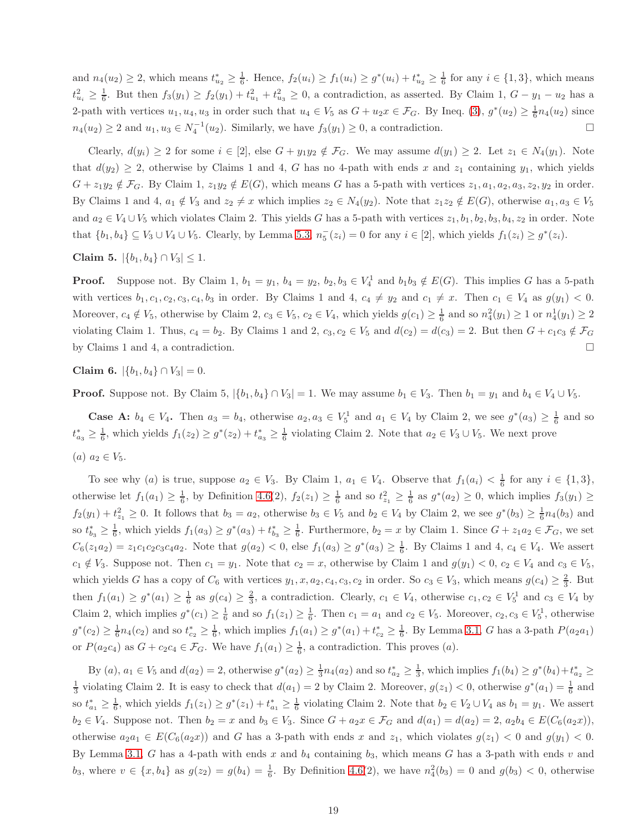and  $n_4(u_2) \ge 2$ , which means  $t_{u_2}^* \ge \frac{1}{6}$ . Hence,  $f_2(u_i) \ge f_1(u_i) \ge g^*(u_i) + t_{u_2}^* \ge \frac{1}{6}$  for any  $i \in \{1,3\}$ , which means  $t_{u_i}^2 \geq \frac{1}{6}$ . But then  $f_3(y_1) \geq f_2(y_1) + t_{u_1}^2 + t_{u_3}^2 \geq 0$ , a contradiction, as asserted. By Claim 1,  $G - y_1 - u_2$  has a 2-path with vertices  $u_1, u_4, u_3$  in order such that  $u_4 \in V_5$  as  $G + u_2 x \in \mathcal{F}_G$ . By Ineq. [\(3\)](#page-5-0),  $g^*(u_2) \geq \frac{1}{6} n_4(u_2)$  since  $n_4(u_2) \geq 2$  and  $u_1, u_3 \in N_4^{-1}(u_2)$ . Similarly, we have  $f_3(y_1) \geq 0$ , a contradiction.

Clearly,  $d(y_i) \geq 2$  for some  $i \in [2]$ , else  $G + y_1y_2 \notin \mathcal{F}_G$ . We may assume  $d(y_1) \geq 2$ . Let  $z_1 \in N_4(y_1)$ . Note that  $d(y_2) \geq 2$ , otherwise by Claims 1 and 4, G has no 4-path with ends x and  $z_1$  containing  $y_1$ , which yields  $G + z_1y_2 \notin \mathcal{F}_G$ . By Claim 1,  $z_1y_2 \notin E(G)$ , which means G has a 5-path with vertices  $z_1, a_1, a_2, a_3, z_2, y_2$  in order. By Claims 1 and 4,  $a_1 \notin V_3$  and  $z_2 \neq x$  which implies  $z_2 \in N_4(y_2)$ . Note that  $z_1z_2 \notin E(G)$ , otherwise  $a_1, a_3 \in V_5$ and  $a_2 \in V_4 \cup V_5$  which violates Claim 2. This yields G has a 5-path with vertices  $z_1, b_1, b_2, b_3, b_4, z_2$  in order. Note that  $\{b_1, b_4\} \subseteq V_3 \cup V_4 \cup V_5$ . Clearly, by Lemma [5.3,](#page-7-2)  $n_5^-(z_i) = 0$  for any  $i \in [2]$ , which yields  $f_1(z_i) \geq g^*(z_i)$ .

Claim 5.  $|\{b_1, b_4\} \cap V_3|$  ≤ 1.

**Proof.** Suppose not. By Claim 1,  $b_1 = y_1$ ,  $b_4 = y_2$ ,  $b_2$ ,  $b_3 \in V_4^1$  and  $b_1b_3 \notin E(G)$ . This implies G has a 5-path with vertices  $b_1, c_1, c_2, c_3, c_4, b_3$  in order. By Claims 1 and 4,  $c_4 \neq y_2$  and  $c_1 \neq x$ . Then  $c_1 \in V_4$  as  $g(y_1) < 0$ . Moreover,  $c_4 \notin V_5$ , otherwise by Claim 2,  $c_3 \in V_5$ ,  $c_2 \in V_4$ , which yields  $g(c_1) \geq \frac{1}{6}$  and so  $n_4^2(y_1) \geq 1$  or  $n_4^1(y_1) \geq 2$ violating Claim 1. Thus,  $c_4 = b_2$ . By Claims 1 and 2,  $c_3$ ,  $c_2 \in V_5$  and  $d(c_2) = d(c_3) = 2$ . But then  $G + c_1c_3 \notin \mathcal{F}_G$ by Claims 1 and 4, a contradiction.

Claim 6.  $|\{b_1, b_4\} \cap V_3| = 0$ .

**Proof.** Suppose not. By Claim 5,  $|\{b_1, b_4\} \cap V_3| = 1$ . We may assume  $b_1 \in V_3$ . Then  $b_1 = y_1$  and  $b_4 \in V_4 \cup V_5$ .

**Case A:**  $b_4 \in V_4$ . Then  $a_3 = b_4$ , otherwise  $a_2, a_3 \in V_5^1$  and  $a_1 \in V_4$  by Claim 2, we see  $g^*(a_3) \geq \frac{1}{6}$  and so  $t_{a_3}^* \geq \frac{1}{6}$ , which yields  $f_1(z_2) \geq g^*(z_2) + t_{a_3}^* \geq \frac{1}{6}$  violating Claim 2. Note that  $a_2 \in V_3 \cup V_5$ . We next prove  $(a) \ a_2 \in V_5.$ 

To see why (a) is true, suppose  $a_2 \in V_3$ . By Claim 1,  $a_1 \in V_4$ . Observe that  $f_1(a_i) < \frac{1}{6}$  for any  $i \in \{1,3\}$ , otherwise let  $f_1(a_1) \geq \frac{1}{6}$ , by Definition [4.6\(](#page-5-2)2),  $f_2(z_1) \geq \frac{1}{6}$  and so  $t_{z_1}^2 \geq \frac{1}{6}$  as  $g^*(a_2) \geq 0$ , which implies  $f_3(y_1) \geq$  $f_2(y_1) + t_{z_1}^2 \ge 0$ . It follows that  $b_3 = a_2$ , otherwise  $b_3 \in V_5$  and  $b_2 \in V_4$  by Claim 2, we see  $g^*(b_3) \ge \frac{1}{6}n_4(b_3)$  and so  $t_{b_3}^* \geq \frac{1}{6}$ , which yields  $f_1(a_3) \geq g^*(a_3) + t_{b_3}^* \geq \frac{1}{6}$ . Furthermore,  $b_2 = x$  by Claim 1. Since  $G + z_1 a_2 \in \mathcal{F}_G$ , we set  $C_6(z_1a_2) = z_1c_1c_2c_3c_4a_2$ . Note that  $g(a_2) < 0$ , else  $f_1(a_3) \ge g^*(a_3) \ge \frac{1}{6}$ . By Claims 1 and 4,  $c_4 \in V_4$ . We assert  $c_1 \notin V_3$ . Suppose not. Then  $c_1 = y_1$ . Note that  $c_2 = x$ , otherwise by Claim 1 and  $g(y_1) < 0$ ,  $c_2 \in V_4$  and  $c_3 \in V_5$ , which yields G has a copy of  $C_6$  with vertices  $y_1, x, a_2, c_4, c_3, c_2$  in order. So  $c_3 \in V_3$ , which means  $g(c_4) \geq \frac{2}{3}$ . But then  $f_1(a_1) \geq g^*(a_1) \geq \frac{1}{6}$  as  $g(c_4) \geq \frac{2}{3}$ , a contradiction. Clearly,  $c_1 \in V_4$ , otherwise  $c_1, c_2 \in V_5^1$  and  $c_3 \in V_4$  by Claim 2, which implies  $g^*(c_1) \geq \frac{1}{6}$  and so  $f_1(z_1) \geq \frac{1}{6}$ . Then  $c_1 = a_1$  and  $c_2 \in V_5$ . Moreover,  $c_2, c_3 \in V_5^1$ , otherwise  $g^*(c_2) \geq \frac{1}{6}n_4(c_2)$  and so  $t_{c_2}^* \geq \frac{1}{6}$ , which implies  $f_1(a_1) \geq g^*(a_1) + t_{c_2}^* \geq \frac{1}{6}$ . By Lemma [3.1,](#page-2-2) G has a 3-path  $P(a_2a_1)$ or  $P(a_2c_4)$  as  $G + c_2c_4 \in \mathcal{F}_G$ . We have  $f_1(a_1) \geq \frac{1}{6}$ , a contradiction. This proves  $(a)$ .

By  $(a)$ ,  $a_1 \in V_5$  and  $d(a_2) = 2$ , otherwise  $g^*(a_2) \ge \frac{1}{3}n_4(a_2)$  and so  $t_{a_2}^* \ge \frac{1}{3}$ , which implies  $f_1(b_4) \ge g^*(b_4) + t_{a_2}^* \ge$  $\frac{1}{3}$  violating Claim 2. It is easy to check that  $d(a_1) = 2$  by Claim 2. Moreover,  $g(z_1) < 0$ , otherwise  $g^*(a_1) = \frac{1}{6}$  and so  $t_{a_1}^* \geq \frac{1}{6}$ , which yields  $f_1(z_1) \geq g^*(z_1) + t_{a_1}^* \geq \frac{1}{6}$  violating Claim 2. Note that  $b_2 \in V_2 \cup V_4$  as  $b_1 = y_1$ . We assert  $b_2 \in V_4$ . Suppose not. Then  $b_2 = x$  and  $b_3 \in V_3$ . Since  $G + a_2x \in \mathcal{F}_G$  and  $d(a_1) = d(a_2) = 2$ ,  $a_2b_4 \in E(C_6(a_2x))$ , otherwise  $a_2a_1 \in E(C_6(a_2x))$  and G has a 3-path with ends x and  $z_1$ , which violates  $g(z_1) < 0$  and  $g(y_1) < 0$ . By Lemma [3.1,](#page-2-2) G has a 4-path with ends x and  $b_4$  containing  $b_3$ , which means G has a 3-path with ends v and  $b_3$ , where  $v \in \{x, b_4\}$  as  $g(z_2) = g(b_4) = \frac{1}{6}$ . By Definition [4.6\(](#page-5-2)2), we have  $n_4^2(b_3) = 0$  and  $g(b_3) < 0$ , otherwise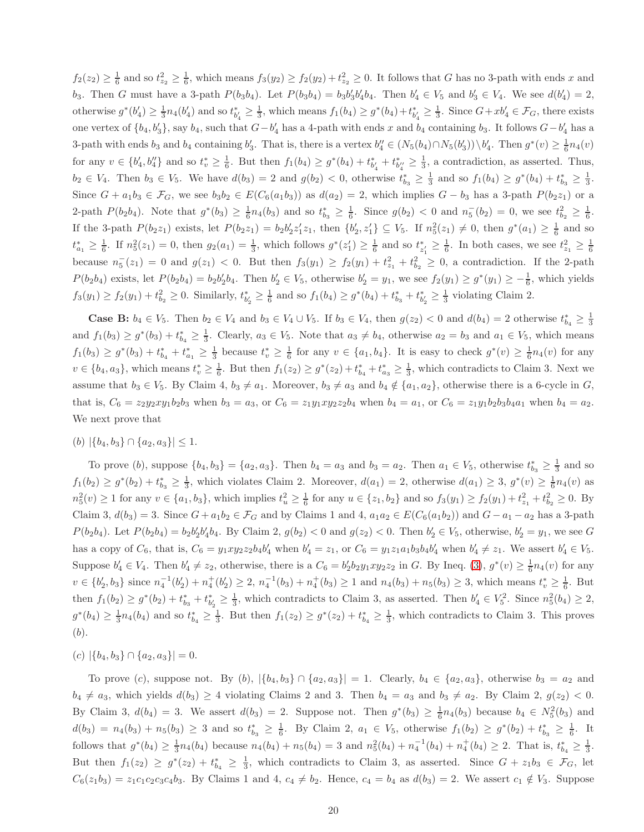$f_2(z_2) \geq \frac{1}{6}$  and so  $t_{z_2}^2 \geq \frac{1}{6}$ , which means  $f_3(y_2) \geq f_2(y_2) + t_{z_2}^2 \geq 0$ . It follows that G has no 3-path with ends x and  $b_3$ . Then G must have a 3-path  $P(b_3b_4)$ . Let  $P(b_3b_4) = b_3b'_3b'_4b_4$ . Then  $b'_4 \in V_5$  and  $b'_3 \in V_4$ . We see  $d(b'_4) = 2$ , otherwise  $g^*(b'_4) \ge \frac{1}{3}n_4(b'_4)$  and so  $t_{b'_4}^* \ge \frac{1}{3}$ , which means  $f_1(b_4) \ge g^*(b_4) + t_{b'_4}^* \ge \frac{1}{3}$ . Since  $G + xb'_4 \in \mathcal{F}_G$ , there exists one vertex of  $\{b_4, b'_3\}$ , say  $b_4$ , such that  $G - b'_4$  has a 4-path with ends x and  $b_4$  containing  $b_3$ . It follows  $G - b'_4$  has a 3-path with ends  $b_3$  and  $b_4$  containing  $b'_3$ . That is, there is a vertex  $b''_4 \in (N_5(b_4) \cap N_5(b'_3)) \setminus b'_4$ . Then  $g^*(v) \ge \frac{1}{6} n_4(v)$ for any  $v \in \{b'_4, b''_4\}$  and so  $t_v^* \geq \frac{1}{6}$ . But then  $f_1(b_4) \geq g^*(b_4) + t_{b'_4}^* + t_{b''_4}^* \geq \frac{1}{3}$ , a contradiction, as asserted. Thus,  $b_2 \in V_4$ . Then  $b_3 \in V_5$ . We have  $d(b_3) = 2$  and  $g(b_2) < 0$ , otherwise  $t_{b_3}^* \geq \frac{1}{3}$  and so  $f_1(b_4) \geq g^*(b_4) + t_{b_3}^* \geq \frac{1}{3}$ . Since  $G + a_1b_3 \in \mathcal{F}_G$ , we see  $b_3b_2 \in E(C_6(a_1b_3))$  as  $d(a_2) = 2$ , which implies  $G - b_3$  has a 3-path  $P(b_2z_1)$  or a 2-path  $P(b_2b_4)$ . Note that  $g^*(b_3) \ge \frac{1}{6}n_4(b_3)$  and so  $t_{b_3}^* \ge \frac{1}{6}$ . Since  $g(b_2) < 0$  and  $n_5^-(b_2) = 0$ , we see  $t_{b_2}^2 \ge \frac{1}{6}$ . If the 3-path  $P(b_2z_1)$  exists, let  $P(b_2z_1) = b_2b'_2z'_1z_1$ , then  $\{b'_2, z'_1\} \subseteq V_5$ . If  $n_5^2(z_1) \neq 0$ , then  $g^*(a_1) \geq \frac{1}{6}$  and so  $t_{a_1}^* \geq \frac{1}{6}$ . If  $n_5^2(z_1) = 0$ , then  $g_2(a_1) = \frac{1}{3}$ , which follows  $g^*(z_1') \geq \frac{1}{6}$  and so  $t_{z_1}^* \geq \frac{1}{6}$ . In both cases, we see  $t_{z_1}^2 \geq \frac{1}{6}$ because  $n_5^-(z_1) = 0$  and  $g(z_1) < 0$ . But then  $f_3(y_1) \ge f_2(y_1) + t_{z_1}^2 + t_{b_2}^2 \ge 0$ , a contradiction. If the 2-path  $P(b_2b_4)$  exists, let  $P(b_2b_4) = b_2b_2'b_4$ . Then  $b_2' \in V_5$ , otherwise  $b_2' = y_1$ , we see  $f_2(y_1) \ge g^*(y_1) \ge -\frac{1}{6}$ , which yields  $f_3(y_1) \ge f_2(y_1) + t_{b_2}^2 \ge 0$ . Similarly,  $t_{b_2}^* \ge \frac{1}{6}$  and so  $f_1(b_4) \ge g^*(b_4) + t_{b_3}^* + t_{b_2}^* \ge \frac{1}{3}$  violating Claim 2.

**Case B:**  $b_4 \in V_5$ . Then  $b_2 \in V_4$  and  $b_3 \in V_4 \cup V_5$ . If  $b_3 \in V_4$ , then  $g(z_2) < 0$  and  $d(b_4) = 2$  otherwise  $t_{b_4}^* \geq \frac{1}{3}$ and  $f_1(b_3) \ge g^*(b_3) + t_{b_4}^* \ge \frac{1}{3}$ . Clearly,  $a_3 \in V_5$ . Note that  $a_3 \ne b_4$ , otherwise  $a_2 = b_3$  and  $a_1 \in V_5$ , which means  $f_1(b_3) \ge g^*(b_3) + t_{b_4}^* + t_{a_1}^* \ge \frac{1}{3}$  because  $t_v^* \ge \frac{1}{6}$  for any  $v \in \{a_1, b_4\}$ . It is easy to check  $g^*(v) \ge \frac{1}{6}n_4(v)$  for any  $v \in \{b_4, a_3\}$ , which means  $t_v^* \geq \frac{1}{6}$ . But then  $f_1(z_2) \geq g^*(z_2) + t_{b_4}^* + t_{a_3}^* \geq \frac{1}{3}$ , which contradicts to Claim 3. Next we assume that  $b_3 \in V_5$ . By Claim 4,  $b_3 \neq a_1$ . Moreover,  $b_3 \neq a_3$  and  $b_4 \notin \{a_1, a_2\}$ , otherwise there is a 6-cycle in G, that is,  $C_6 = z_2y_2xy_1b_2b_3$  when  $b_3 = a_3$ , or  $C_6 = z_1y_1xyz_2b_4$  when  $b_4 = a_1$ , or  $C_6 = z_1y_1b_2b_3b_4a_1$  when  $b_4 = a_2$ . We next prove that

#### $(b)$   $|\{b_4, b_3\} \cap \{a_2, a_3\}| \leq 1.$

To prove  $(b)$ , suppose  $\{b_4, b_3\} = \{a_2, a_3\}$ . Then  $b_4 = a_3$  and  $b_3 = a_2$ . Then  $a_1 \in V_5$ , otherwise  $t_{b_3}^* \geq \frac{1}{3}$  and so  $f_1(b_2) \ge g^*(b_2) + t_{b_3}^* \ge \frac{1}{3}$ , which violates Claim 2. Moreover,  $d(a_1) = 2$ , otherwise  $d(a_1) \ge 3$ ,  $g^*(v) \ge \frac{1}{6}n_4(v)$  as  $n_5^2(v) \ge 1$  for any  $v \in \{a_1, b_3\}$ , which implies  $t_u^2 \ge \frac{1}{6}$  for any  $u \in \{z_1, b_2\}$  and so  $f_3(y_1) \ge f_2(y_1) + t_{z_1}^2 + t_{b_2}^2 \ge 0$ . By Claim 3,  $d(b_3) = 3$ . Since  $G + a_1b_2 \in \mathcal{F}_G$  and by Claims 1 and 4,  $a_1a_2 \in E(C_6(a_1b_2))$  and  $G - a_1 - a_2$  has a 3-path  $P(b_2b_4)$ . Let  $P(b_2b_4) = b_2b_2'b_4'b_4$ . By Claim 2,  $g(b_2) < 0$  and  $g(z_2) < 0$ . Then  $b_2' \in V_5$ , otherwise,  $b_2' = y_1$ , we see G has a copy of  $C_6$ , that is,  $C_6 = y_1 xy_2 z_2 b_4 b'_4$  when  $b'_4 = z_1$ , or  $C_6 = y_1 z_1 a_1 b_3 b_4 b'_4$  when  $b'_4 \neq z_1$ . We assert  $b'_4 \in V_5$ . Suppose  $b'_4 \in V_4$ . Then  $b'_4 \neq z_2$ , otherwise, there is a  $C_6 = b'_2b_2y_1xyz_2z_2$  in G. By Ineq. [\(3\)](#page-5-0),  $g^*(v) \geq \frac{1}{6}n_4(v)$  for any  $v \in \{b'_2, b_3\}$  since  $n_4^{-1}(b'_2) + n_4^{+}(b'_2) \ge 2$ ,  $n_4^{-1}(b_3) + n_4^{+}(b_3) \ge 1$  and  $n_4(b_3) + n_5(b_3) \ge 3$ , which means  $t_v^* \ge \frac{1}{6}$ . But then  $f_1(b_2) \ge g^*(b_2) + t_{b_3}^* + t_{b_2'}^* \ge \frac{1}{3}$ , which contradicts to Claim 3, as asserted. Then  $b_4' \in V_5^2$ . Since  $n_5^2(b_4) \ge 2$ ,  $g^*(b_4) \geq \frac{1}{3}n_4(b_4)$  and so  $t_{b_4}^* \geq \frac{1}{3}$ . But then  $f_1(z_2) \geq g^*(z_2) + t_{b_4}^* \geq \frac{1}{3}$ , which contradicts to Claim 3. This proves (b).

 $(c)$   $|\{b_4, b_3\} \cap \{a_2, a_3\}| = 0.$ 

To prove (c), suppose not. By  $(b)$ ,  $|\{b_4, b_3\} \cap \{a_2, a_3\}| = 1$ . Clearly,  $b_4 \in \{a_2, a_3\}$ , otherwise  $b_3 = a_2$  and  $b_4 \neq a_3$ , which yields  $d(b_3) \geq 4$  violating Claims 2 and 3. Then  $b_4 = a_3$  and  $b_3 \neq a_2$ . By Claim 2,  $g(z_2) < 0$ . By Claim 3,  $d(b_4) = 3$ . We assert  $d(b_3) = 2$ . Suppose not. Then  $g^*(b_3) \geq \frac{1}{6}n_4(b_3)$  because  $b_4 \in N_5^2(b_3)$  and  $d(b_3) = n_4(b_3) + n_5(b_3) \ge 3$  and so  $t_{b_3}^* \ge \frac{1}{6}$ . By Claim 2,  $a_1 \in V_5$ , otherwise  $f_1(b_2) \ge g^*(b_2) + t_{b_3}^* \ge \frac{1}{6}$ . It follows that  $g^*(b_4) \geq \frac{1}{3}n_4(b_4)$  because  $n_4(b_4) + n_5(b_4) = 3$  and  $n_5^2(b_4) + n_4^{-1}(b_4) + n_4^{+}(b_4) \geq 2$ . That is,  $t_{b_4}^* \geq \frac{1}{3}$ . But then  $f_1(z_2) \geq g^*(z_2) + t_{b_4}^* \geq \frac{1}{3}$ , which contradicts to Claim 3, as asserted. Since  $G + z_1b_3 \in \mathcal{F}_G$ , let  $C_6(z_1b_3) = z_1c_1c_2c_3c_4b_3$ . By Claims 1 and 4,  $c_4 \neq b_2$ . Hence,  $c_4 = b_4$  as  $d(b_3) = 2$ . We assert  $c_1 \notin V_3$ . Suppose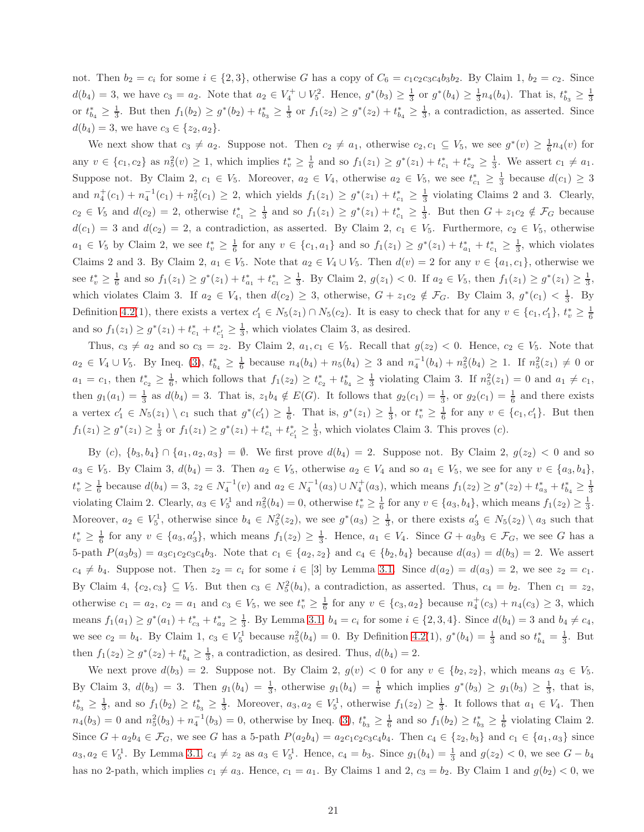not. Then  $b_2 = c_i$  for some  $i \in \{2,3\}$ , otherwise G has a copy of  $C_6 = c_1c_2c_3c_4b_3b_2$ . By Claim 1,  $b_2 = c_2$ . Since  $d(b_4) = 3$ , we have  $c_3 = a_2$ . Note that  $a_2 \in V_4^+ \cup V_5^2$ . Hence,  $g^*(b_3) \ge \frac{1}{3}$  or  $g^*(b_4) \ge \frac{1}{3}n_4(b_4)$ . That is,  $t_{b_3}^* \ge \frac{1}{3}$ or  $t_{b_4}^* \geq \frac{1}{3}$ . But then  $f_1(b_2) \geq g^*(b_2) + t_{b_3}^* \geq \frac{1}{3}$  or  $f_1(z_2) \geq g^*(z_2) + t_{b_4}^* \geq \frac{1}{3}$ , a contradiction, as asserted. Since  $d(b_4) = 3$ , we have  $c_3 \in \{z_2, a_2\}.$ 

We next show that  $c_3 \neq a_2$ . Suppose not. Then  $c_2 \neq a_1$ , otherwise  $c_2, c_1 \subseteq V_5$ , we see  $g^*(v) \geq \frac{1}{6}n_4(v)$  for any  $v \in \{c_1, c_2\}$  as  $n_5^2(v) \ge 1$ , which implies  $t_v^* \ge \frac{1}{6}$  and so  $f_1(z_1) \ge g^*(z_1) + t_{c_1}^* + t_{c_2}^* \ge \frac{1}{3}$ . We assert  $c_1 \ne a_1$ . Suppose not. By Claim 2,  $c_1 \in V_5$ . Moreover,  $a_2 \in V_4$ , otherwise  $a_2 \in V_5$ , we see  $t_{c_1}^* \geq \frac{1}{3}$  because  $d(c_1) \geq 3$ and  $n_4^+(c_1) + n_4^-(c_1) + n_5^2(c_1) \geq 2$ , which yields  $f_1(z_1) \geq g^*(z_1) + t_{c_1}^* \geq \frac{1}{3}$  violating Claims 2 and 3. Clearly,  $c_2 \in V_5$  and  $d(c_2) = 2$ , otherwise  $t_{c_1}^* \geq \frac{1}{3}$  and so  $f_1(z_1) \geq g^*(z_1) + t_{c_1}^* \geq \frac{1}{3}$ . But then  $G + z_1c_2 \notin \mathcal{F}_G$  because  $d(c_1) = 3$  and  $d(c_2) = 2$ , a contradiction, as asserted. By Claim 2,  $c_1 \in V_5$ . Furthermore,  $c_2 \in V_5$ , otherwise  $a_1 \in V_5$  by Claim 2, we see  $t_v^* \geq \frac{1}{6}$  for any  $v \in \{c_1, a_1\}$  and so  $f_1(z_1) \geq g^*(z_1) + t_{a_1}^* + t_{c_1}^* \geq \frac{1}{3}$ , which violates Claims 2 and 3. By Claim 2,  $a_1 \in V_5$ . Note that  $a_2 \in V_4 \cup V_5$ . Then  $d(v) = 2$  for any  $v \in \{a_1, c_1\}$ , otherwise we see  $t_v^* \geq \frac{1}{6}$  and so  $f_1(z_1) \geq g^*(z_1) + t_{a_1}^* + t_{c_1}^* \geq \frac{1}{3}$ . By Claim 2,  $g(z_1) < 0$ . If  $a_2 \in V_5$ , then  $f_1(z_1) \geq g^*(z_1) \geq \frac{1}{3}$ , which violates Claim 3. If  $a_2 \in V_4$ , then  $d(c_2) \geq 3$ , otherwise,  $G + z_1c_2 \notin \mathcal{F}_G$ . By Claim 3,  $g^*(c_1) < \frac{1}{3}$ . By Definition [4.2\(](#page-4-0)1), there exists a vertex  $c'_1 \in N_5(z_1) \cap N_5(c_2)$ . It is easy to check that for any  $v \in \{c_1, c'_1\}$ ,  $t_v^* \geq \frac{1}{6}$ and so  $f_1(z_1) \ge g^*(z_1) + t_{c_1}^* + t_{c_1'}^* \ge \frac{1}{3}$ , which violates Claim 3, as desired.

Thus,  $c_3 \neq a_2$  and so  $c_3 = z_2$ . By Claim 2,  $a_1, c_1 \in V_5$ . Recall that  $g(z_2) < 0$ . Hence,  $c_2 \in V_5$ . Note that  $a_2 \in V_4 \cup V_5$ . By Ineq. [\(3\)](#page-5-0),  $t_{b_4}^* \geq \frac{1}{6}$  because  $n_4(b_4) + n_5(b_4) \geq 3$  and  $n_4^{-1}(b_4) + n_5^2(b_4) \geq 1$ . If  $n_5^2(z_1) \neq 0$  or  $a_1 = c_1$ , then  $t_{c_2}^* \geq \frac{1}{6}$ , which follows that  $f_1(z_2) \geq t_{c_2}^* + t_{b_4}^* \geq \frac{1}{3}$  violating Claim 3. If  $n_5^2(z_1) = 0$  and  $a_1 \neq c_1$ , then  $g_1(a_1) = \frac{1}{3}$  as  $d(b_4) = 3$ . That is,  $z_1b_4 \notin E(G)$ . It follows that  $g_2(c_1) = \frac{1}{3}$ , or  $g_2(c_1) = \frac{1}{6}$  and there exists a vertex  $c'_1 \in N_5(z_1) \setminus c_1$  such that  $g^*(c'_1) \geq \frac{1}{6}$ . That is,  $g^*(z_1) \geq \frac{1}{3}$ , or  $t_v^* \geq \frac{1}{6}$  for any  $v \in \{c_1, c'_1\}$ . But then  $f_1(z_1) \geq g^*(z_1) \geq \frac{1}{3}$  or  $f_1(z_1) \geq g^*(z_1) + t_{c_1}^* + t_{c_1}^* \geq \frac{1}{3}$ , which violates Claim 3. This proves (*c*).

By (c),  $\{b_3, b_4\} \cap \{a_1, a_2, a_3\} = \emptyset$ . We first prove  $d(b_4) = 2$ . Suppose not. By Claim 2,  $g(z_2) < 0$  and so  $a_3 \in V_5$ . By Claim 3,  $d(b_4) = 3$ . Then  $a_2 \in V_5$ , otherwise  $a_2 \in V_4$  and so  $a_1 \in V_5$ , we see for any  $v \in \{a_3, b_4\}$ ,  $t_v^* \geq \frac{1}{6}$  because  $d(b_4) = 3$ ,  $z_2 \in N_4^{-1}(v)$  and  $a_2 \in N_4^{-1}(a_3) \cup N_4^{+}(a_3)$ , which means  $f_1(z_2) \geq g^*(z_2) + t_{a_3}^* + t_{b_4}^* \geq \frac{1}{3}$ violating Claim 2. Clearly,  $a_3 \in V_5^1$  and  $n_5^2(b_4) = 0$ , otherwise  $t_v^* \geq \frac{1}{6}$  for any  $v \in \{a_3, b_4\}$ , which means  $f_1(z_2) \geq \frac{1}{3}$ . Moreover,  $a_2 \in V_5^1$ , otherwise since  $b_4 \in N_5^2(z_2)$ , we see  $g^*(a_3) \geq \frac{1}{3}$ , or there exists  $a'_3 \in N_5(z_2) \setminus a_3$  such that  $t_v^* \geq \frac{1}{6}$  for any  $v \in \{a_3, a_3'\}$ , which means  $f_1(z_2) \geq \frac{1}{3}$ . Hence,  $a_1 \in V_4$ . Since  $G + a_3b_3 \in \mathcal{F}_G$ , we see G has a 5-path  $P(a_3b_3) = a_3c_1c_2c_3c_4b_3$ . Note that  $c_1 \in \{a_2, z_2\}$  and  $c_4 \in \{b_2, b_4\}$  because  $d(a_3) = d(b_3) = 2$ . We assert  $c_4 \neq b_4$ . Suppose not. Then  $z_2 = c_i$  for some  $i \in [3]$  by Lemma [3.1.](#page-2-2) Since  $d(a_2) = d(a_3) = 2$ , we see  $z_2 = c_1$ . By Claim 4,  $\{c_2, c_3\} \subseteq V_5$ . But then  $c_3 \in N_5^2(b_4)$ , a contradiction, as asserted. Thus,  $c_4 = b_2$ . Then  $c_1 = z_2$ , otherwise  $c_1 = a_2$ ,  $c_2 = a_1$  and  $c_3 \in V_5$ , we see  $t_v \geq \frac{1}{6}$  for any  $v \in \{c_3, a_2\}$  because  $n_4^+(c_3) + n_4(c_3) \geq 3$ , which means  $f_1(a_1) \ge g^*(a_1) + t_{c_3}^* + t_{a_2}^* \ge \frac{1}{3}$ . By Lemma [3.1,](#page-2-2)  $b_4 = c_i$  for some  $i \in \{2, 3, 4\}$ . Since  $d(b_4) = 3$  and  $b_4 \ne c_4$ , we see  $c_2 = b_4$ . By Claim 1,  $c_3 \in V_5^1$  because  $n_5^2(b_4) = 0$ . By Definition [4.2\(](#page-4-0)1),  $g^*(b_4) = \frac{1}{3}$  and so  $t_{b_4}^* = \frac{1}{3}$ . But then  $f_1(z_2) \ge g^*(z_2) + t_{b_4}^* \ge \frac{1}{3}$ , a contradiction, as desired. Thus,  $d(b_4) = 2$ .

We next prove  $d(b_3) = 2$ . Suppose not. By Claim 2,  $g(v) < 0$  for any  $v \in \{b_2, z_2\}$ , which means  $a_3 \in V_5$ . By Claim 3,  $d(b_3) = 3$ . Then  $g_1(b_4) = \frac{1}{3}$ , otherwise  $g_1(b_4) = \frac{1}{6}$  which implies  $g^*(b_3) \ge g_1(b_3) \ge \frac{1}{3}$ , that is,  $t_{b_3}^* \geq \frac{1}{3}$ , and so  $f_1(b_2) \geq t_{b_3}^* \geq \frac{1}{3}$ . Moreover,  $a_3, a_2 \in V_5^1$ , otherwise  $f_1(z_2) \geq \frac{1}{3}$ . It follows that  $a_1 \in V_4$ . Then  $n_4(b_3) = 0$  and  $n_5^2(b_3) + n_4^{-1}(b_3) = 0$ , otherwise by Ineq. [\(3\)](#page-5-0),  $t_{b_3}^* \ge \frac{1}{6}$  and so  $f_1(b_2) \ge t_{b_3}^* \ge \frac{1}{6}$  violating Claim 2. Since  $G + a_2b_4 \in \mathcal{F}_G$ , we see G has a 5-path  $P(a_2b_4) = a_2c_1c_2c_3c_4b_4$ . Then  $c_4 \in \{z_2, b_3\}$  and  $c_1 \in \{a_1, a_3\}$  since  $a_3, a_2 \in V_5^1$ . By Lemma [3.1,](#page-2-2)  $c_4 \neq z_2$  as  $a_3 \in V_5^1$ . Hence,  $c_4 = b_3$ . Since  $g_1(b_4) = \frac{1}{3}$  and  $g(z_2) < 0$ , we see  $G - b_4$ has no 2-path, which implies  $c_1 \neq a_3$ . Hence,  $c_1 = a_1$ . By Claims 1 and 2,  $c_3 = b_2$ . By Claim 1 and  $g(b_2) < 0$ , we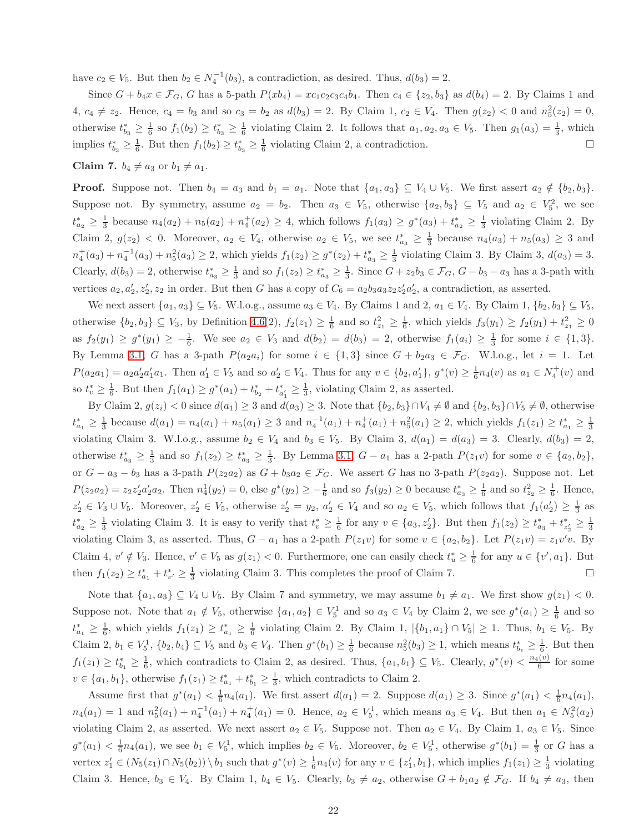have  $c_2 \in V_5$ . But then  $b_2 \in N_4^{-1}(b_3)$ , a contradiction, as desired. Thus,  $d(b_3) = 2$ .

Since  $G + b_4x \in \mathcal{F}_G$ , G has a 5-path  $P(xb_4) = xc_1c_2c_3c_4b_4$ . Then  $c_4 \in \{z_2, b_3\}$  as  $d(b_4) = 2$ . By Claims 1 and  $4, c_4 \neq z_2$ . Hence,  $c_4 = b_3$  and so  $c_3 = b_2$  as  $d(b_3) = 2$ . By Claim 1,  $c_2 \in V_4$ . Then  $g(z_2) < 0$  and  $n_5^2(z_2) = 0$ , otherwise  $t_{b_3}^* \geq \frac{1}{6}$  so  $f_1(b_2) \geq t_{b_3}^* \geq \frac{1}{6}$  violating Claim 2. It follows that  $a_1, a_2, a_3 \in V_5$ . Then  $g_1(a_3) = \frac{1}{3}$ , which implies  $t_{b_3}^* \geq \frac{1}{6}$ . But then  $f_1(b_2) \geq t_{b_3}^* \geq \frac{1}{6}$  violating Claim 2, a contradiction.

Claim 7.  $b_4 \neq a_3$  or  $b_1 \neq a_1$ .

**Proof.** Suppose not. Then  $b_4 = a_3$  and  $b_1 = a_1$ . Note that  $\{a_1, a_3\} \subseteq V_4 \cup V_5$ . We first assert  $a_2 \notin \{b_2, b_3\}$ . Suppose not. By symmetry, assume  $a_2 = b_2$ . Then  $a_3 \in V_5$ , otherwise  $\{a_2, b_3\} \subseteq V_5$  and  $a_2 \in V_5^2$ , we see  $t_{a_2}^* \geq \frac{1}{3}$  because  $n_4(a_2) + n_5(a_2) + n_4^+(a_2) \geq 4$ , which follows  $f_1(a_3) \geq g^*(a_3) + t_{a_2}^* \geq \frac{1}{3}$  violating Claim 2. By Claim 2,  $g(z_2) < 0$ . Moreover,  $a_2 \in V_4$ , otherwise  $a_2 \in V_5$ , we see  $t_{a_3}^* \geq \frac{1}{3}$  because  $n_4(a_3) + n_5(a_3) \geq 3$  and  $n_4^+(a_3) + n_4^{-1}(a_3) + n_5^2(a_3) \ge 2$ , which yields  $f_1(z_2) \ge g^*(z_2) + t_{a_3}^* \ge \frac{1}{3}$  violating Claim 3. By Claim 3,  $d(a_3) = 3$ . Clearly,  $d(b_3) = 2$ , otherwise  $t_{a_3}^* \geq \frac{1}{3}$  and so  $f_1(z_2) \geq t_{a_3}^* \geq \frac{1}{3}$ . Since  $G + z_2b_3 \in \mathcal{F}_G$ ,  $G - b_3 - a_3$  has a 3-path with vertices  $a_2, a'_2, z'_2, z_2$  in order. But then G has a copy of  $C_6 = a_2b_3a_3z_2z'_2a'_2$ , a contradiction, as asserted.

We next assert  $\{a_1, a_3\} \subseteq V_5$ . W.l.o.g., assume  $a_3 \in V_4$ . By Claims 1 and 2,  $a_1 \in V_4$ . By Claim 1,  $\{b_2, b_3\} \subseteq V_5$ , otherwise  $\{b_2, b_3\} \subseteq V_3$ , by Definition [4.6\(](#page-5-2)2),  $f_2(z_1) \ge \frac{1}{6}$  and so  $t_{z_1}^2 \ge \frac{1}{6}$ , which yields  $f_3(y_1) \ge f_2(y_1) + t_{z_1}^2 \ge 0$ as  $f_2(y_1) \ge g^*(y_1) \ge -\frac{1}{6}$ . We see  $a_2 \in V_3$  and  $d(b_2) = d(b_3) = 2$ , otherwise  $f_1(a_i) \ge \frac{1}{3}$  for some  $i \in \{1,3\}$ . By Lemma [3.1,](#page-2-2) G has a 3-path  $P(a_2a_i)$  for some  $i \in \{1,3\}$  since  $G + b_2a_3 \in \mathcal{F}_G$ . W.l.o.g., let  $i = 1$ . Let  $P(a_2a_1) = a_2a'_2a'_1a_1$ . Then  $a'_1 \in V_5$  and so  $a'_2 \in V_4$ . Thus for any  $v \in \{b_2, a'_1\}$ ,  $g^*(v) \geq \frac{1}{6}n_4(v)$  as  $a_1 \in N_4^+(v)$  and so  $t_v^* \geq \frac{1}{6}$ . But then  $f_1(a_1) \geq g^*(a_1) + t_{b_2}^* + t_{a'_1}^* \geq \frac{1}{3}$ , violating Claim 2, as asserted.

By Claim 2,  $g(z_i) < 0$  since  $d(a_1) \geq 3$  and  $d(a_3) \geq 3$ . Note that  $\{b_2, b_3\} \cap V_4 \neq \emptyset$  and  $\{b_2, b_3\} \cap V_5 \neq \emptyset$ , otherwise  $t_{a_1}^* \geq \frac{1}{3}$  because  $d(a_1) = n_4(a_1) + n_5(a_1) \geq 3$  and  $n_4^{-1}(a_1) + n_4^{+}(a_1) + n_5^{2}(a_1) \geq 2$ , which yields  $f_1(z_1) \geq t_{a_1}^* \geq \frac{1}{3}$ violating Claim 3. W.l.o.g., assume  $b_2 \in V_4$  and  $b_3 \in V_5$ . By Claim 3,  $d(a_1) = d(a_3) = 3$ . Clearly,  $d(b_3) = 2$ , otherwise  $t_{a_3}^* \geq \frac{1}{3}$  and so  $f_1(z_2) \geq t_{a_3}^* \geq \frac{1}{3}$ . By Lemma [3.1,](#page-2-2)  $G - a_1$  has a 2-path  $P(z_1v)$  for some  $v \in \{a_2, b_2\}$ , or  $G - a_3 - b_3$  has a 3-path  $P(z_2a_2)$  as  $G + b_3a_2 \in \mathcal{F}_G$ . We assert G has no 3-path  $P(z_2a_2)$ . Suppose not. Let  $P(z_2a_2) = z_2z_2'a_2'a_2.$  Then  $n_4^1(y_2) = 0$ , else  $g^*(y_2) \ge -\frac{1}{6}$  and so  $f_3(y_2) \ge 0$  because  $t_{a_3}^* \ge \frac{1}{6}$  and so  $t_{z_2}^2 \ge \frac{1}{6}$ . Hence,  $z'_2 \in V_3 \cup V_5$ . Moreover,  $z'_2 \in V_5$ , otherwise  $z'_2 = y_2$ ,  $a'_2 \in V_4$  and so  $a_2 \in V_5$ , which follows that  $f_1(a'_2) \geq \frac{1}{3}$  as  $t_{a_2}^* \geq \frac{1}{3}$  violating Claim 3. It is easy to verify that  $t_v^* \geq \frac{1}{6}$  for any  $v \in \{a_3, z_2'\}$ . But then  $f_1(z_2) \geq t_{a_3}^* + t_{z_2'}^* \geq \frac{1}{3}$ violating Claim 3, as asserted. Thus,  $G - a_1$  has a 2-path  $P(z_1v)$  for some  $v \in \{a_2, b_2\}$ . Let  $P(z_1v) = z_1v'v$ . By Claim 4,  $v' \notin V_3$ . Hence,  $v' \in V_5$  as  $g(z_1) < 0$ . Furthermore, one can easily check  $t_u^* \geq \frac{1}{6}$  for any  $u \in \{v', a_1\}$ . But then  $f_1(z_2) \ge t_{a_1}^* + t_{v'}^* \ge \frac{1}{3}$  violating Claim 3. This completes the proof of Claim 7.

Note that  $\{a_1, a_3\} \subseteq V_4 \cup V_5$ . By Claim 7 and symmetry, we may assume  $b_1 \neq a_1$ . We first show  $g(z_1) < 0$ . Suppose not. Note that  $a_1 \notin V_5$ , otherwise  $\{a_1, a_2\} \in V_5^1$  and so  $a_3 \in V_4$  by Claim 2, we see  $g^*(a_1) \geq \frac{1}{6}$  and so  $t_{a_1}^* \geq \frac{1}{6}$ , which yields  $f_1(z_1) \geq t_{a_1}^* \geq \frac{1}{6}$  violating Claim 2. By Claim 1,  $|\{b_1, a_1\} \cap V_5| \geq 1$ . Thus,  $b_1 \in V_5$ . By Claim 2,  $b_1 \in V_5^1$ ,  $\{b_2, b_4\} \subseteq V_5$  and  $b_3 \in V_4$ . Then  $g^*(b_1) \geq \frac{1}{6}$  because  $n_5^2(b_3) \geq 1$ , which means  $t_{b_1}^* \geq \frac{1}{6}$ . But then  $f_1(z_1) \ge t_{b_1}^* \ge \frac{1}{6}$ , which contradicts to Claim 2, as desired. Thus,  $\{a_1, b_1\} \subseteq V_5$ . Clearly,  $g^*(v) < \frac{n_4(v)}{6}$  for some  $v \in \{a_1, b_1\}$ , otherwise  $f_1(z_1) \geq t_{a_1}^* + t_{b_1}^* \geq \frac{1}{3}$ , which contradicts to Claim 2.

Assume first that  $g^*(a_1) < \frac{1}{6}n_4(a_1)$ . We first assert  $d(a_1) = 2$ . Suppose  $d(a_1) \geq 3$ . Since  $g^*(a_1) < \frac{1}{6}n_4(a_1)$ ,  $n_4(a_1) = 1$  and  $n_5^2(a_1) + n_4^{-1}(a_1) + n_4^{+}(a_1) = 0$ . Hence,  $a_2 \in V_5^1$ , which means  $a_3 \in V_4$ . But then  $a_1 \in N_5^2(a_2)$ violating Claim 2, as asserted. We next assert  $a_2 \in V_5$ . Suppose not. Then  $a_2 \in V_4$ . By Claim 1,  $a_3 \in V_5$ . Since  $g^*(a_1) < \frac{1}{6}n_4(a_1)$ , we see  $b_1 \in V_5^1$ , which implies  $b_2 \in V_5$ . Moreover,  $b_2 \in V_5^1$ , otherwise  $g^*(b_1) = \frac{1}{3}$  or G has a vertex  $z'_1 \in (N_5(z_1) \cap N_5(b_2)) \setminus b_1$  such that  $g^*(v) \geq \frac{1}{6}n_4(v)$  for any  $v \in \{z'_1, b_1\}$ , which implies  $f_1(z_1) \geq \frac{1}{3}$  violating Claim 3. Hence,  $b_3 \in V_4$ . By Claim 1,  $b_4 \in V_5$ . Clearly,  $b_3 \neq a_2$ , otherwise  $G + b_1 a_2 \notin \mathcal{F}_G$ . If  $b_4 \neq a_3$ , then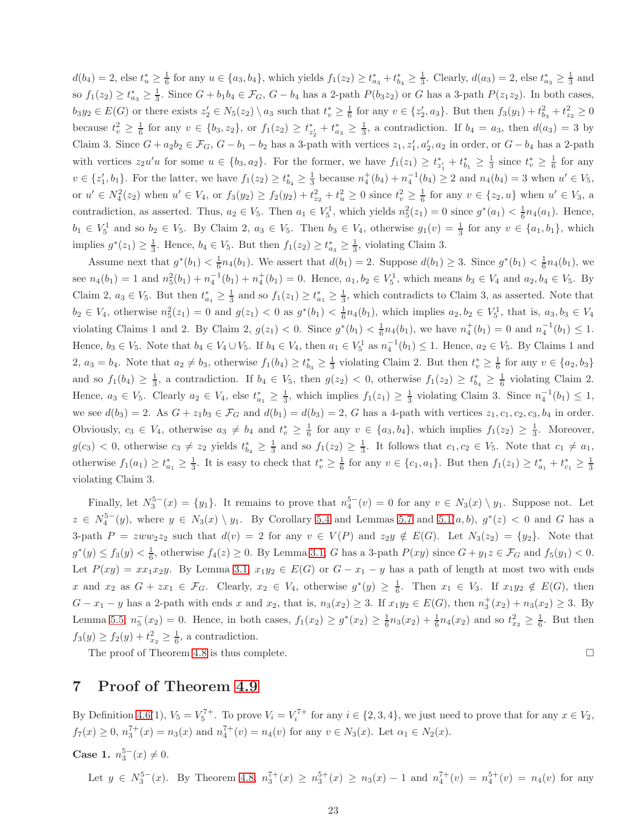$d(b_4) = 2$ , else  $t_u^* \geq \frac{1}{6}$  for any  $u \in \{a_3, b_4\}$ , which yields  $f_1(z_2) \geq t_{a_3}^* + t_{b_4}^* \geq \frac{1}{3}$ . Clearly,  $d(a_3) = 2$ , else  $t_{a_3}^* \geq \frac{1}{3}$  and so  $f_1(z_2) \ge t_{a_3}^* \ge \frac{1}{3}$ . Since  $G + b_1b_4 \in \mathcal{F}_G$ ,  $G - b_4$  has a 2-path  $P(b_3z_2)$  or G has a 3-path  $P(z_1z_2)$ . In both cases,  $b_3y_2 \in E(G)$  or there exists  $z_2' \in N_5(z_2) \setminus a_3$  such that  $t_v^* \geq \frac{1}{6}$  for any  $v \in \{z_2', a_3\}$ . But then  $f_3(y_1) + t_{b_3}^2 + t_{z_2}^2 \geq 0$ because  $t_v^2 \geq \frac{1}{6}$  for any  $v \in \{b_3, z_2\}$ , or  $f_1(z_2) \geq t_{z'_2}^* + t_{a_3}^* \geq \frac{1}{3}$ , a contradiction. If  $b_4 = a_3$ , then  $d(a_3) = 3$  by Claim 3. Since  $G + a_2b_2 \in \mathcal{F}_G$ ,  $G - b_1 - b_2$  has a 3-path with vertices  $z_1, z'_1, a'_2, a_2$  in order, or  $G - b_4$  has a 2-path with vertices  $z_2u'u$  for some  $u \in \{b_3, a_2\}$ . For the former, we have  $f_1(z_1) \ge t_{z_1'}^* + t_{b_1}^* \ge \frac{1}{3}$  since  $t_v^* \ge \frac{1}{6}$  for any  $v \in \{z'_1, b_1\}$ . For the latter, we have  $f_1(z_2) \ge t_{b_4}^* \ge \frac{1}{3}$  because  $n_4^+(b_4) + n_4^{-1}(b_4) \ge 2$  and  $n_4(b_4) = 3$  when  $u' \in V_5$ , or  $u' \in N_4^2(z_2)$  when  $u' \in V_4$ , or  $f_3(y_2) \ge f_2(y_2) + t_{z_2}^2 + t_u^2 \ge 0$  since  $t_v^2 \ge \frac{1}{6}$  for any  $v \in \{z_2, u\}$  when  $u' \in V_3$ , a contradiction, as asserted. Thus,  $a_2 \in V_5$ . Then  $a_1 \in V_5^1$ , which yields  $n_5^2(z_1) = 0$  since  $g^*(a_1) < \frac{1}{6}n_4(a_1)$ . Hence,  $b_1 \in V_5^1$  and so  $b_2 \in V_5$ . By Claim 2,  $a_3 \in V_5$ . Then  $b_3 \in V_4$ , otherwise  $g_1(v) = \frac{1}{3}$  for any  $v \in \{a_1, b_1\}$ , which implies  $g^*(z_1) \geq \frac{1}{3}$ . Hence,  $b_4 \in V_5$ . But then  $f_1(z_2) \geq t_{a_3}^* \geq \frac{1}{3}$ , violating Claim 3.

Assume next that  $g^*(b_1) < \frac{1}{6}n_4(b_1)$ . We assert that  $d(b_1) = 2$ . Suppose  $d(b_1) \geq 3$ . Since  $g^*(b_1) < \frac{1}{6}n_4(b_1)$ , we see  $n_4(b_1) = 1$  and  $n_5^2(b_1) + n_4^{-1}(b_1) + n_4^{+}(b_1) = 0$ . Hence,  $a_1, b_2 \in V_5^1$ , which means  $b_3 \in V_4$  and  $a_2, b_4 \in V_5$ . By Claim 2,  $a_3 \in V_5$ . But then  $t_{a_1}^* \geq \frac{1}{3}$  and so  $f_1(z_1) \geq t_{a_1}^* \geq \frac{1}{3}$ , which contradicts to Claim 3, as asserted. Note that  $b_2 \in V_4$ , otherwise  $n_5^2(z_1) = 0$  and  $g(z_1) < 0$  as  $g^*(b_1) < \frac{1}{6}n_4(b_1)$ , which implies  $a_2, b_2 \in V_5^1$ , that is,  $a_3, b_3 \in V_4$ violating Claims 1 and 2. By Claim 2,  $g(z_1) < 0$ . Since  $g^*(b_1) < \frac{1}{6}n_4(b_1)$ , we have  $n_4^+(b_1) = 0$  and  $n_4^{-1}(b_1) \leq 1$ . Hence,  $b_3 \in V_5$ . Note that  $b_4 \in V_4 \cup V_5$ . If  $b_4 \in V_4$ , then  $a_1 \in V_5^1$  as  $n_4^{-1}(b_1) \leq 1$ . Hence,  $a_2 \in V_5$ . By Claims 1 and 2,  $a_3 = b_4$ . Note that  $a_2 \neq b_3$ , otherwise  $f_1(b_4) \ge t_{b_3}^* \ge \frac{1}{3}$  violating Claim 2. But then  $t_v^* \ge \frac{1}{6}$  for any  $v \in \{a_2, b_3\}$ and so  $f_1(b_4) \geq \frac{1}{3}$ , a contradiction. If  $b_4 \in V_5$ , then  $g(z_2) < 0$ , otherwise  $f_1(z_2) \geq t_{b_4}^* \geq \frac{1}{6}$  violating Claim 2. Hence,  $a_3 \in V_5$ . Clearly  $a_2 \in V_4$ , else  $t_{a_1}^* \geq \frac{1}{3}$ , which implies  $f_1(z_1) \geq \frac{1}{3}$  violating Claim 3. Since  $n_4^{-1}(b_1) \leq 1$ , we see  $d(b_3) = 2$ . As  $G + z_1b_3 \in \mathcal{F}_G$  and  $d(b_1) = d(b_3) = 2$ , G has a 4-path with vertices  $z_1, c_1, c_2, c_3, b_4$  in order. Obviously,  $c_3 \in V_4$ , otherwise  $a_3 \neq b_4$  and  $t_v^* \geq \frac{1}{6}$  for any  $v \in \{a_3, b_4\}$ , which implies  $f_1(z_2) \geq \frac{1}{3}$ . Moreover,  $g(c_3) < 0$ , otherwise  $c_3 \neq z_2$  yields  $t_{b_4}^* \geq \frac{1}{3}$  and so  $f_1(z_2) \geq \frac{1}{3}$ . It follows that  $c_1, c_2 \in V_5$ . Note that  $c_1 \neq a_1$ , otherwise  $f_1(a_1) \ge t_{a_1}^* \ge \frac{1}{3}$ . It is easy to check that  $t_v^* \ge \frac{1}{6}$  for any  $v \in \{c_1, a_1\}$ . But then  $f_1(z_1) \ge t_{a_1}^* + t_{c_1}^* \ge \frac{1}{3}$ violating Claim 3.

Finally, let  $N_3^{5-}(x) = \{y_1\}$ . It remains to prove that  $n_4^{5-}(v) = 0$  for any  $v \in N_3(x) \setminus y_1$ . Suppose not. Let  $z \in N_4^{5-}(y)$ , where  $y \in N_3(x) \setminus y_1$ . By Corollary [5.4](#page-11-0) and Lemmas [5.7](#page-13-0) and 5.1 $(a, b)$ ,  $g^*(z) < 0$  and G has a 3-path  $P = zww_2z_2$  such that  $d(v) = 2$  for any  $v \in V(P)$  and  $z_2y \notin E(G)$ . Let  $N_3(z_2) = \{y_2\}$ . Note that  $g^*(y) \le f_3(y) < \frac{1}{6}$ , otherwise  $f_4(z) \ge 0$ . By Lemma [3.1,](#page-2-2) G has a 3-path  $P(xy)$  since  $G + y_1 z \in \mathcal{F}_G$  and  $f_5(y_1) < 0$ . Let  $P(xy) = xx_1x_2y$ . By Lemma [3.1,](#page-2-2)  $x_1y_2 \in E(G)$  or  $G - x_1 - y$  has a path of length at most two with ends x and  $x_2$  as  $G + zx_1 \in \mathcal{F}_G$ . Clearly,  $x_2 \in V_4$ , otherwise  $g^*(y) \geq \frac{1}{6}$ . Then  $x_1 \in V_3$ . If  $x_1y_2 \notin E(G)$ , then  $G - x_1 - y$  has a 2-path with ends x and  $x_2$ , that is,  $n_3(x_2) \geq 3$ . If  $x_1y_2 \in E(G)$ , then  $n_3^+(x_2) + n_3(x_2) \geq 3$ . By Lemma [5.5,](#page-11-1)  $n_5^-(x_2) = 0$ . Hence, in both cases,  $f_1(x_2) \ge g^*(x_2) \ge \frac{1}{6}n_3(x_2) + \frac{1}{6}n_4(x_2)$  and so  $t_{x_2}^2 \ge \frac{1}{6}$ . But then  $f_3(y) \ge f_2(y) + t_{x_2}^2 \ge \frac{1}{6}$ , a contradiction.

The proof of Theorem [4.8](#page-6-2) is thus complete.  $\Box$ 

### 7 Proof of Theorem [4.9](#page-6-0)

By Definition [4.6\(](#page-5-2)1),  $V_5 = V_5^{7+}$ . To prove  $V_i = V_i^{7+}$  for any  $i \in \{2, 3, 4\}$ , we just need to prove that for any  $x \in V_2$ ,  $f_7(x) \ge 0$ ,  $n_3^{7+}(x) = n_3(x)$  and  $n_4^{7+}(v) = n_4(v)$  for any  $v \in N_3(x)$ . Let  $\alpha_1 \in N_2(x)$ .

Case 1.  $n_3^{5-}(x) \neq 0$ .

Let  $y \in N_3^{5-}(x)$ . By Theorem [4.8,](#page-6-2)  $n_3^{7+}(x) \ge n_3^{5+}(x) \ge n_3(x) - 1$  and  $n_4^{7+}(v) = n_4^{5+}(v) = n_4(v)$  for any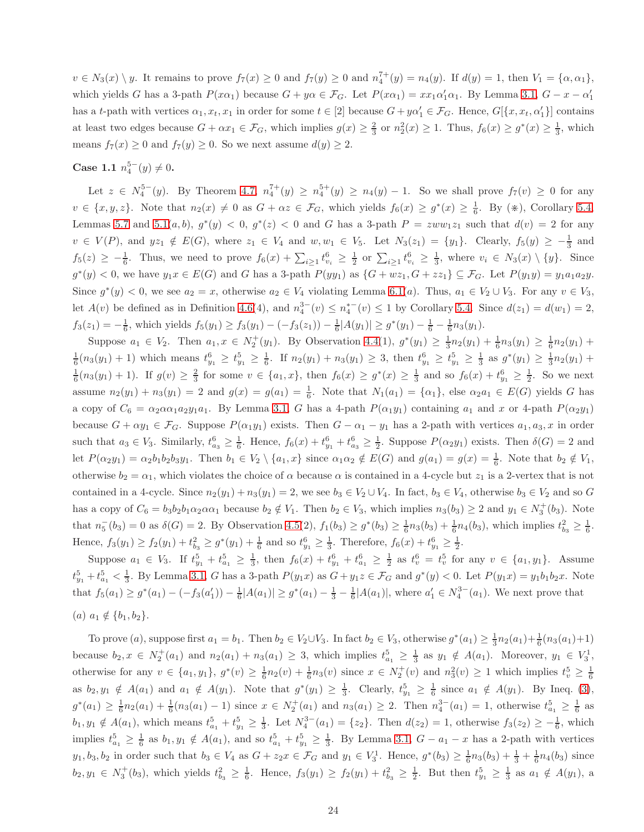$v \in N_3(x) \setminus y$ . It remains to prove  $f_7(x) \ge 0$  and  $f_7(y) \ge 0$  and  $n_4^{7+}(y) = n_4(y)$ . If  $d(y) = 1$ , then  $V_1 = {\alpha, \alpha_1}$ , which yields G has a 3-path  $P(x\alpha_1)$  because  $G + y\alpha \in \mathcal{F}_G$ . Let  $P(x\alpha_1) = xx_1\alpha'_1\alpha_1$ . By Lemma [3.1,](#page-2-2)  $G - x - \alpha'_1$ has a t-path with vertices  $\alpha_1, x_t, x_1$  in order for some  $t \in [2]$  because  $G + y\alpha'_1 \in \mathcal{F}_G$ . Hence,  $G[\{x, x_t, \alpha'_1\}]$  contains at least two edges because  $G + \alpha x_1 \in \mathcal{F}_G$ , which implies  $g(x) \geq \frac{2}{3}$  or  $n_2^2(x) \geq 1$ . Thus,  $f_6(x) \geq g^*(x) \geq \frac{1}{3}$ , which means  $f_7(x) \ge 0$  and  $f_7(y) \ge 0$ . So we next assume  $d(y) \ge 2$ .

# Case 1.1  $n_4^{5-}(y) \neq 0$ .

Let  $z \in N_4^{5-}(y)$ . By Theorem [4.7,](#page-6-1)  $n_4^{7+}(y) \ge n_4^{5+}(y) \ge n_4(y) - 1$ . So we shall prove  $f_7(v) \ge 0$  for any  $v \in \{x, y, z\}$ . Note that  $n_2(x) \neq 0$  as  $G + \alpha z \in \mathcal{F}_G$ , which yields  $f_6(x) \geq g^*(x) \geq \frac{1}{6}$ . By  $(\divideontimes)$ , Corollary [5.4,](#page-11-0) Lemmas [5.7](#page-13-0) and 5.1 $(a, b)$ ,  $g^*(y) < 0$ ,  $g^*(z) < 0$  and G has a 3-path  $P = zww_1z_1$  such that  $d(v) = 2$  for any  $v \in V(P)$ , and  $yz_1 \notin E(G)$ , where  $z_1 \in V_4$  and  $w, w_1 \in V_5$ . Let  $N_3(z_1) = \{y_1\}$ . Clearly,  $f_5(y) \geq -\frac{1}{3}$  and  $f_5(z) \geq -\frac{1}{6}$ . Thus, we need to prove  $f_6(x) + \sum_{i\geq 1} t_{v_i}^6 \geq \frac{1}{2}$  or  $\sum_{i\geq 1} t_{v_i}^6 \geq \frac{1}{3}$ , where  $v_i \in N_3(x) \setminus \{y\}$ . Since  $g^*(y) < 0$ , we have  $y_1x \in E(G)$  and G has a 3-path  $P(yy_1)$  as  $\{G + wz_1, G + zz_1\} \subseteq \mathcal{F}_G$ . Let  $P(y_1y) = y_1a_1a_2y$ . Since  $g^*(y) < 0$ , we see  $a_2 = x$ , otherwise  $a_2 \in V_4$  violating Lemma [6.1\(](#page-16-0)*a*). Thus,  $a_1 \in V_2 \cup V_3$ . For any  $v \in V_3$ , let  $A(v)$  be defined as in Definition [4.6\(](#page-5-2)4), and  $n_4^{3-}(v) \le n_4^{*-}(v) \le 1$  by Corollary [5.4.](#page-11-0) Since  $d(z_1) = d(w_1) = 2$ ,  $f_3(z_1) = -\frac{1}{6}$ , which yields  $f_5(y_1) \ge f_3(y_1) - (-f_3(z_1)) - \frac{1}{6}|A(y_1)| \ge g^*(y_1) - \frac{1}{6} - \frac{1}{6}n_3(y_1)$ .

Suppose  $a_1 \in V_2$ . Then  $a_1, x \in N_2^+(y_1)$ . By Observation [4.4\(](#page-5-4)1),  $g^*(y_1) \ge \frac{1}{3}n_2(y_1) + \frac{1}{6}n_3(y_1) \ge \frac{1}{6}n_2(y_1) +$  $\frac{1}{6}(n_3(y_1)+1)$  which means  $t_{y_1}^6 \ge t_{y_1}^5 \ge \frac{1}{6}$ . If  $n_2(y_1)+n_3(y_1) \ge 3$ , then  $t_{y_1}^6 \ge t_{y_1}^5 \ge \frac{1}{3}$  as  $g^*(y_1) \ge \frac{1}{3}n_2(y_1)+$  $\frac{1}{6}(n_3(y_1) + 1)$ . If  $g(v) \ge \frac{2}{3}$  for some  $v \in \{a_1, x\}$ , then  $f_6(x) \ge g^*(x) \ge \frac{1}{3}$  and so  $f_6(x) + t_{y_1}^6 \ge \frac{1}{2}$ . So we next assume  $n_2(y_1) + n_3(y_1) = 2$  and  $g(x) = g(a_1) = \frac{1}{6}$ . Note that  $N_1(a_1) = {\alpha_1}$ , else  $\alpha_2 a_1 \in E(G)$  yields G has a copy of  $C_6 = \alpha_2 \alpha \alpha_1 a_2 y_1 a_1$ . By Lemma [3.1,](#page-2-2) G has a 4-path  $P(\alpha_1 y_1)$  containing  $a_1$  and x or 4-path  $P(\alpha_2 y_1)$ because  $G + \alpha y_1 \in \mathcal{F}_G$ . Suppose  $P(\alpha_1 y_1)$  exists. Then  $G - \alpha_1 - y_1$  has a 2-path with vertices  $a_1, a_3, x$  in order such that  $a_3 \in V_3$ . Similarly,  $t_{a_3}^6 \geq \frac{1}{6}$ . Hence,  $f_6(x) + t_{y_1}^6 + t_{a_3}^6 \geq \frac{1}{2}$ . Suppose  $P(\alpha_2 y_1)$  exists. Then  $\delta(G) = 2$  and let  $P(\alpha_2 y_1) = \alpha_2 b_1 b_2 b_3 y_1$ . Then  $b_1 \in V_2 \setminus \{a_1, x\}$  since  $\alpha_1 \alpha_2 \notin E(G)$  and  $g(a_1) = g(x) = \frac{1}{6}$ . Note that  $b_2 \notin V_1$ , otherwise  $b_2 = \alpha_1$ , which violates the choice of  $\alpha$  because  $\alpha$  is contained in a 4-cycle but  $z_1$  is a 2-vertex that is not contained in a 4-cycle. Since  $n_2(y_1) + n_3(y_1) = 2$ , we see  $b_3 \in V_2 \cup V_4$ . In fact,  $b_3 \in V_4$ , otherwise  $b_3 \in V_2$  and so G has a copy of  $C_6 = b_3b_2b_1\alpha_2\alpha\alpha_1$  because  $b_2 \notin V_1$ . Then  $b_2 \in V_3$ , which implies  $n_3(b_3) \ge 2$  and  $y_1 \in N_3^+(b_3)$ . Note that  $n_5^{-}(b_3) = 0$  as  $\delta(G) = 2$ . By Observation [4.5\(](#page-5-3)2),  $f_1(b_3) \ge g^*(b_3) \ge \frac{1}{6}n_3(b_3) + \frac{1}{6}n_4(b_3)$ , which implies  $t_{b_3}^2 \ge \frac{1}{6}$ . Hence,  $f_3(y_1) \ge f_2(y_1) + t_{b_3}^2 \ge g^*(y_1) + \frac{1}{6}$  and so  $t_{y_1}^6 \ge \frac{1}{3}$ . Therefore,  $f_6(x) + t_{y_1}^6 \ge \frac{1}{2}$ .

Suppose  $a_1 \in V_3$ . If  $t_{y_1}^5 + t_{a_1}^5 \geq \frac{1}{3}$ , then  $f_6(x) + t_{y_1}^6 + t_{a_1}^6 \geq \frac{1}{2}$  as  $t_v^6 = t_v^5$  for any  $v \in \{a_1, y_1\}$ . Assume  $t_{y_1}^5 + t_{a_1}^5 < \frac{1}{3}$ . By Lemma [3.1,](#page-2-2) G has a 3-path  $P(y_1x)$  as  $G + y_1z \in \mathcal{F}_G$  and  $g^*(y) < 0$ . Let  $P(y_1x) = y_1b_1b_2x$ . Note that  $f_5(a_1) \geq g^*(a_1) - (-f_3(a_1')) - \frac{1}{6}|A(a_1)| \geq g^*(a_1) - \frac{1}{3} - \frac{1}{6}|A(a_1)|$ , where  $a_1' \in N_4^{3-}(a_1)$ . We next prove that (a)  $a_1 \notin \{b_1, b_2\}.$ 

To prove (a), suppose first  $a_1 = b_1$ . Then  $b_2 \in V_2 \cup V_3$ . In fact  $b_2 \in V_3$ , otherwise  $g^*(a_1) \geq \frac{1}{3}n_2(a_1) + \frac{1}{6}(n_3(a_1) + 1)$ because  $b_2, x \in N_2^+(a_1)$  and  $n_2(a_1) + n_3(a_1) \geq 3$ , which implies  $t_{a_1}^5 \geq \frac{1}{3}$  as  $y_1 \notin A(a_1)$ . Moreover,  $y_1 \in V_3^1$ , otherwise for any  $v \in \{a_1, y_1\}, g^*(v) \geq \frac{1}{6}n_2(v) + \frac{1}{6}n_3(v)$  since  $x \in N_2^+(v)$  and  $n_3^2(v) \geq 1$  which implies  $t_v^5 \geq \frac{1}{6}$ as  $b_2, y_1 \notin A(a_1)$  and  $a_1 \notin A(y_1)$ . Note that  $g^*(y_1) \geq \frac{1}{3}$ . Clearly,  $t_{y_1}^5 \geq \frac{1}{6}$  since  $a_1 \notin A(y_1)$ . By Ineq. [\(3\)](#page-5-0),  $g^*(a_1) \geq \frac{1}{6}n_2(a_1) + \frac{1}{6}(n_3(a_1) - 1)$  since  $x \in N_2^+(a_1)$  and  $n_3(a_1) \geq 2$ . Then  $n_4^{3-}(a_1) = 1$ , otherwise  $t_{a_1}^5 \geq \frac{1}{6}$  as  $b_1, y_1 \notin A(a_1)$ , which means  $t_{a_1}^5 + t_{y_1}^5 \geq \frac{1}{3}$ . Let  $N_4^{3-}(a_1) = \{z_2\}$ . Then  $d(z_2) = 1$ , otherwise  $f_3(z_2) \geq -\frac{1}{6}$ , which implies  $t_{a_1}^5 \geq \frac{1}{6}$  as  $b_1, y_1 \notin A(a_1)$ , and so  $t_{a_1}^5 + t_{y_1}^5 \geq \frac{1}{3}$ . By Lemma [3.1,](#page-2-2)  $G - a_1 - x$  has a 2-path with vertices  $y_1, b_3, b_2$  in order such that  $b_3 \in V_4$  as  $G + z_2 x \in \mathcal{F}_G$  and  $y_1 \in V_3^1$ . Hence,  $g^*(b_3) \geq \frac{1}{6}n_3(b_3) + \frac{1}{3} + \frac{1}{6}n_4(b_3)$  since  $b_2, y_1 \in N_3^+(b_3)$ , which yields  $t_{b_3}^2 \geq \frac{1}{6}$ . Hence,  $f_3(y_1) \geq f_2(y_1) + t_{b_3}^2 \geq \frac{1}{2}$ . But then  $t_{y_1}^5 \geq \frac{1}{3}$  as  $a_1 \notin A(y_1)$ , a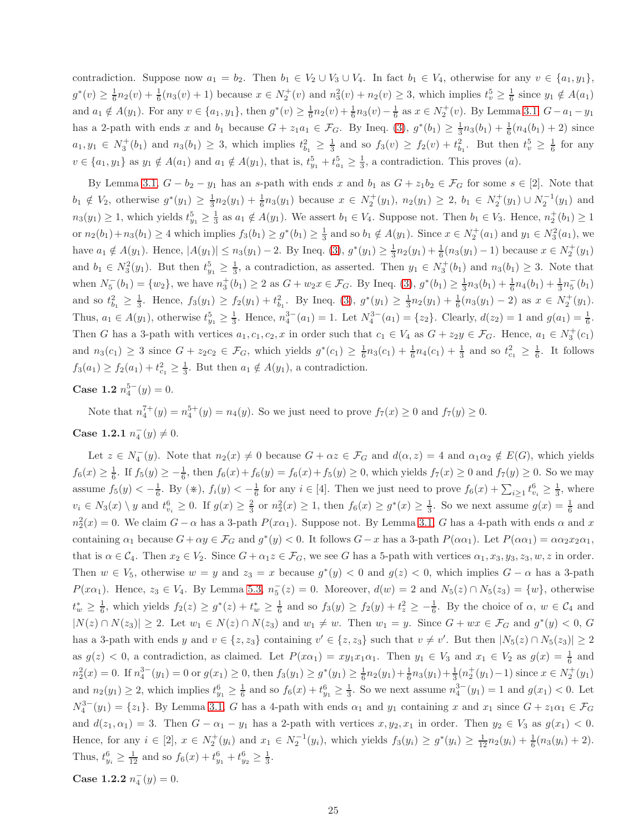contradiction. Suppose now  $a_1 = b_2$ . Then  $b_1 \in V_2 \cup V_3 \cup V_4$ . In fact  $b_1 \in V_4$ , otherwise for any  $v \in \{a_1, y_1\}$ ,  $g^*(v) \geq \frac{1}{6}n_2(v) + \frac{1}{6}(n_3(v) + 1)$  because  $x \in N_2^+(v)$  and  $n_3^2(v) + n_2(v) \geq 3$ , which implies  $t_v^5 \geq \frac{1}{6}$  since  $y_1 \notin A(a_1)$ and  $a_1 \notin A(y_1)$ . For any  $v \in \{a_1, y_1\}$ , then  $g^*(v) \geq \frac{1}{6}n_2(v) + \frac{1}{6}n_3(v) - \frac{1}{6}$  as  $x \in N_2^+(v)$ . By Lemma [3.1,](#page-2-2)  $G - a_1 - y_1$ has a 2-path with ends x and  $b_1$  because  $G + z_1 a_1 \in \mathcal{F}_G$ . By Ineq. [\(3\)](#page-5-0),  $g^*(b_1) \geq \frac{1}{3} n_3(b_1) + \frac{1}{6} (n_4(b_1) + 2)$  since  $a_1, y_1 \in N_3^+(b_1)$  and  $n_3(b_1) \geq 3$ , which implies  $t_{b_1}^2 \geq \frac{1}{3}$  and so  $f_3(v) \geq f_2(v) + t_{b_1}^2$ . But then  $t_v^5 \geq \frac{1}{6}$  for any  $v \in \{a_1, y_1\}$  as  $y_1 \notin A(a_1)$  and  $a_1 \notin A(y_1)$ , that is,  $t_{y_1}^5 + t_{a_1}^5 \geq \frac{1}{3}$ , a contradiction. This proves  $(a)$ .

By Lemma [3.1,](#page-2-2)  $G - b_2 - y_1$  has an s-path with ends x and  $b_1$  as  $G + z_1b_2 \in \mathcal{F}_G$  for some  $s \in [2]$ . Note that  $b_1 \notin V_2$ , otherwise  $g^*(y_1) \ge \frac{1}{3}n_2(y_1) + \frac{1}{6}n_3(y_1)$  because  $x \in N_2^+(y_1)$ ,  $n_2(y_1) \ge 2$ ,  $b_1 \in N_2^+(y_1) \cup N_2^{-1}(y_1)$  and  $n_3(y_1) \geq 1$ , which yields  $t_{y_1}^5 \geq \frac{1}{3}$  as  $a_1 \notin A(y_1)$ . We assert  $b_1 \in V_4$ . Suppose not. Then  $b_1 \in V_3$ . Hence,  $n_2^+(b_1) \geq 1$ or  $n_2(b_1)+n_3(b_1) \ge 4$  which implies  $f_3(b_1) \ge g^*(b_1) \ge \frac{1}{3}$  and so  $b_1 \notin A(y_1)$ . Since  $x \in N_2^+(a_1)$  and  $y_1 \in N_3^2(a_1)$ , we have  $a_1 \notin A(y_1)$ . Hence,  $|A(y_1)| \le n_3(y_1) - 2$ . By Ineq. [\(3\)](#page-5-0),  $g^*(y_1) \ge \frac{1}{3}n_2(y_1) + \frac{1}{6}(n_3(y_1) - 1)$  because  $x \in N_2^+(y_1)$ and  $b_1 \in N_3^2(y_1)$ . But then  $t_{y_1}^5 \geq \frac{1}{3}$ , a contradiction, as asserted. Then  $y_1 \in N_3^+(b_1)$  and  $n_3(b_1) \geq 3$ . Note that when  $N_5^{-}(b_1) = \{w_2\}$ , we have  $n_3^{+}(b_1) \ge 2$  as  $G + w_2 x \in \mathcal{F}_G$ . By Ineq. [\(3\)](#page-5-0),  $g^*(b_1) \ge \frac{1}{3}n_3(b_1) + \frac{1}{6}n_4(b_1) + \frac{1}{3}n_5^{-}(b_1)$ and so  $t_{b_1}^2 \geq \frac{1}{3}$ . Hence,  $f_3(y_1) \geq f_2(y_1) + t_{b_1}^2$ . By Ineq. [\(3\)](#page-5-0),  $g^*(y_1) \geq \frac{1}{3}n_2(y_1) + \frac{1}{6}(n_3(y_1) - 2)$  as  $x \in N_2^+(y_1)$ . Thus,  $a_1 \in A(y_1)$ , otherwise  $t_{y_1}^5 \geq \frac{1}{3}$ . Hence,  $n_4^{3-}(a_1) = 1$ . Let  $N_4^{3-}(a_1) = \{z_2\}$ . Clearly,  $d(z_2) = 1$  and  $g(a_1) = \frac{1}{6}$ . Then G has a 3-path with vertices  $a_1, c_1, c_2, x$  in order such that  $c_1 \in V_4$  as  $G + z_2y \in \mathcal{F}_G$ . Hence,  $a_1 \in N_3^+(c_1)$ and  $n_3(c_1) \geq 3$  since  $G + z_2c_2 \in \mathcal{F}_G$ , which yields  $g^*(c_1) \geq \frac{1}{6}n_3(c_1) + \frac{1}{6}n_4(c_1) + \frac{1}{3}$  and so  $t_{c_1}^2 \geq \frac{1}{6}$ . It follows  $f_3(a_1) \ge f_2(a_1) + t_{c_1}^2 \ge \frac{1}{3}$ . But then  $a_1 \notin A(y_1)$ , a contradiction.

# Case 1.2  $n_4^{5-}(y) = 0$ .

Note that  $n_4^{7+}(y) = n_4^{5+}(y) = n_4(y)$ . So we just need to prove  $f_7(x) \ge 0$  and  $f_7(y) \ge 0$ .

# Case 1.2.1  $n_4^-(y) \neq 0$ .

Let  $z \in N_4^-(y)$ . Note that  $n_2(x) \neq 0$  because  $G + \alpha z \in \mathcal{F}_G$  and  $d(\alpha, z) = 4$  and  $\alpha_1 \alpha_2 \notin E(G)$ , which yields  $f_6(x) \ge \frac{1}{6}$ . If  $f_5(y) \ge -\frac{1}{6}$ , then  $f_6(x) + f_6(y) = f_6(x) + f_5(y) \ge 0$ , which yields  $f_7(x) \ge 0$  and  $f_7(y) \ge 0$ . So we may assume  $f_5(y) < -\frac{1}{6}$ . By  $(\divideontimes)$ ,  $f_i(y) < -\frac{1}{6}$  for any  $i \in [4]$ . Then we just need to prove  $f_6(x) + \sum_{i \geq 1} t_{v_i}^6 \geq \frac{1}{3}$ , where  $v_i \in N_3(x) \setminus y$  and  $t_{v_i}^6 \geq 0$ . If  $g(x) \geq \frac{2}{3}$  or  $n_2^2(x) \geq 1$ , then  $f_6(x) \geq g^*(x) \geq \frac{1}{3}$ . So we next assume  $g(x) = \frac{1}{6}$  and  $n_2^2(x) = 0$ . We claim  $G - \alpha$  has a 3-path  $P(x\alpha_1)$ . Suppose not. By Lemma [3.1,](#page-2-2) G has a 4-path with ends  $\alpha$  and  $x$ containing  $\alpha_1$  because  $G + \alpha y \in \mathcal{F}_G$  and  $g^*(y) < 0$ . It follows  $G - x$  has a 3-path  $P(\alpha \alpha_1)$ . Let  $P(\alpha \alpha_1) = \alpha \alpha_2 x_2 \alpha_1$ , that is  $\alpha \in C_4$ . Then  $x_2 \in V_2$ . Since  $G + \alpha_1 z \in \mathcal{F}_G$ , we see G has a 5-path with vertices  $\alpha_1, x_3, y_3, z_3, w, z$  in order. Then  $w \in V_5$ , otherwise  $w = y$  and  $z_3 = x$  because  $g^*(y) < 0$  and  $g(z) < 0$ , which implies  $G - \alpha$  has a 3-path  $P(x\alpha_1)$ . Hence,  $z_3 \in V_4$ . By Lemma [5.3,](#page-7-2)  $n_5^-(z) = 0$ . Moreover,  $d(w) = 2$  and  $N_5(z) \cap N_5(z_3) = \{w\}$ , otherwise  $t_w^* \geq \frac{1}{6}$ , which yields  $f_2(z) \geq g^*(z) + t_w^* \geq \frac{1}{6}$  and so  $f_3(y) \geq f_2(y) + t_z^2 \geq -\frac{1}{6}$ . By the choice of  $\alpha, w \in C_4$  and  $|N(z) \cap N(z_3)| \geq 2$ . Let  $w_1 \in N(z) \cap N(z_3)$  and  $w_1 \neq w$ . Then  $w_1 = y$ . Since  $G + wx \in \mathcal{F}_G$  and  $g^*(y) < 0$ , G has a 3-path with ends y and  $v \in \{z, z_3\}$  containing  $v' \in \{z, z_3\}$  such that  $v \neq v'$ . But then  $|N_5(z) \cap N_5(z_3)| \geq 2$ as  $g(z) < 0$ , a contradiction, as claimed. Let  $P(x\alpha_1) = xy_1x_1\alpha_1$ . Then  $y_1 \in V_3$  and  $x_1 \in V_2$  as  $g(x) = \frac{1}{6}$  and  $n_2^2(x) = 0$ . If  $n_4^{3-}(y_1) = 0$  or  $g(x_1) \ge 0$ , then  $f_3(y_1) \ge g^*(y_1) \ge \frac{1}{6}n_2(y_1) + \frac{1}{6}n_3(y_1) + \frac{1}{3}(n_2^+(y_1) - 1)$  since  $x \in N_2^+(y_1)$ and  $n_2(y_1) \ge 2$ , which implies  $t_{y_1}^6 \ge \frac{1}{6}$  and so  $f_6(x) + t_{y_1}^6 \ge \frac{1}{3}$ . So we next assume  $n_4^{3-}(y_1) = 1$  and  $g(x_1) < 0$ . Let  $N_4^{3-}(y_1) = \{z_1\}$ . By Lemma [3.1,](#page-2-2) G has a 4-path with ends  $\alpha_1$  and  $y_1$  containing x and  $x_1$  since  $G + z_1\alpha_1 \in \mathcal{F}_G$ and  $d(z_1, \alpha_1) = 3$ . Then  $G - \alpha_1 - y_1$  has a 2-path with vertices  $x, y_2, x_1$  in order. Then  $y_2 \in V_3$  as  $g(x_1) < 0$ . Hence, for any  $i \in [2]$ ,  $x \in N_2^+(y_i)$  and  $x_1 \in N_2^{-1}(y_i)$ , which yields  $f_3(y_i) \geq g^*(y_i) \geq \frac{1}{12}n_2(y_i) + \frac{1}{6}(n_3(y_i) + 2)$ . Thus,  $t_{y_i}^6 \geq \frac{1}{12}$  and so  $f_6(x) + t_{y_1}^6 + t_{y_2}^6 \geq \frac{1}{3}$ .

Case 1.2.2  $n_4^-(y) = 0$ .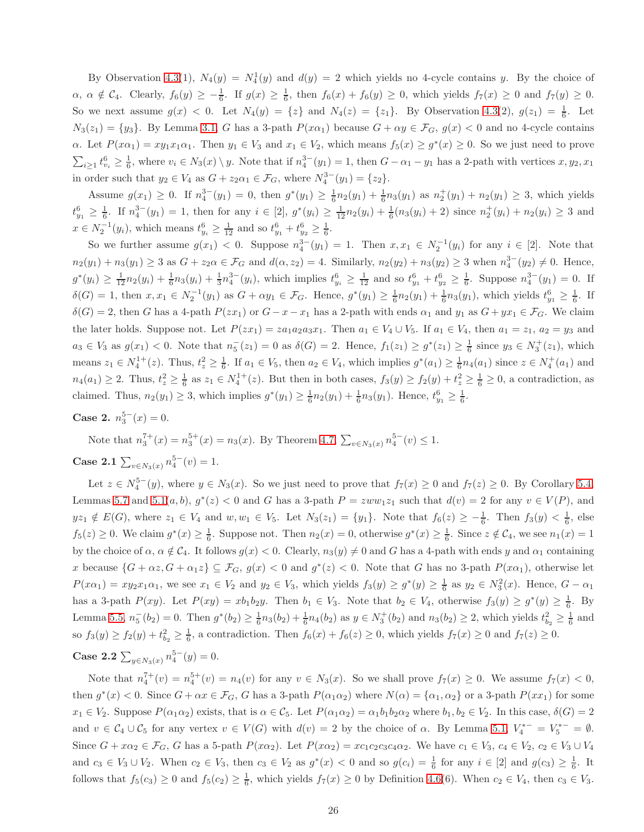By Observation [4.3\(](#page-5-1)1),  $N_4(y) = N_4^1(y)$  and  $d(y) = 2$  which yields no 4-cycle contains y. By the choice of  $\alpha, \alpha \notin C_4$ . Clearly,  $f_6(y) \geq -\frac{1}{6}$ . If  $g(x) \geq \frac{1}{6}$ , then  $f_6(x) + f_6(y) \geq 0$ , which yields  $f_7(x) \geq 0$  and  $f_7(y) \geq 0$ . So we next assume  $g(x) < 0$ . Let  $N_4(y) = \{z\}$  and  $N_4(z) = \{z_1\}$ . By Observation [4.3\(](#page-5-1)2),  $g(z_1) = \frac{1}{6}$ . Let  $N_3(z_1) = \{y_3\}$ . By Lemma [3.1,](#page-2-2) G has a 3-path  $P(x\alpha_1)$  because  $G + \alpha y \in \mathcal{F}_G$ ,  $g(x) < 0$  and no 4-cycle contains  $\alpha$ . Let  $P(x\alpha_1) = xy_1x_1\alpha_1$ . Then  $y_1 \in V_3$  and  $x_1 \in V_2$ , which means  $f_5(x) \geq g^*(x) \geq 0$ . So we just need to prove  $\sum_{i\geq 1} t_{v_i}^6 \geq \frac{1}{6}$ , where  $v_i \in N_3(x) \setminus y$ . Note that if  $n_4^{3-}(y_1) = 1$ , then  $G - \alpha_1 - y_1$  has a 2-path with vertices  $x, y_2, x_1$ in order such that  $y_2 \in V_4$  as  $G + z_2 \alpha_1 \in \mathcal{F}_G$ , where  $N_4^{3-}(y_1) = \{z_2\}.$ 

Assume  $g(x_1) \ge 0$ . If  $n_4^{3-}(y_1) = 0$ , then  $g^*(y_1) \ge \frac{1}{6}n_2(y_1) + \frac{1}{6}n_3(y_1)$  as  $n_2^+(y_1) + n_2(y_1) \ge 3$ , which yields  $t_{y_1}^6 \geq \frac{1}{6}$ . If  $n_4^{3-}(y_1) = 1$ , then for any  $i \in [2]$ ,  $g^*(y_i) \geq \frac{1}{12}n_2(y_i) + \frac{1}{6}(n_3(y_i) + 2)$  since  $n_2^+(y_i) + n_2(y_i) \geq 3$  and  $x \in N_2^{-1}(y_i)$ , which means  $t_{y_i}^6 \geq \frac{1}{12}$  and so  $t_{y_1}^6 + t_{y_2}^6 \geq \frac{1}{6}$ .

So we further assume  $g(x_1) < 0$ . Suppose  $n_4^{3-}(y_1) = 1$ . Then  $x, x_1 \in N_2^{-1}(y_i)$  for any  $i \in [2]$ . Note that  $n_2(y_1) + n_3(y_1) \ge 3$  as  $G + z_2 \alpha \in \mathcal{F}_G$  and  $d(\alpha, z_2) = 4$ . Similarly,  $n_2(y_2) + n_3(y_2) \ge 3$  when  $n_4^{3-}(y_2) \ne 0$ . Hence,  $g^*(y_i) \geq \frac{1}{12}n_2(y_i) + \frac{1}{6}n_3(y_i) + \frac{1}{3}n_4^{3-}(y_i)$ , which implies  $t_{y_i}^6 \geq \frac{1}{12}$  and so  $t_{y_1}^6 + t_{y_2}^6 \geq \frac{1}{6}$ . Suppose  $n_4^{3-}(y_1) = 0$ . If  $\delta(G) = 1$ , then  $x, x_1 \in N_2^{-1}(y_1)$  as  $G + \alpha y_1 \in \mathcal{F}_G$ . Hence,  $g^*(y_1) \geq \frac{1}{6} n_2(y_1) + \frac{1}{6} n_3(y_1)$ , which yields  $t_{y_1}^6 \geq \frac{1}{6}$ . If  $\delta(G) = 2$ , then G has a 4-path  $P(zx_1)$  or  $G - x - x_1$  has a 2-path with ends  $\alpha_1$  and  $y_1$  as  $G + yx_1 \in \mathcal{F}_G$ . We claim the later holds. Suppose not. Let  $P(zx_1) = za_1a_2a_3x_1$ . Then  $a_1 \in V_4 \cup V_5$ . If  $a_1 \in V_4$ , then  $a_1 = z_1$ ,  $a_2 = y_3$  and  $a_3 \in V_3$  as  $g(x_1) < 0$ . Note that  $n_5^-(z_1) = 0$  as  $\delta(G) = 2$ . Hence,  $f_1(z_1) \ge g^*(z_1) \ge \frac{1}{6}$  since  $y_3 \in N_3^+(z_1)$ , which means  $z_1 \in N_4^{1+}(z)$ . Thus,  $t_z^2 \ge \frac{1}{6}$ . If  $a_1 \in V_5$ , then  $a_2 \in V_4$ , which implies  $g^*(a_1) \ge \frac{1}{6}n_4(a_1)$  since  $z \in N_4^+(a_1)$  and  $n_4(a_1) \geq 2$ . Thus,  $t_z^2 \geq \frac{1}{6}$  as  $z_1 \in N_4^{1+}(z)$ . But then in both cases,  $f_3(y) \geq f_2(y) + t_z^2 \geq \frac{1}{6} \geq 0$ , a contradiction, as claimed. Thus,  $n_2(y_1) \ge 3$ , which implies  $g^*(y_1) \ge \frac{1}{6}n_2(y_1) + \frac{1}{6}n_3(y_1)$ . Hence,  $t_{y_1}^6 \ge \frac{1}{6}$ .

Case 2.  $n_3^{5-}(x) = 0$ .

Note that  $n_3^{7+}(x) = n_3^{5+}(x) = n_3(x)$ . By Theorem [4.7,](#page-6-1)  $\sum_{v \in N_3(x)} n_4^{5-}(v) \le 1$ .

Case 2.1  $\sum_{v \in N_3(x)} n_4^{5-}(v) = 1$ .

Let  $z \in N_4^{5-}(y)$ , where  $y \in N_3(x)$ . So we just need to prove that  $f_7(x) \ge 0$  and  $f_7(z) \ge 0$ . By Corollary [5.4,](#page-11-0) Lemmas [5.7](#page-13-0) and 5.1 $(a, b)$ ,  $g^*(z) < 0$  and G has a 3-path  $P = zww_1z_1$  such that  $d(v) = 2$  for any  $v \in V(P)$ , and  $yz_1 \notin E(G)$ , where  $z_1 \in V_4$  and  $w, w_1 \in V_5$ . Let  $N_3(z_1) = \{y_1\}$ . Note that  $f_6(z) \geq -\frac{1}{6}$ . Then  $f_3(y) < \frac{1}{6}$ , else  $f_5(z) \geq 0$ . We claim  $g^*(x) \geq \frac{1}{6}$ . Suppose not. Then  $n_2(x) = 0$ , otherwise  $g^*(x) \geq \frac{1}{6}$ . Since  $z \notin C_4$ , we see  $n_1(x) = 1$ by the choice of  $\alpha$ ,  $\alpha \notin C_4$ . It follows  $g(x) < 0$ . Clearly,  $n_3(y) \neq 0$  and G has a 4-path with ends y and  $\alpha_1$  containing x because  $\{G + \alpha z, G + \alpha_1 z\} \subseteq \mathcal{F}_G$ ,  $g(x) < 0$  and  $g^*(z) < 0$ . Note that G has no 3-path  $P(x\alpha_1)$ , otherwise let  $P(x\alpha_1) = xy_2x_1\alpha_1$ , we see  $x_1 \in V_2$  and  $y_2 \in V_3$ , which yields  $f_3(y) \ge g^*(y) \ge \frac{1}{6}$  as  $y_2 \in N_3^2(x)$ . Hence,  $G - \alpha_1$ has a 3-path  $P(xy)$ . Let  $P(xy) = xb_1b_2y$ . Then  $b_1 \in V_3$ . Note that  $b_2 \in V_4$ , otherwise  $f_3(y) \ge g^*(y) \ge \frac{1}{6}$ . By Lemma [5.5,](#page-11-1)  $n_5^{-}(b_2) = 0$ . Then  $g^*(b_2) \ge \frac{1}{6}n_3(b_2) + \frac{1}{6}n_4(b_2)$  as  $y \in N_3^{+}(b_2)$  and  $n_3(b_2) \ge 2$ , which yields  $t_{b_2}^2 \ge \frac{1}{6}$  and so  $f_3(y) \ge f_2(y) + t_{b_2}^2 \ge \frac{1}{6}$ , a contradiction. Then  $f_6(x) + f_6(z) \ge 0$ , which yields  $f_7(x) \ge 0$  and  $f_7(z) \ge 0$ .

Case 2.2  $\sum_{y \in N_3(x)} n_4^{5-}(y) = 0.$ 

Note that  $n_4^{7+}(v) = n_4^{5+}(v) = n_4(v)$  for any  $v \in N_3(x)$ . So we shall prove  $f_7(x) \ge 0$ . We assume  $f_7(x) < 0$ , then  $g^*(x) < 0$ . Since  $G + \alpha x \in \mathcal{F}_G$ , G has a 3-path  $P(\alpha_1 \alpha_2)$  where  $N(\alpha) = {\alpha_1, \alpha_2}$  or a 3-path  $P(xx_1)$  for some  $x_1 \in V_2$ . Suppose  $P(\alpha_1 \alpha_2)$  exists, that is  $\alpha \in \mathcal{C}_5$ . Let  $P(\alpha_1 \alpha_2) = \alpha_1 b_1 b_2 \alpha_2$  where  $b_1, b_2 \in V_2$ . In this case,  $\delta(G) = 2$ and  $v \in C_4 \cup C_5$  for any vertex  $v \in V(G)$  with  $d(v) = 2$  by the choice of  $\alpha$ . By Lemma [5.1,](#page-7-0)  $V_4^{*-} = V_5^{*-} = \emptyset$ . Since  $G + x\alpha_2 \in \mathcal{F}_G$ , G has a 5-path  $P(x\alpha_2)$ . Let  $P(x\alpha_2) = xc_1c_2c_3c_4\alpha_2$ . We have  $c_1 \in V_3$ ,  $c_4 \in V_2$ ,  $c_2 \in V_3 \cup V_4$ and  $c_3 \in V_3 \cup V_2$ . When  $c_2 \in V_3$ , then  $c_3 \in V_2$  as  $g^*(x) < 0$  and so  $g(c_i) = \frac{1}{6}$  for any  $i \in [2]$  and  $g(c_3) \geq \frac{1}{6}$ . It follows that  $f_5(c_3) \ge 0$  and  $f_5(c_2) \ge \frac{1}{6}$ , which yields  $f_7(x) \ge 0$  by Definition [4.6\(](#page-5-2)6). When  $c_2 \in V_4$ , then  $c_3 \in V_3$ .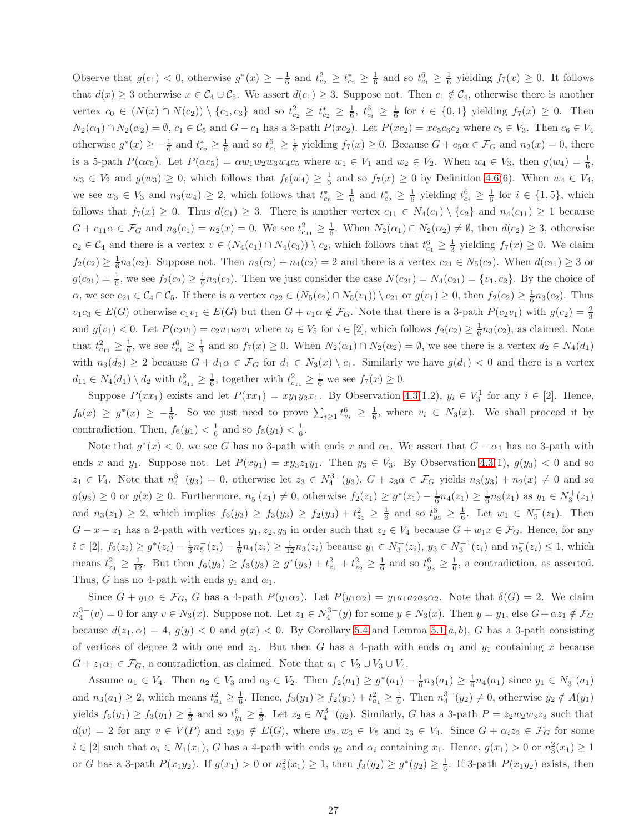Observe that  $g(c_1) < 0$ , otherwise  $g^*(x) \geq -\frac{1}{6}$  and  $t_{c_2}^2 \geq t_{c_2}^* \geq \frac{1}{6}$  and so  $t_{c_1}^6 \geq \frac{1}{6}$  yielding  $f_7(x) \geq 0$ . It follows that  $d(x) \geq 3$  otherwise  $x \in C_4 \cup C_5$ . We assert  $d(c_1) \geq 3$ . Suppose not. Then  $c_1 \notin C_4$ , otherwise there is another vertex  $c_0 \in (N(x) \cap N(c_2)) \setminus \{c_1, c_3\}$  and so  $t_{c_2}^2 \geq t_{c_2}^* \geq \frac{1}{6}$ ,  $t_{c_i}^6 \geq \frac{1}{6}$  for  $i \in \{0, 1\}$  yielding  $f_7(x) \geq 0$ . Then  $N_2(\alpha_1) \cap N_2(\alpha_2) = \emptyset$ ,  $c_1 \in \mathcal{C}_5$  and  $G - c_1$  has a 3-path  $P(xc_2)$ . Let  $P(xc_2) = xc_5c_6c_2$  where  $c_5 \in V_3$ . Then  $c_6 \in V_4$ otherwise  $g^*(x) \geq -\frac{1}{6}$  and  $t_{c_2}^* \geq \frac{1}{6}$  and so  $t_{c_1}^6 \geq \frac{1}{6}$  yielding  $f_7(x) \geq 0$ . Because  $G + c_5 \alpha \in \mathcal{F}_G$  and  $n_2(x) = 0$ , there is a 5-path  $P(\alpha c_5)$ . Let  $P(\alpha c_5) = \alpha w_1 w_2 w_3 w_4 c_5$  where  $w_1 \in V_1$  and  $w_2 \in V_2$ . When  $w_4 \in V_3$ , then  $g(w_4) = \frac{1}{6}$ ,  $w_3 \in V_2$  and  $g(w_3) \geq 0$ , which follows that  $f_6(w_4) \geq \frac{1}{6}$  and so  $f_7(x) \geq 0$  by Definition [4.6\(](#page-5-2)6). When  $w_4 \in V_4$ , we see  $w_3 \in V_3$  and  $n_3(w_4) \geq 2$ , which follows that  $t_{c_6}^* \geq \frac{1}{6}$  and  $t_{c_2}^* \geq \frac{1}{6}$  yielding  $t_{c_i}^6 \geq \frac{1}{6}$  for  $i \in \{1, 5\}$ , which follows that  $f_7(x) \ge 0$ . Thus  $d(c_1) \ge 3$ . There is another vertex  $c_{11} \in N_4(c_1) \setminus \{c_2\}$  and  $n_4(c_{11}) \ge 1$  because  $G + c_{11}\alpha \in \mathcal{F}_G$  and  $n_3(c_1) = n_2(x) = 0$ . We see  $t_{c_{11}}^2 \geq \frac{1}{6}$ . When  $N_2(\alpha_1) \cap N_2(\alpha_2) \neq \emptyset$ , then  $d(c_2) \geq 3$ , otherwise  $c_2 \in C_4$  and there is a vertex  $v \in (N_4(c_1) \cap N_4(c_3)) \setminus c_2$ , which follows that  $t_{c_1}^6 \geq \frac{1}{3}$  yielding  $f_7(x) \geq 0$ . We claim  $f_2(c_2) \geq \frac{1}{6}n_3(c_2)$ . Suppose not. Then  $n_3(c_2) + n_4(c_2) = 2$  and there is a vertex  $c_{21} \in N_5(c_2)$ . When  $d(c_{21}) \geq 3$  or  $g(c_{21}) = \frac{1}{6}$ , we see  $f_2(c_2) \ge \frac{1}{6}n_3(c_2)$ . Then we just consider the case  $N(c_{21}) = N_4(c_{21}) = \{v_1, c_2\}$ . By the choice of  $\alpha$ , we see  $c_{21} \in C_4 \cap C_5$ . If there is a vertex  $c_{22} \in (N_5(c_2) \cap N_5(v_1)) \setminus c_{21}$  or  $g(v_1) \geq 0$ , then  $f_2(c_2) \geq \frac{1}{6}n_3(c_2)$ . Thus  $v_1c_3 \in E(G)$  otherwise  $c_1v_1 \in E(G)$  but then  $G + v_1\alpha \notin \mathcal{F}_G$ . Note that there is a 3-path  $P(c_2v_1)$  with  $g(c_2) = \frac{2}{3}$ and  $g(v_1) < 0$ . Let  $P(c_2v_1) = c_2u_1u_2v_1$  where  $u_i \in V_5$  for  $i \in [2]$ , which follows  $f_2(c_2) \geq \frac{1}{6}n_3(c_2)$ , as claimed. Note that  $t_{c_{11}}^2 \geq \frac{1}{6}$ , we see  $t_{c_1}^6 \geq \frac{1}{3}$  and so  $f_7(x) \geq 0$ . When  $N_2(\alpha_1) \cap N_2(\alpha_2) = \emptyset$ , we see there is a vertex  $d_2 \in N_4(d_1)$ with  $n_3(d_2) \geq 2$  because  $G + d_1 \alpha \in \mathcal{F}_G$  for  $d_1 \in N_3(x) \setminus c_1$ . Similarly we have  $g(d_1) < 0$  and there is a vertex  $d_{11} \in N_4(d_1) \setminus d_2$  with  $t_{d_{11}}^2 \geq \frac{1}{6}$ , together with  $t_{c_{11}}^2 \geq \frac{1}{6}$  we see  $f_7(x) \geq 0$ .

Suppose  $P(xx_1)$  exists and let  $P(xx_1) = xy_1y_2x_1$ . By Observation [4.3\(](#page-5-1)1,2),  $y_i \in V_3^1$  for any  $i \in [2]$ . Hence,  $f_6(x) \geq g^*(x) \geq -\frac{1}{6}$ . So we just need to prove  $\sum_{i\geq 1} t_{v_i}^6 \geq \frac{1}{6}$ , where  $v_i \in N_3(x)$ . We shall proceed it by contradiction. Then,  $f_6(y_1) < \frac{1}{6}$  and so  $f_5(y_1) < \frac{1}{6}$ .

Note that  $g^*(x) < 0$ , we see G has no 3-path with ends x and  $\alpha_1$ . We assert that  $G - \alpha_1$  has no 3-path with ends x and y<sub>1</sub>. Suppose not. Let  $P(xy_1) = xy_3z_1y_1$ . Then  $y_3 \in V_3$ . By Observation [4.3\(](#page-5-1)1),  $g(y_3) < 0$  and so  $z_1 \in V_4$ . Note that  $n_4^{3-}(y_3) = 0$ , otherwise let  $z_3 \in N_4^{3-}(y_3)$ ,  $G + z_3 \alpha \in \mathcal{F}_G$  yields  $n_3(y_3) + n_2(x) \neq 0$  and so  $g(y_3) \geq 0$  or  $g(x) \geq 0$ . Furthermore,  $n_5^-(z_1) \neq 0$ , otherwise  $f_2(z_1) \geq g^*(z_1) - \frac{1}{6}n_4(z_1) \geq \frac{1}{6}n_3(z_1)$  as  $y_1 \in N_3^+(z_1)$ and  $n_3(z_1) \geq 2$ , which implies  $f_6(y_3) \geq f_3(y_3) \geq f_2(y_3) + t_{z_1}^2 \geq \frac{1}{6}$  and so  $t_{y_3}^6 \geq \frac{1}{6}$ . Let  $w_1 \in N_5^-(z_1)$ . Then  $G - x - z_1$  has a 2-path with vertices  $y_1, z_2, y_3$  in order such that  $z_2 \in V_4$  because  $G + w_1 x \in \mathcal{F}_G$ . Hence, for any  $i \in [2]$ ,  $f_2(z_i) \geq g^*(z_i) - \frac{1}{3}n_5(z_i) - \frac{1}{6}n_4(z_i) \geq \frac{1}{12}n_3(z_i)$  because  $y_1 \in N_3^+(z_i)$ ,  $y_3 \in N_3^{-1}(z_i)$  and  $n_5^-(z_i) \leq 1$ , which means  $t_{z_1}^2 \ge \frac{1}{12}$ . But then  $f_6(y_3) \ge f_3(y_3) \ge g^*(y_3) + t_{z_1}^2 + t_{z_2}^2 \ge \frac{1}{6}$  and so  $t_{y_3}^6 \ge \frac{1}{6}$ , a contradiction, as asserted. Thus, G has no 4-path with ends  $y_1$  and  $\alpha_1$ .

Since  $G + y_1 \alpha \in \mathcal{F}_G$ , G has a 4-path  $P(y_1 \alpha_2)$ . Let  $P(y_1 \alpha_2) = y_1 a_1 a_2 a_3 \alpha_2$ . Note that  $\delta(G) = 2$ . We claim  $n_4^{3-}(v) = 0$  for any  $v \in N_3(x)$ . Suppose not. Let  $z_1 \in N_4^{3-}(y)$  for some  $y \in N_3(x)$ . Then  $y = y_1$ , else  $G + \alpha z_1 \notin \mathcal{F}_G$ because  $d(z_1, \alpha) = 4$ ,  $g(y) < 0$  and  $g(x) < 0$ . By Corollary [5.4](#page-11-0) and Lemma [5.1\(](#page-7-0)*a, b*), *G* has a 3-path consisting of vertices of degree 2 with one end  $z_1$ . But then G has a 4-path with ends  $\alpha_1$  and  $y_1$  containing x because  $G + z_1 \alpha_1 \in \mathcal{F}_G$ , a contradiction, as claimed. Note that  $a_1 \in V_2 \cup V_3 \cup V_4$ .

Assume  $a_1 \in V_4$ . Then  $a_2 \in V_3$  and  $a_3 \in V_2$ . Then  $f_2(a_1) \geq g^*(a_1) - \frac{1}{6}n_3(a_1) \geq \frac{1}{6}n_4(a_1)$  since  $y_1 \in N_3^+(a_1)$ and  $n_3(a_1) \geq 2$ , which means  $t_{a_1}^2 \geq \frac{1}{6}$ . Hence,  $f_3(y_1) \geq f_2(y_1) + t_{a_1}^2 \geq \frac{1}{6}$ . Then  $n_4^{3-}(y_2) \neq 0$ , otherwise  $y_2 \notin A(y_1)$ yields  $f_6(y_1) \ge f_3(y_1) \ge \frac{1}{6}$  and so  $t_{y_1}^6 \ge \frac{1}{6}$ . Let  $z_2 \in N_4^{3-}(y_2)$ . Similarly, G has a 3-path  $P = z_2w_2w_3z_3$  such that  $d(v) = 2$  for any  $v \in V(P)$  and  $z_3y_2 \notin E(G)$ , where  $w_2, w_3 \in V_5$  and  $z_3 \in V_4$ . Since  $G + \alpha_i z_2 \in \mathcal{F}_G$  for some  $i \in [2]$  such that  $\alpha_i \in N_1(x_1)$ , G has a 4-path with ends  $y_2$  and  $\alpha_i$  containing  $x_1$ . Hence,  $g(x_1) > 0$  or  $n_3^2(x_1) \ge 1$ or G has a 3-path  $P(x_1y_2)$ . If  $g(x_1) > 0$  or  $n_3^2(x_1) \ge 1$ , then  $f_3(y_2) \ge g^*(y_2) \ge \frac{1}{6}$ . If 3-path  $P(x_1y_2)$  exists, then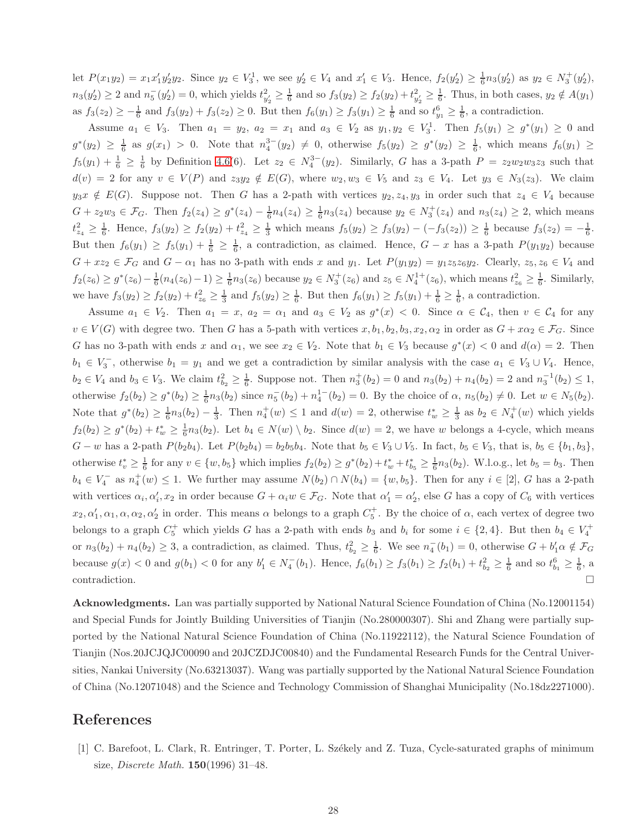let  $P(x_1y_2) = x_1x_1'y_2'y_2$ . Since  $y_2 \in V_3$ , we see  $y_2' \in V_4$  and  $x_1' \in V_3$ . Hence,  $f_2(y_2') \ge \frac{1}{6}n_3(y_2')$  as  $y_2 \in N_3^+(y_2'),$  $n_3(y_2') \ge 2$  and  $n_5^-(y_2') = 0$ , which yields  $t_{y_2'}^2 \ge \frac{1}{6}$  and so  $f_3(y_2) \ge f_2(y_2) + t_{y_2'}^2 \ge \frac{1}{6}$ . Thus, in both cases,  $y_2 \notin A(y_1)$ as  $f_3(z_2) \geq -\frac{1}{6}$  and  $f_3(y_2) + f_3(z_2) \geq 0$ . But then  $f_6(y_1) \geq f_3(y_1) \geq \frac{1}{6}$  and so  $t_{y_1}^6 \geq \frac{1}{6}$ , a contradiction.

Assume  $a_1 \in V_3$ . Then  $a_1 = y_2$ ,  $a_2 = x_1$  and  $a_3 \in V_2$  as  $y_1, y_2 \in V_3^1$ . Then  $f_5(y_1) \geq g^*(y_1) \geq 0$  and  $g^*(y_2) \geq \frac{1}{6}$  as  $g(x_1) > 0$ . Note that  $n_4^{3-}(y_2) \neq 0$ , otherwise  $f_5(y_2) \geq g^*(y_2) \geq \frac{1}{6}$ , which means  $f_6(y_1) \geq$  $f_5(y_1) + \frac{1}{6} \geq \frac{1}{6}$  by Definition [4.6\(](#page-5-2)6). Let  $z_2 \in N_4^{3-}(y_2)$ . Similarly, G has a 3-path  $P = z_2w_2w_3z_3$  such that  $d(v) = 2$  for any  $v \in V(P)$  and  $z_3y_2 \notin E(G)$ , where  $w_2, w_3 \in V_5$  and  $z_3 \in V_4$ . Let  $y_3 \in N_3(z_3)$ . We claim  $y_3x \notin E(G)$ . Suppose not. Then G has a 2-path with vertices  $y_2, z_4, y_3$  in order such that  $z_4 \in V_4$  because  $G + z_2w_3 \in \mathcal{F}_G$ . Then  $f_2(z_4) \geq g^*(z_4) - \frac{1}{6}n_4(z_4) \geq \frac{1}{6}n_3(z_4)$  because  $y_2 \in N_3^+(z_4)$  and  $n_3(z_4) \geq 2$ , which means  $t_{z_4}^2 \geq \frac{1}{6}$ . Hence,  $f_3(y_2) \geq f_2(y_2) + t_{z_4}^2 \geq \frac{1}{3}$  which means  $f_5(y_2) \geq f_3(y_2) - (-f_3(z_2)) \geq \frac{1}{6}$  because  $f_3(z_2) = -\frac{1}{6}$ . But then  $f_6(y_1) \ge f_5(y_1) + \frac{1}{6} \ge \frac{1}{6}$ , a contradiction, as claimed. Hence,  $G - x$  has a 3-path  $P(y_1y_2)$  because  $G + xz_2 \in \mathcal{F}_G$  and  $G - \alpha_1$  has no 3-path with ends x and  $y_1$ . Let  $P(y_1y_2) = y_1z_5z_6y_2$ . Clearly,  $z_5, z_6 \in V_4$  and  $f_2(z_6) \ge g^*(z_6) - \frac{1}{6}(n_4(z_6) - 1) \ge \frac{1}{6}n_3(z_6)$  because  $y_2 \in N_3^+(z_6)$  and  $z_5 \in N_4^{1+}(z_6)$ , which means  $t_{z_6}^2 \ge \frac{1}{6}$ . Similarly, we have  $f_3(y_2) \ge f_2(y_2) + t_{z_6}^2 \ge \frac{1}{3}$  and  $f_5(y_2) \ge \frac{1}{6}$ . But then  $f_6(y_1) \ge f_5(y_1) + \frac{1}{6} \ge \frac{1}{6}$ , a contradiction.

Assume  $a_1 \in V_2$ . Then  $a_1 = x$ ,  $a_2 = \alpha_1$  and  $a_3 \in V_2$  as  $g^*(x) < 0$ . Since  $\alpha \in C_4$ , then  $v \in C_4$  for any  $v \in V(G)$  with degree two. Then G has a 5-path with vertices  $x, b_1, b_2, b_3, x_2, \alpha_2$  in order as  $G + x\alpha_2 \in \mathcal{F}_G$ . Since G has no 3-path with ends x and  $\alpha_1$ , we see  $x_2 \in V_2$ . Note that  $b_1 \in V_3$  because  $g^*(x) < 0$  and  $d(\alpha) = 2$ . Then  $b_1 \in V_3^-$ , otherwise  $b_1 = y_1$  and we get a contradiction by similar analysis with the case  $a_1 \in V_3 \cup V_4$ . Hence,  $b_2 \in V_4$  and  $b_3 \in V_3$ . We claim  $t_{b_2}^2 \geq \frac{1}{6}$ . Suppose not. Then  $n_3^+(b_2) = 0$  and  $n_3(b_2) + n_4(b_2) = 2$  and  $n_3^{-1}(b_2) \leq 1$ , otherwise  $f_2(b_2) \ge g^*(b_2) \ge \frac{1}{6}n_3(b_2)$  since  $n_5^{-}(b_2) + n_4^{1-}(b_2) = 0$ . By the choice of  $\alpha$ ,  $n_5(b_2) \ne 0$ . Let  $w \in N_5(b_2)$ . Note that  $g^*(b_2) \geq \frac{1}{6}n_3(b_2) - \frac{1}{3}$ . Then  $n_4^+(w) \leq 1$  and  $d(w) = 2$ , otherwise  $t_w^* \geq \frac{1}{3}$  as  $b_2 \in N_4^+(w)$  which yields  $f_2(b_2) \ge g^*(b_2) + t_w^* \ge \frac{1}{6}n_3(b_2)$ . Let  $b_4 \in N(w) \setminus b_2$ . Since  $d(w) = 2$ , we have w belongs a 4-cycle, which means  $G - w$  has a 2-path  $P(b_2b_4)$ . Let  $P(b_2b_4) = b_2b_5b_4$ . Note that  $b_5 \in V_3 \cup V_5$ . In fact,  $b_5 \in V_3$ , that is,  $b_5 \in \{b_1, b_3\}$ , otherwise  $t_v^* \geq \frac{1}{6}$  for any  $v \in \{w, b_5\}$  which implies  $f_2(b_2) \geq g^*(b_2) + t_w^* + t_{b_5}^* \geq \frac{1}{6}n_3(b_2)$ . W.l.o.g., let  $b_5 = b_3$ . Then  $b_4 \in V_4^-$  as  $n_4^+(w) \leq 1$ . We further may assume  $N(b_2) \cap N(b_4) = \{w, b_5\}$ . Then for any  $i \in [2]$ , G has a 2-path with vertices  $\alpha_i, \alpha'_i, x_2$  in order because  $G + \alpha_i w \in \mathcal{F}_G$ . Note that  $\alpha'_1 = \alpha'_2$ , else G has a copy of  $C_6$  with vertices  $x_2, \alpha'_1, \alpha_1, \alpha, \alpha_2, \alpha'_2$  in order. This means  $\alpha$  belongs to a graph  $C_5^+$ . By the choice of  $\alpha$ , each vertex of degree two belongs to a graph  $C_5^+$  which yields G has a 2-path with ends  $b_3$  and  $b_i$  for some  $i \in \{2, 4\}$ . But then  $b_4 \in V_4^+$ or  $n_3(b_2) + n_4(b_2) \geq 3$ , a contradiction, as claimed. Thus,  $t_{b_2}^2 \geq \frac{1}{6}$ . We see  $n_4^-(b_1) = 0$ , otherwise  $G + b'_1 \alpha \notin \mathcal{F}_G$ because  $g(x) < 0$  and  $g(b_1) < 0$  for any  $b'_1 \in N_4^-(b_1)$ . Hence,  $f_6(b_1) \ge f_3(b_1) \ge f_2(b_1) + t_{b_2}^2 \ge \frac{1}{6}$  and so  $t_{b_1}^6 \ge \frac{1}{6}$ , a  $\Box$ contradiction.

Acknowledgments. Lan was partially supported by National Natural Science Foundation of China (No.12001154) and Special Funds for Jointly Building Universities of Tianjin (No.280000307). Shi and Zhang were partially supported by the National Natural Science Foundation of China (No.11922112), the Natural Science Foundation of Tianjin (Nos.20JCJQJC00090 and 20JCZDJC00840) and the Fundamental Research Funds for the Central Universities, Nankai University (No.63213037). Wang was partially supported by the National Natural Science Foundation of China (No.12071048) and the Science and Technology Commission of Shanghai Municipality (No.18dz2271000).

#### References

<span id="page-27-0"></span>[1] C. Barefoot, L. Clark, R. Entringer, T. Porter, L. Sz´ekely and Z. Tuza, Cycle-saturated graphs of minimum size, *Discrete Math.* 150(1996) 31–48.